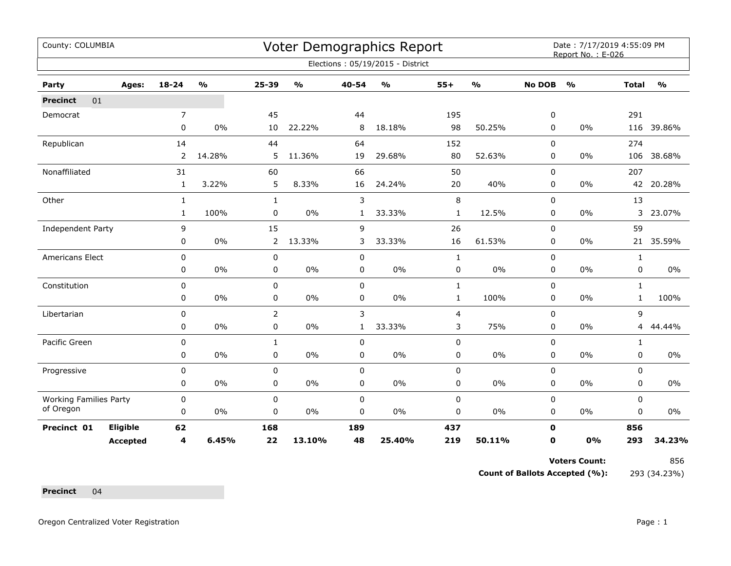| County: COLUMBIA              |                 |                |                                   |                |               |              | <b>Voter Demographics Report</b> |              |                         |               | Date: 7/17/2019 4:55:09 PM<br>Report No.: E-026 |                |               |
|-------------------------------|-----------------|----------------|-----------------------------------|----------------|---------------|--------------|----------------------------------|--------------|-------------------------|---------------|-------------------------------------------------|----------------|---------------|
|                               |                 |                |                                   |                |               |              | Elections: 05/19/2015 - District |              |                         |               |                                                 |                |               |
| Party                         | Ages:           | $18 - 24$      | $\mathsf{o}\mathsf{v}_\mathsf{o}$ | 25-39          | $\frac{1}{2}$ | 40-54        | $\frac{0}{0}$                    | $55+$        | $\mathbf{O}/\mathbf{o}$ | <b>No DOB</b> | $\frac{0}{0}$                                   | <b>Total</b>   | $\frac{1}{2}$ |
| 01<br><b>Precinct</b>         |                 |                |                                   |                |               |              |                                  |              |                         |               |                                                 |                |               |
| Democrat                      |                 | $\overline{7}$ |                                   | 45             |               | 44           |                                  | 195          |                         | 0             |                                                 | 291            |               |
|                               |                 | 0              | 0%                                | 10             | 22.22%        | 8            | 18.18%                           | 98           | 50.25%                  | 0             | 0%                                              | 116            | 39.86%        |
| Republican                    |                 | 14             |                                   | 44             |               | 64           |                                  | 152          |                         | $\mathbf 0$   |                                                 | 274            |               |
|                               |                 | $\overline{2}$ | 14.28%                            | 5              | 11.36%        | 19           | 29.68%                           | 80           | 52.63%                  | 0             | 0%                                              | 106            | 38.68%        |
| Nonaffiliated                 |                 | 31             |                                   | 60             |               | 66           |                                  | 50           |                         | 0             |                                                 | 207            |               |
|                               |                 | $\mathbf{1}$   | 3.22%                             | 5              | 8.33%         | 16           | 24.24%                           | 20           | 40%                     | 0             | 0%                                              |                | 42 20.28%     |
| Other                         |                 | $\mathbf{1}$   |                                   | $\mathbf{1}$   |               | 3            |                                  | $\,8\,$      |                         | 0             |                                                 | 13             |               |
|                               |                 | $\mathbf{1}$   | 100%                              | 0              | 0%            | 1            | 33.33%                           | $\mathbf{1}$ | 12.5%                   | 0             | $0\%$                                           | 3              | 23.07%        |
| Independent Party             |                 | 9              |                                   | 15             |               | 9            |                                  | 26           |                         | 0             |                                                 | 59             |               |
|                               |                 | 0              | 0%                                | $\overline{2}$ | 13.33%        | 3            | 33.33%                           | 16           | 61.53%                  | $\Omega$      | 0%                                              |                | 21 35.59%     |
| Americans Elect               |                 | $\mathbf 0$    |                                   | 0              |               | $\mathbf 0$  |                                  | $\mathbf{1}$ |                         | $\mathbf 0$   |                                                 | $\mathbf{1}$   |               |
|                               |                 | 0              | 0%                                | $\mathbf 0$    | $0\%$         | $\mathbf 0$  | 0%                               | $\pmb{0}$    | $0\%$                   | 0             | 0%                                              | 0              | $0\%$         |
| Constitution                  |                 | 0              |                                   | $\mathbf 0$    |               | $\mathbf 0$  |                                  | $\mathbf{1}$ |                         | 0             |                                                 | $\mathbf{1}$   |               |
|                               |                 | 0              | 0%                                | 0              | 0%            | 0            | $0\%$                            | $\mathbf{1}$ | 100%                    | 0             | 0%                                              | $\mathbf{1}$   | 100%          |
| Libertarian                   |                 | $\pmb{0}$      |                                   | $\overline{2}$ |               | 3            |                                  | 4            |                         | 0             |                                                 | 9              |               |
|                               |                 | 0              | $0\%$                             | 0              | $0\%$         | $\mathbf{1}$ | 33.33%                           | 3            | 75%                     | 0             | 0%                                              | $\overline{4}$ | 44.44%        |
| Pacific Green                 |                 | 0              |                                   | 1              |               | 0            |                                  | 0            |                         | 0             |                                                 | $\mathbf{1}$   |               |
|                               |                 | 0              | 0%                                | 0              | $0\%$         | $\pmb{0}$    | $0\%$                            | $\pmb{0}$    | $0\%$                   | 0             | 0%                                              | 0              | $0\%$         |
| Progressive                   |                 | 0              |                                   | 0              |               | $\mathbf 0$  |                                  | $\pmb{0}$    |                         | $\mathbf 0$   |                                                 | 0              |               |
|                               |                 | 0              | $0\%$                             | 0              | 0%            | 0            | $0\%$                            | 0            | $0\%$                   | 0             | 0%                                              | 0              | $0\%$         |
| <b>Working Families Party</b> |                 | 0              |                                   | 0              |               | $\mathbf 0$  |                                  | $\pmb{0}$    |                         | 0             |                                                 | 0              |               |
| of Oregon                     |                 | $\mathbf 0$    | 0%                                | 0              | 0%            | 0            | 0%                               | 0            | $0\%$                   | 0             | $0\%$                                           | 0              | 0%            |
| Precinct 01                   | Eligible        | 62             |                                   | 168            |               | 189          |                                  | 437          |                         | $\mathbf 0$   |                                                 | 856            |               |
|                               | <b>Accepted</b> | 4              | 6.45%                             | 22             | 13.10%        | 48           | 25.40%                           | 219          | 50.11%                  | 0             | 0%                                              | 293            | 34.23%        |

Voters Count: 856

**Count of Ballots Accepted (%):** 293 (34.23%)

**Precinct** 04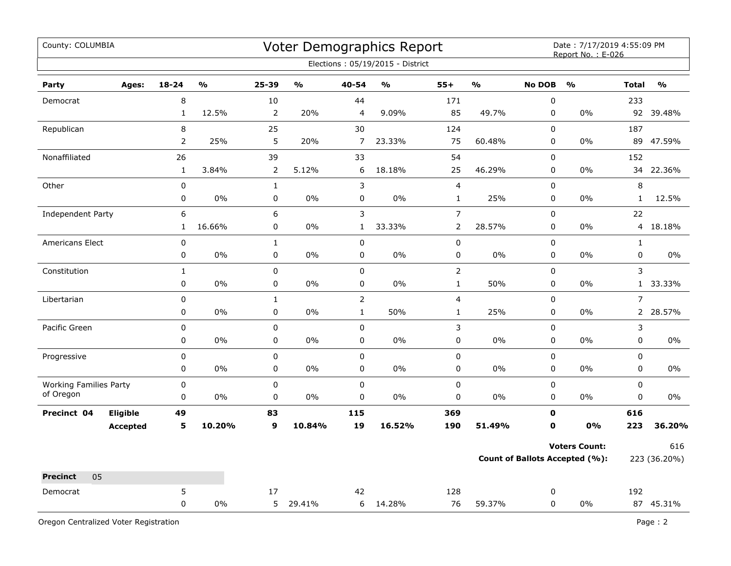| County: COLUMBIA                           |                          |                                   |                        |        |                            | Voter Demographics Report         |                         |                         |                  | Date: 7/17/2019 4:55:09 PM<br>Report No.: E-026 |                          |               |
|--------------------------------------------|--------------------------|-----------------------------------|------------------------|--------|----------------------------|-----------------------------------|-------------------------|-------------------------|------------------|-------------------------------------------------|--------------------------|---------------|
|                                            |                          |                                   |                        |        |                            | Elections: 05/19/2015 - District  |                         |                         |                  |                                                 |                          |               |
| Party<br>Ages:                             | 18-24                    | $\mathsf{o}\mathsf{v}_\mathsf{o}$ | 25-39                  | %      | 40-54                      | $\mathsf{o}\mathsf{v}_\mathsf{o}$ | $55+$                   | $\mathbf{O}/\mathbf{O}$ | <b>No DOB</b>    | $\mathsf{o}\mathsf{v}_\mathsf{o}$               | <b>Total</b>             | $\frac{0}{0}$ |
| Democrat                                   | 8                        |                                   | 10                     |        | 44                         |                                   | 171                     |                         | $\pmb{0}$        |                                                 | 233                      |               |
|                                            | $\mathbf{1}$             | 12.5%                             | $\overline{2}$         | 20%    | 4                          | 9.09%                             | 85                      | 49.7%                   | 0                | 0%                                              | 92                       | 39.48%        |
| Republican                                 | 8                        |                                   | 25                     |        | 30                         |                                   | 124                     |                         | $\mathbf 0$      |                                                 | 187                      |               |
|                                            | 2                        | 25%                               | 5                      | 20%    | $\overline{7}$             | 23.33%                            | 75                      | 60.48%                  | $\pmb{0}$        | $0\%$                                           | 89                       | 47.59%        |
| Nonaffiliated                              | 26                       |                                   | 39                     |        | 33                         |                                   | 54                      |                         | $\mathbf 0$      |                                                 | 152                      |               |
|                                            | $\mathbf{1}$             | 3.84%                             | 2                      | 5.12%  | 6                          | 18.18%                            | 25                      | 46.29%                  | 0                | $0\%$                                           | 34                       | 22.36%        |
| Other                                      | $\pmb{0}$                |                                   | $\mathbf{1}$           |        | 3                          |                                   | $\overline{\mathbf{4}}$ |                         | 0                |                                                 | $\,8\,$                  |               |
|                                            | 0                        | 0%                                | $\pmb{0}$              | 0%     | 0                          | 0%                                | $\mathbf{1}$            | 25%                     | 0                | 0%                                              | $\mathbf{1}$             | 12.5%         |
| Independent Party                          | 6                        |                                   | 6                      |        | 3                          |                                   | $\overline{7}$          |                         | 0                |                                                 | 22                       |               |
|                                            | $\mathbf{1}$             | 16.66%                            | $\pmb{0}$              | 0%     | $\mathbf{1}$               | 33.33%                            | $\overline{2}$          | 28.57%                  | 0                | 0%                                              | $\overline{4}$           | 18.18%        |
| Americans Elect                            | $\pmb{0}$                |                                   | $\mathbf 1$            |        | $\pmb{0}$                  |                                   | 0                       |                         | $\pmb{0}$        |                                                 | $\mathbf 1$              |               |
|                                            | $\pmb{0}$                | 0%                                | $\pmb{0}$              | 0%     | 0                          | 0%                                | 0                       | 0%                      | 0                | 0%                                              | 0                        | 0%            |
| Constitution                               | $\mathbf{1}$             |                                   | $\mathsf 0$            |        | 0                          |                                   | $\overline{2}$          |                         | $\mathbf 0$      |                                                 | 3                        |               |
|                                            | 0                        | 0%                                | $\pmb{0}$              | $0\%$  | 0                          | $0\%$                             | $\mathbf{1}$            | 50%                     | $\pmb{0}$        | 0%                                              | $\mathbf{1}$             | 33.33%        |
| Libertarian                                | 0                        |                                   | $\mathbf{1}$           |        | $\overline{2}$             |                                   | $\overline{\mathbf{4}}$ |                         | $\mathbf 0$      |                                                 | $\overline{7}$           |               |
|                                            | 0                        | 0%                                | $\pmb{0}$              | 0%     | $\mathbf{1}$               | 50%                               | $\mathbf{1}$            | 25%                     | 0                | $0\%$                                           |                          | 2 28.57%      |
| Pacific Green                              | $\pmb{0}$                |                                   | $\pmb{0}$              |        | $\mathbf 0$                |                                   | 3                       |                         | $\pmb{0}$        |                                                 | 3                        |               |
|                                            | $\pmb{0}$                | 0%                                | 0                      | 0%     | 0                          | 0%                                | 0                       | 0%                      | 0                | 0%                                              | 0                        | $0\%$         |
| Progressive                                | $\pmb{0}$                |                                   | $\pmb{0}$              |        | $\mathbf 0$                |                                   | 0                       |                         | $\pmb{0}$        |                                                 | $\pmb{0}$                |               |
|                                            | 0                        | $0\%$                             | $\pmb{0}$              | 0%     | 0                          | 0%                                | 0                       | 0%                      | 0                | 0%                                              | $\mathbf 0$              | $0\%$         |
| <b>Working Families Party</b><br>of Oregon | $\pmb{0}$<br>$\mathbf 0$ | 0%                                | $\pmb{0}$<br>$\pmb{0}$ |        | $\mathbf 0$<br>$\mathbf 0$ |                                   | 0<br>0                  |                         | $\pmb{0}$<br>0   |                                                 | $\mathsf 0$<br>$\pmb{0}$ |               |
|                                            |                          |                                   |                        | 0%     |                            | 0%                                |                         | 0%                      |                  | 0%                                              |                          | 0%            |
| Eligible<br>Precinct 04                    | 49<br>5                  | 10.20%                            | 83<br>9                | 10.84% | 115<br>19                  | 16.52%                            | 369<br>190              | 51.49%                  | $\mathbf 0$<br>0 | 0%                                              | 616<br>223               | 36.20%        |
| <b>Accepted</b>                            |                          |                                   |                        |        |                            |                                   |                         |                         |                  |                                                 |                          |               |
|                                            |                          |                                   |                        |        |                            |                                   |                         |                         |                  | <b>Voters Count:</b>                            |                          | 616           |
|                                            |                          |                                   |                        |        |                            |                                   |                         |                         |                  | <b>Count of Ballots Accepted (%):</b>           |                          | 223 (36.20%)  |
| 05<br><b>Precinct</b>                      |                          |                                   |                        |        |                            |                                   |                         |                         |                  |                                                 |                          |               |
| Democrat                                   | 5                        |                                   | 17                     |        | 42                         |                                   | 128                     |                         | 0                |                                                 | 192                      |               |
|                                            | $\pmb{0}$                | 0%                                | 5                      | 29.41% | 6                          | 14.28%                            | 76                      | 59.37%                  | $\mathbf 0$      | 0%                                              |                          | 87 45.31%     |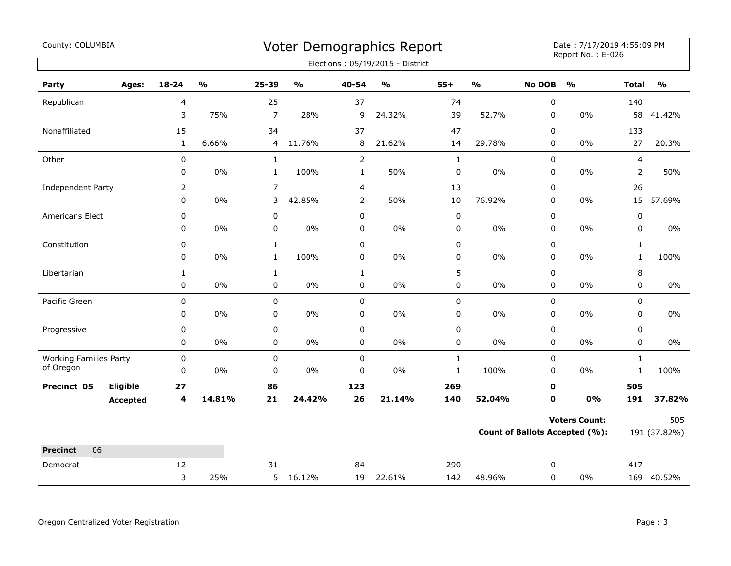| County: COLUMBIA                           |                 |                |                         |                |                         |                | Voter Demographics Report         |              |                         |               | Date: 7/17/2019 4:55:09 PM<br>Report No.: E-026 |              |                         |
|--------------------------------------------|-----------------|----------------|-------------------------|----------------|-------------------------|----------------|-----------------------------------|--------------|-------------------------|---------------|-------------------------------------------------|--------------|-------------------------|
|                                            |                 |                |                         |                |                         |                | Elections: 05/19/2015 - District  |              |                         |               |                                                 |              |                         |
| Party                                      | Ages:           | $18 - 24$      | $\mathbf{O}/\mathbf{O}$ | 25-39          | $\mathbf{0}/\mathbf{0}$ | 40-54          | $\mathsf{o}\mathsf{v}_\mathsf{o}$ | $55+$        | $\mathbf{O}/\mathbf{o}$ | <b>No DOB</b> | $\mathbf{O}/\mathbf{o}$                         | <b>Total</b> | $\mathbf{O}/\mathbf{o}$ |
| Republican                                 |                 | 4              |                         | 25             |                         | 37             |                                   | 74           |                         | 0             |                                                 | 140          |                         |
|                                            |                 | 3              | 75%                     | $\overline{7}$ | 28%                     | 9              | 24.32%                            | 39           | 52.7%                   | $\mathbf 0$   | $0\%$                                           | 58           | 41.42%                  |
| Nonaffiliated                              |                 | 15             |                         | 34             |                         | 37             |                                   | 47           |                         | 0             |                                                 | 133          |                         |
|                                            |                 | $\mathbf{1}$   | 6.66%                   | 4              | 11.76%                  | 8              | 21.62%                            | 14           | 29.78%                  | 0             | $0\%$                                           | 27           | 20.3%                   |
| Other                                      |                 | $\pmb{0}$      |                         | $\mathbf{1}$   |                         | $\overline{2}$ |                                   | $\mathbf 1$  |                         | $\mathbf 0$   |                                                 | 4            |                         |
|                                            |                 | 0              | 0%                      | $\mathbf{1}$   | 100%                    | $\mathbf{1}$   | 50%                               | 0            | $0\%$                   | $\mathbf 0$   | 0%                                              | 2            | 50%                     |
| Independent Party                          |                 | $\overline{2}$ |                         | $\overline{7}$ |                         | $\overline{4}$ |                                   | 13           |                         | 0             |                                                 | 26           |                         |
|                                            |                 | 0              | $0\%$                   | 3              | 42.85%                  | 2              | 50%                               | 10           | 76.92%                  | 0             | 0%                                              |              | 15 57.69%               |
| Americans Elect                            |                 | $\pmb{0}$      |                         | $\pmb{0}$      |                         | 0              |                                   | 0            |                         | 0             |                                                 | $\pmb{0}$    |                         |
|                                            |                 | 0              | $0\%$                   | $\pmb{0}$      | $0\%$                   | 0              | $0\%$                             | 0            | $0\%$                   | 0             | $0\%$                                           | 0            | $0\%$                   |
| Constitution                               |                 | 0              |                         | $\mathbf{1}$   |                         | $\mathbf 0$    |                                   | 0            |                         | $\mathbf 0$   |                                                 | $\mathbf{1}$ |                         |
|                                            |                 | 0              | 0%                      | $\mathbf{1}$   | 100%                    | 0              | $0\%$                             | 0            | $0\%$                   | 0             | $0\%$                                           | $\mathbf{1}$ | 100%                    |
| Libertarian                                |                 | $\mathbf{1}$   |                         | $\mathbf{1}$   |                         | $\mathbf{1}$   |                                   | 5            |                         | 0             |                                                 | 8            |                         |
|                                            |                 | 0              | 0%                      | 0              | $0\%$                   | 0              | 0%                                | 0            | $0\%$                   | 0             | $0\%$                                           | 0            | $0\%$                   |
| Pacific Green                              |                 | 0              |                         | $\pmb{0}$      |                         | $\mathbf 0$    |                                   | 0            |                         | $\mathbf 0$   |                                                 | $\mathbf 0$  |                         |
|                                            |                 | 0              | $0\%$                   | 0              | $0\%$                   | 0              | $0\%$                             | 0            | $0\%$                   | $\mathbf 0$   | $0\%$                                           | $\mathbf 0$  | $0\%$                   |
| Progressive                                |                 | $\pmb{0}$      |                         | $\pmb{0}$      |                         | $\pmb{0}$      |                                   | 0            |                         | $\pmb{0}$     |                                                 | $\mathsf 0$  |                         |
|                                            |                 | $\pmb{0}$      | 0%                      | 0              | 0%                      | 0              | 0%                                | 0            | $0\%$                   | 0             | $0\%$                                           | 0            | $0\%$                   |
| <b>Working Families Party</b><br>of Oregon |                 | $\pmb{0}$      |                         | $\pmb{0}$      |                         | 0              |                                   | $\mathbf 1$  |                         | 0             |                                                 | $\mathbf{1}$ |                         |
|                                            |                 | 0              | $0\%$                   | $\mathbf 0$    | $0\%$                   | $\mathbf 0$    | 0%                                | $\mathbf{1}$ | 100%                    | $\mathbf 0$   | $0\%$                                           | $\mathbf{1}$ | 100%                    |
| Precinct 05                                | Eligible        | 27             |                         | 86             |                         | 123            |                                   | 269          |                         | 0             |                                                 | 505          |                         |
|                                            | <b>Accepted</b> | 4              | 14.81%                  | 21             | 24.42%                  | 26             | 21.14%                            | 140          | 52.04%                  | 0             | 0%                                              | 191          | 37.82%                  |
|                                            |                 |                |                         |                |                         |                |                                   |              |                         |               | <b>Voters Count:</b>                            |              | 505                     |
|                                            |                 |                |                         |                |                         |                |                                   |              |                         |               | <b>Count of Ballots Accepted (%):</b>           |              | 191 (37.82%)            |
| 06<br><b>Precinct</b>                      |                 |                |                         |                |                         |                |                                   |              |                         |               |                                                 |              |                         |
| Democrat                                   |                 | 12             |                         | 31             |                         | 84             |                                   | 290          |                         | 0             |                                                 | 417          |                         |
|                                            |                 | 3              | 25%                     |                | 5 16.12%                | 19             | 22.61%                            | 142          | 48.96%                  | $\mathbf 0$   | 0%                                              |              | 169 40.52%              |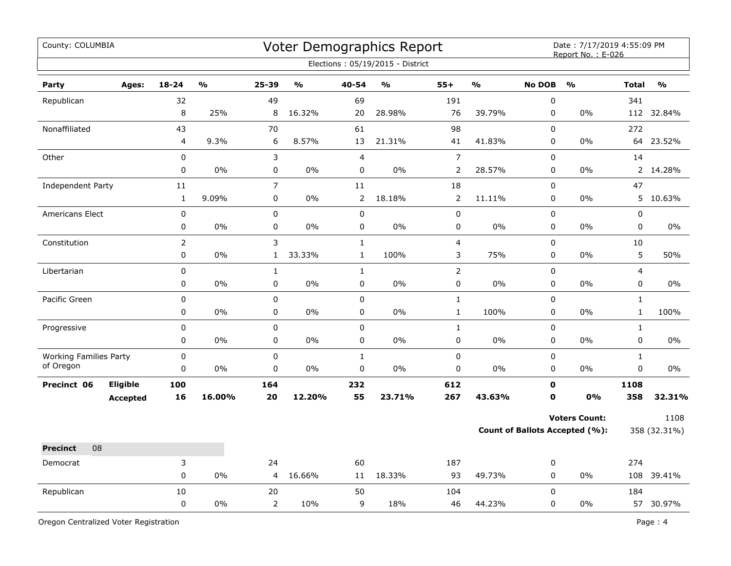| County: COLUMBIA                           |                 |             |        |                      |               |                | Voter Demographics Report<br>Elections: 05/19/2015 - District |                  |               |                          | Date: 7/17/2019 4:55:09 PM<br>Report No.: E-026               |                |                      |
|--------------------------------------------|-----------------|-------------|--------|----------------------|---------------|----------------|---------------------------------------------------------------|------------------|---------------|--------------------------|---------------------------------------------------------------|----------------|----------------------|
| Party                                      | Ages:           | $18 - 24$   | %      | 25-39                | $\frac{0}{0}$ | 40-54          | $\frac{0}{0}$                                                 | $55+$            | $\frac{9}{6}$ | <b>No DOB</b>            | $\frac{0}{0}$                                                 | <b>Total</b>   | $\frac{0}{0}$        |
| Republican                                 |                 | 32          |        | 49                   |               | 69             |                                                               | 191              |               | $\boldsymbol{0}$         |                                                               | 341            |                      |
|                                            |                 | 8           | 25%    | 8                    | 16.32%        | 20             | 28.98%                                                        | 76               | 39.79%        | 0                        | 0%                                                            |                | 112 32.84%           |
| Nonaffiliated                              |                 | 43          |        | 70                   |               | 61             |                                                               | 98               |               | $\mathbf 0$              |                                                               | 272            |                      |
|                                            |                 | 4           | 9.3%   | 6                    | 8.57%         | 13             | 21.31%                                                        | 41               | 41.83%        | $\pmb{0}$                | 0%                                                            | 64             | 23.52%               |
| Other                                      |                 | $\mathbf 0$ |        | 3                    |               | $\overline{4}$ |                                                               | $\boldsymbol{7}$ |               | 0                        |                                                               | 14             |                      |
|                                            |                 | 0           | 0%     | 0                    | 0%            | 0              | 0%                                                            | 2                | 28.57%        | 0                        | 0%                                                            |                | 2 14.28%             |
| Independent Party                          |                 | 11          |        | $\overline{7}$       |               | 11             |                                                               | 18               |               | 0                        |                                                               | 47             |                      |
|                                            |                 | $\mathbf 1$ | 9.09%  | $\pmb{0}$            | 0%            | $\overline{2}$ | 18.18%                                                        | $\overline{2}$   | 11.11%        | $\pmb{0}$                | 0%                                                            |                | 5 10.63%             |
| <b>Americans Elect</b>                     |                 | 0           |        | $\pmb{0}$            |               | $\pmb{0}$      |                                                               | $\pmb{0}$        |               | 0                        |                                                               | 0              |                      |
|                                            |                 | 0           | 0%     | 0                    | $0\%$         | 0              | 0%                                                            | 0                | $0\%$         | 0                        | 0%                                                            | 0              | $0\%$                |
| Constitution                               |                 | 2           |        | 3                    |               | $\mathbf{1}$   |                                                               | 4                |               | 0                        |                                                               | 10             |                      |
|                                            |                 | $\mathbf 0$ | 0%     | $\mathbf{1}$         | 33.33%        | $\mathbf{1}$   | 100%                                                          | 3                | 75%           | $\pmb{0}$                | 0%                                                            | 5              | 50%                  |
| Libertarian                                |                 | 0           |        | $\mathbf{1}$         |               | $\mathbf{1}$   |                                                               | $\overline{2}$   |               | $\mathsf 0$              |                                                               | $\overline{4}$ |                      |
|                                            |                 | 0           | 0%     | $\pmb{0}$            | 0%            | $\pmb{0}$      | 0%                                                            | 0                | 0%            | $\pmb{0}$                | 0%                                                            | 0              | 0%                   |
| Pacific Green                              |                 | $\mathbf 0$ |        | $\mathbf 0$          |               | $\pmb{0}$      |                                                               | $\mathbf{1}$     |               | $\pmb{0}$                |                                                               | $\mathbf{1}$   |                      |
|                                            |                 | 0           | 0%     | 0                    | 0%            | 0              | 0%                                                            | $\mathbf 1$      | 100%          | 0                        | 0%                                                            | $\mathbf{1}$   | 100%                 |
| Progressive                                |                 | 0           |        | $\pmb{0}$            |               | $\mathbf 0$    |                                                               | $\mathbf{1}$     |               | $\mathbf 0$              |                                                               | $\mathbf{1}$   |                      |
|                                            |                 | 0           | 0%     | $\pmb{0}$            | 0%            | $\pmb{0}$      | 0%                                                            | $\mathsf 0$      | 0%            | $\mathbf 0$              | 0%                                                            | 0              | 0%                   |
| <b>Working Families Party</b><br>of Oregon |                 | 0           |        | $\pmb{0}$            |               | $\mathbf{1}$   |                                                               | $\pmb{0}$        |               | $\pmb{0}$                |                                                               | $\mathbf{1}$   |                      |
|                                            |                 | 0           | 0%     | $\pmb{0}$            | 0%            | $\pmb{0}$      | 0%                                                            | 0                | 0%            | $\pmb{0}$                | 0%                                                            | 0              | 0%                   |
| Precinct 06                                | Eligible        | 100         |        | 164                  |               | 232            |                                                               | 612              |               | $\mathbf 0$              |                                                               | 1108           |                      |
|                                            | <b>Accepted</b> | 16          | 16.00% | 20                   | 12.20%        | 55             | 23.71%                                                        | 267              | 43.63%        | $\mathbf 0$              | 0%                                                            | 358            | 32.31%               |
|                                            |                 |             |        |                      |               |                |                                                               |                  |               |                          | <b>Voters Count:</b><br><b>Count of Ballots Accepted (%):</b> |                | 1108<br>358 (32.31%) |
|                                            |                 |             |        |                      |               |                |                                                               |                  |               |                          |                                                               |                |                      |
| 08<br><b>Precinct</b>                      |                 |             |        |                      |               |                |                                                               |                  |               |                          |                                                               |                |                      |
| Democrat                                   |                 | 3<br>0      | 0%     | 24                   |               | 60             | 18.33%                                                        | 187              |               | 0<br>$\pmb{0}$           |                                                               | 274            |                      |
|                                            |                 |             |        | $\overline{4}$       | 16.66%        | 11             |                                                               | 93               | 49.73%        |                          | 0%                                                            |                | 108 39.41%           |
| Republican                                 |                 | 10<br>0     | 0%     | 20<br>$\overline{2}$ | 10%           | 50<br>9        | 18%                                                           | 104<br>46        | 44.23%        | $\mathbf 0$<br>$\pmb{0}$ | 0%                                                            | 184            | 57 30.97%            |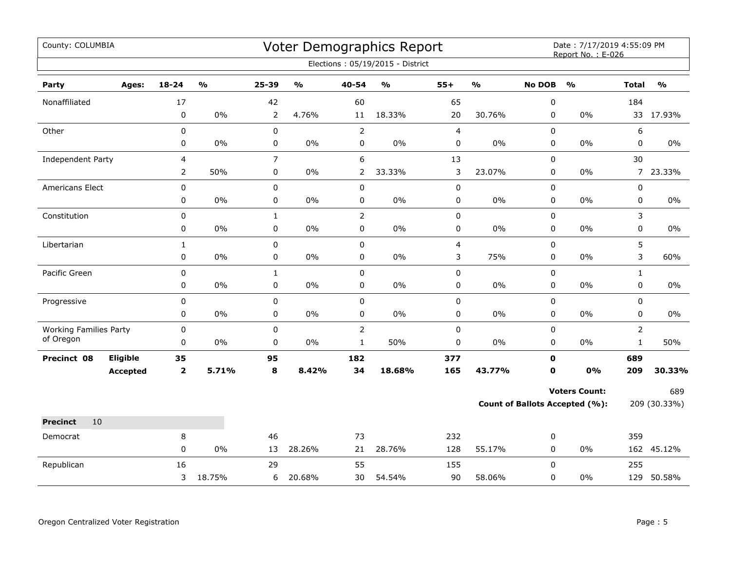| County: COLUMBIA                           |                 |                         |                         |                  |                           |                             | Voter Demographics Report<br>Elections: 05/19/2015 - District |                |                         |                | Date: 7/17/2019 4:55:09 PM<br>Report No.: E-026        |                                |                         |
|--------------------------------------------|-----------------|-------------------------|-------------------------|------------------|---------------------------|-----------------------------|---------------------------------------------------------------|----------------|-------------------------|----------------|--------------------------------------------------------|--------------------------------|-------------------------|
| Party                                      | Ages:           | 18-24                   | $\mathbf{O}/\mathbf{o}$ | 25-39            | $\mathbf{o}_{\mathbf{0}}$ | 40-54                       | $\mathsf{o}\mathsf{v}_\mathsf{o}$                             | $55+$          | $\mathbf{O}/\mathbf{o}$ | <b>No DOB</b>  | $\mathbf{O}/\mathbf{o}$                                | <b>Total</b>                   | $\mathbf{O}/\mathbf{o}$ |
| Nonaffiliated                              |                 | 17                      |                         | 42               |                           | 60                          |                                                               | 65             |                         | 0              |                                                        | 184                            |                         |
|                                            |                 | 0                       | 0%                      | $\overline{2}$   | 4.76%                     | 11                          | 18.33%                                                        | 20             | 30.76%                  | 0              | 0%                                                     |                                | 33 17.93%               |
| Other                                      |                 | $\pmb{0}$               |                         | $\mathbf 0$      |                           | $\overline{2}$              |                                                               | $\overline{4}$ |                         | $\pmb{0}$      |                                                        | 6                              |                         |
|                                            |                 | 0                       | 0%                      | 0                | 0%                        | $\mathbf 0$                 | $0\%$                                                         | 0              | $0\%$                   | 0              | 0%                                                     | 0                              | 0%                      |
| Independent Party                          |                 | 4                       |                         | $\overline{7}$   |                           | 6                           |                                                               | 13             |                         | 0              |                                                        | 30                             |                         |
|                                            |                 | $\overline{2}$          | 50%                     | 0                | 0%                        | 2                           | 33.33%                                                        | 3              | 23.07%                  | 0              | 0%                                                     |                                | 7 23.33%                |
| Americans Elect                            |                 | $\pmb{0}$               |                         | 0                |                           | $\mathbf 0$                 |                                                               | $\mathbf 0$    |                         | 0              |                                                        | 0                              |                         |
|                                            |                 | 0                       | 0%                      | 0                | $0\%$                     | $\pmb{0}$                   | 0%                                                            | $\pmb{0}$      | $0\%$                   | $\pmb{0}$      | 0%                                                     | 0                              | 0%                      |
| Constitution                               |                 | $\pmb{0}$               |                         | $\mathbf{1}$     |                           | $\mathbf 2$                 |                                                               | $\pmb{0}$      |                         | 0              |                                                        | 3                              |                         |
|                                            |                 | $\pmb{0}$               | $0\%$                   | $\pmb{0}$        | $0\%$                     | $\pmb{0}$                   | $0\%$                                                         | 0              | $0\%$                   | 0              | $0\%$                                                  | 0                              | $0\%$                   |
| Libertarian                                |                 | $\mathbf{1}$            |                         | 0                |                           | $\mathbf 0$                 |                                                               | $\overline{4}$ |                         | 0              |                                                        | 5                              |                         |
|                                            |                 | 0                       | 0%                      | $\mathbf 0$      | 0%                        | 0                           | $0\%$                                                         | 3              | 75%                     | 0              | 0%                                                     | 3                              | 60%                     |
| Pacific Green                              |                 | $\pmb{0}$               |                         | $\mathbf{1}$     |                           | $\mathbf 0$                 |                                                               | $\pmb{0}$      |                         | $\pmb{0}$      |                                                        | $\mathbf{1}$                   |                         |
|                                            |                 | $\pmb{0}$               | 0%                      | 0                | 0%                        | $\pmb{0}$                   | $0\%$                                                         | 0              | $0\%$                   | 0              | 0%                                                     | 0                              | 0%                      |
| Progressive                                |                 | $\mathbf 0$             |                         | 0                |                           | $\mathbf 0$                 |                                                               | $\pmb{0}$      |                         | $\mathbf 0$    |                                                        | 0                              |                         |
|                                            |                 | 0                       | 0%                      | 0                | $0\%$                     | 0                           | $0\%$                                                         | 0              | $0\%$                   | 0              | 0%                                                     | 0                              | $0\%$                   |
| <b>Working Families Party</b><br>of Oregon |                 | $\pmb{0}$<br>0          | 0%                      | $\mathbf 0$<br>0 | 0%                        | $\mathbf 2$<br>$\mathbf{1}$ | 50%                                                           | $\pmb{0}$<br>0 | 0%                      | $\pmb{0}$<br>0 | 0%                                                     | $\overline{2}$<br>$\mathbf{1}$ | 50%                     |
| Precinct 08                                | Eligible        | 35                      |                         | 95               |                           | 182                         |                                                               | 377            |                         | $\mathbf 0$    |                                                        | 689                            |                         |
|                                            | <b>Accepted</b> | $\overline{\mathbf{2}}$ | 5.71%                   | 8                | 8.42%                     | 34                          | 18.68%                                                        | 165            | 43.77%                  | $\mathbf 0$    | 0%                                                     | 209                            | 30.33%                  |
|                                            |                 |                         |                         |                  |                           |                             |                                                               |                |                         |                |                                                        |                                |                         |
|                                            |                 |                         |                         |                  |                           |                             |                                                               |                |                         |                | <b>Voters Count:</b><br>Count of Ballots Accepted (%): |                                | 689<br>209 (30.33%)     |
|                                            |                 |                         |                         |                  |                           |                             |                                                               |                |                         |                |                                                        |                                |                         |
| <b>Precinct</b><br>10                      |                 |                         |                         |                  |                           |                             |                                                               |                |                         |                |                                                        |                                |                         |
| Democrat                                   |                 | 8<br>0                  | 0%                      | 46<br>13         | 28.26%                    | 73<br>21                    | 28.76%                                                        | 232<br>128     | 55.17%                  | 0<br>0         | 0%                                                     | 359                            | 162 45.12%              |
| Republican                                 |                 | 16                      |                         | 29               |                           | 55                          |                                                               | 155            |                         | 0              |                                                        | 255                            |                         |
|                                            |                 | 3                       | 18.75%                  | 6                | 20.68%                    | 30                          | 54.54%                                                        | 90             | 58.06%                  | 0              | 0%                                                     |                                | 129 50.58%              |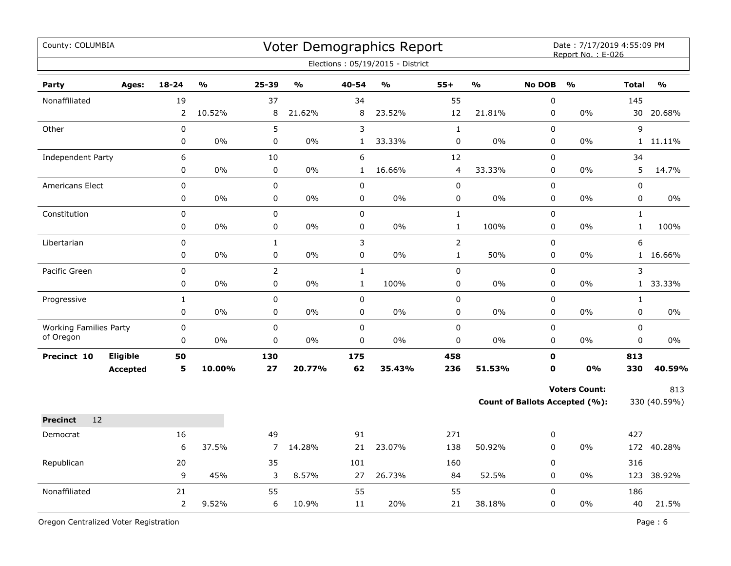| County: COLUMBIA                           |                 |                  |        |                     |               |                             | Voter Demographics Report<br>Elections: 05/19/2015 - District |                         |               |                  | Date: 7/17/2019 4:55:09 PM<br>Report No.: E-026 |                             |               |
|--------------------------------------------|-----------------|------------------|--------|---------------------|---------------|-----------------------------|---------------------------------------------------------------|-------------------------|---------------|------------------|-------------------------------------------------|-----------------------------|---------------|
| Party                                      | Ages:           | $18 - 24$        | %      | 25-39               | $\frac{0}{0}$ | 40-54                       | $\frac{0}{0}$                                                 | $55+$                   | $\frac{9}{6}$ | <b>No DOB</b>    | $\frac{9}{0}$                                   | <b>Total</b>                | $\frac{0}{0}$ |
| Nonaffiliated                              |                 | 19               |        | 37                  |               | 34                          |                                                               | 55                      |               | 0                |                                                 | 145                         |               |
|                                            |                 | $\overline{2}$   | 10.52% | 8                   | 21.62%        | 8                           | 23.52%                                                        | 12                      | 21.81%        | 0                | 0%                                              | 30                          | 20.68%        |
| Other                                      |                 | 0                |        | 5                   |               | $\mathsf{3}$                |                                                               | $\mathbf 1$             |               | $\Omega$         |                                                 | 9                           |               |
|                                            |                 | 0                | $0\%$  | 0                   | $0\%$         | $\mathbf{1}$                | 33.33%                                                        | 0                       | $0\%$         | 0                | 0%                                              |                             | 1 11.11%      |
| Independent Party                          |                 | 6                |        | 10                  |               | 6                           |                                                               | 12                      |               | 0                |                                                 | 34                          |               |
|                                            |                 | 0                | 0%     | $\mathbf 0$         | $0\%$         | $\mathbf{1}$                | 16.66%                                                        | $\overline{\mathbf{4}}$ | 33.33%        | 0                | 0%                                              | 5                           | 14.7%         |
| Americans Elect                            |                 | 0                |        | 0                   |               | $\pmb{0}$                   |                                                               | 0                       |               | $\Omega$         |                                                 | $\pmb{0}$                   |               |
|                                            |                 | 0                | 0%     | $\mathbf 0$         | $0\%$         | $\mathbf 0$                 | 0%                                                            | 0                       | 0%            | $\mathbf 0$      | 0%                                              | $\mathbf 0$                 | $0\%$         |
| Constitution                               |                 | 0                |        | $\pmb{0}$           |               | $\pmb{0}$                   |                                                               | $\mathbf 1$             |               | $\Omega$         |                                                 | $\mathbf{1}$                |               |
|                                            |                 | 0                | $0\%$  | 0                   | $0\%$         | $\pmb{0}$                   | $0\%$                                                         | $1\,$                   | 100%          | 0                | $0\%$                                           | $\mathbf 1$                 | 100%          |
| Libertarian                                |                 | 0<br>0           | 0%     | $\mathbf 1$<br>0    | $0\%$         | $\mathbf{3}$<br>$\mathbf 0$ | 0%                                                            | $\overline{2}$          |               | 0<br>0           | 0%                                              | 6                           |               |
|                                            |                 |                  |        |                     |               |                             |                                                               | $\mathbf 1$             | 50%           |                  |                                                 |                             | 1 16.66%      |
| Pacific Green                              |                 | 0<br>0           | 0%     | $\overline{2}$<br>0 | $0\%$         | $\mathbf{1}$<br>$\mathbf 1$ | 100%                                                          | 0<br>$\pmb{0}$          | 0%            | 0<br>0           | 0%                                              | 3                           | 1 33.33%      |
|                                            |                 |                  |        |                     |               |                             |                                                               |                         |               |                  |                                                 |                             |               |
| Progressive                                |                 | $\mathbf 1$<br>0 | 0%     | 0<br>0              | $0\%$         | $\pmb{0}$<br>$\mathbf 0$    | 0%                                                            | 0<br>0                  | 0%            | $\pmb{0}$<br>0   | 0%                                              | $\mathbf{1}$<br>$\mathbf 0$ | $0\%$         |
|                                            |                 |                  |        |                     |               |                             |                                                               |                         |               |                  |                                                 |                             |               |
| <b>Working Families Party</b><br>of Oregon |                 | 0<br>0           | $0\%$  | 0<br>0              | $0\%$         | $\mathbf 0$<br>$\mathbf 0$  | $0\%$                                                         | 0<br>0                  | $0\%$         | 0<br>$\mathbf 0$ | 0%                                              | $\mathbf 0$<br>0            | 0%            |
| Precinct 10                                | <b>Eligible</b> | 50               |        | 130                 |               | 175                         |                                                               | 458                     |               | $\mathbf 0$      |                                                 | 813                         |               |
|                                            | <b>Accepted</b> | 5                | 10.00% | 27                  | 20.77%        | 62                          | 35.43%                                                        | 236                     | 51.53%        | $\mathbf 0$      | <b>0%</b>                                       | 330                         | 40.59%        |
|                                            |                 |                  |        |                     |               |                             |                                                               |                         |               |                  | <b>Voters Count:</b>                            |                             | 813           |
|                                            |                 |                  |        |                     |               |                             |                                                               |                         |               |                  | Count of Ballots Accepted (%):                  |                             | 330 (40.59%)  |
| 12                                         |                 |                  |        |                     |               |                             |                                                               |                         |               |                  |                                                 |                             |               |
| <b>Precinct</b>                            |                 |                  |        |                     |               |                             |                                                               | 271                     |               |                  |                                                 | 427                         |               |
| Democrat                                   |                 | 16<br>6          | 37.5%  | 49<br>7             | 14.28%        | 91<br>21                    | 23.07%                                                        | 138                     | 50.92%        | 0<br>0           | 0%                                              |                             | 172 40.28%    |
| Republican                                 |                 | 20               |        |                     |               | 101                         |                                                               | 160                     |               | 0                |                                                 |                             |               |
|                                            |                 | 9                | 45%    | 35<br>3             | 8.57%         | 27                          | 26.73%                                                        | 84                      | 52.5%         | $\mathbf 0$      | 0%                                              | 316                         | 123 38.92%    |
| Nonaffiliated                              |                 | 21               |        | 55                  |               | 55                          |                                                               | 55                      |               | 0                |                                                 | 186                         |               |
|                                            |                 | $\overline{2}$   | 9.52%  | 6                   | 10.9%         | 11                          | 20%                                                           | 21                      | 38.18%        | 0                | 0%                                              | 40                          | 21.5%         |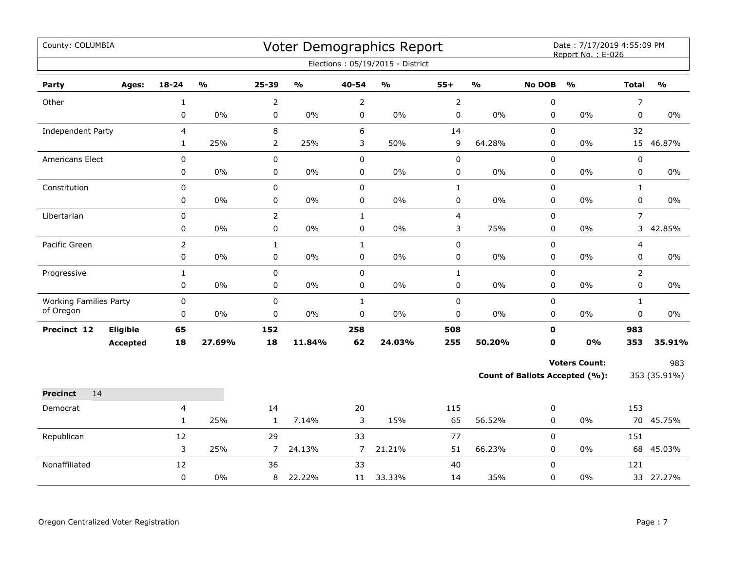| County: COLUMBIA                           |                             |                  |               |                |               |                           | Voter Demographics Report<br>Elections: 05/19/2015 - District |                        |               |                             | Date: 7/17/2019 4:55:09 PM<br>Report No.: E-026 |                             |               |
|--------------------------------------------|-----------------------------|------------------|---------------|----------------|---------------|---------------------------|---------------------------------------------------------------|------------------------|---------------|-----------------------------|-------------------------------------------------|-----------------------------|---------------|
| Party                                      | Ages:                       | 18-24            | $\frac{0}{0}$ | 25-39          | $\frac{1}{2}$ | 40-54                     | $\frac{1}{2}$                                                 | $55+$                  | $\frac{1}{2}$ | <b>No DOB</b>               | $\frac{1}{2}$                                   | <b>Total</b>                | $\frac{1}{2}$ |
| Other                                      |                             | 1                |               | $\overline{2}$ |               | $\overline{2}$            |                                                               | $\overline{2}$         |               | 0                           |                                                 | 7                           |               |
|                                            |                             | 0                | 0%            | 0              | 0%            | 0                         | $0\%$                                                         | $\pmb{0}$              | 0%            | $\mathbf 0$                 | $0\%$                                           | $\mathbf 0$                 | 0%            |
| Independent Party                          |                             | $\overline{4}$   |               | 8              |               | 6                         |                                                               | 14                     |               | 0                           |                                                 | 32                          |               |
|                                            |                             | $\mathbf{1}$     | 25%           | $\overline{2}$ | 25%           | 3                         | 50%                                                           | 9                      | 64.28%        | 0                           | $0\%$                                           | 15                          | 46.87%        |
| Americans Elect                            |                             | 0                |               | 0              |               | $\mathbf 0$               |                                                               | $\pmb{0}$              |               | $\mathbf 0$                 |                                                 | $\pmb{0}$                   |               |
|                                            |                             | 0                | 0%            | 0              | 0%            | $\mathbf 0$               | 0%                                                            | $\pmb{0}$              | 0%            | 0                           | $0\%$                                           | $\mathbf 0$                 | 0%            |
| Constitution                               |                             | $\pmb{0}$        |               | $\pmb{0}$      |               | $\mathbf 0$               |                                                               | $\mathbf 1$            |               | $\mathbf 0$                 |                                                 | $\mathbf{1}$                |               |
|                                            |                             | $\pmb{0}$        | 0%            | 0              | $0\%$         | 0                         | $0\%$                                                         | $\pmb{0}$              | 0%            | $\mathbf 0$                 | 0%                                              | 0                           | $0\%$         |
| Libertarian                                |                             | $\pmb{0}$        |               | $\overline{2}$ |               | $\mathbf{1}$              |                                                               | $\overline{4}$         |               | $\pmb{0}$                   |                                                 | $\overline{7}$              |               |
|                                            |                             | 0                | 0%            | $\pmb{0}$      | $0\%$         | $\pmb{0}$                 | $0\%$                                                         | 3                      | 75%           | 0                           | $0\%$                                           | 3                           | 42.85%        |
| Pacific Green                              |                             | $\overline{2}$   |               | $\mathbf{1}$   |               | $\mathbf{1}$              |                                                               | $\pmb{0}$              |               | $\mathbf 0$                 |                                                 | 4                           |               |
|                                            |                             | 0                | 0%            | 0              | 0%            | $\pmb{0}$                 | $0\%$                                                         | $\pmb{0}$              | 0%            | 0                           | 0%                                              | 0                           | 0%            |
| Progressive                                |                             | $\mathbf{1}$     |               | $\pmb{0}$      |               | $\pmb{0}$                 |                                                               | $\mathbf{1}$           |               | $\mathsf 0$                 |                                                 | $\overline{2}$              |               |
|                                            |                             | $\pmb{0}$        | $0\%$         | 0              | $0\%$         | 0                         | $0\%$                                                         | $\pmb{0}$              | $0\%$         | $\pmb{0}$                   | $0\%$                                           | 0                           | $0\%$         |
| <b>Working Families Party</b><br>of Oregon |                             | 0<br>$\mathbf 0$ | 0%            | $\pmb{0}$<br>0 | $0\%$         | $\mathbf{1}$<br>$\pmb{0}$ | $0\%$                                                         | $\pmb{0}$<br>$\pmb{0}$ | 0%            | $\mathbf 0$<br>$\mathbf 0$  | 0%                                              | $\mathbf{1}$<br>$\mathbf 0$ | $0\%$         |
|                                            |                             |                  |               |                |               |                           |                                                               |                        |               |                             |                                                 |                             |               |
| Precinct 12                                | Eligible<br><b>Accepted</b> | 65<br>18         | 27.69%        | 152<br>18      | 11.84%        | 258<br>62                 | 24.03%                                                        | 508<br>255             | 50.20%        | $\mathbf 0$<br>$\mathbf{0}$ | 0%                                              | 983<br>353                  | 35.91%        |
|                                            |                             |                  |               |                |               |                           |                                                               |                        |               |                             |                                                 |                             |               |
|                                            |                             |                  |               |                |               |                           |                                                               |                        |               |                             | <b>Voters Count:</b>                            |                             | 983           |
|                                            |                             |                  |               |                |               |                           |                                                               |                        |               |                             | Count of Ballots Accepted (%):                  |                             | 353 (35.91%)  |
| <b>Precinct</b><br>14                      |                             |                  |               |                |               |                           |                                                               |                        |               |                             |                                                 |                             |               |
| Democrat                                   |                             | 4                |               | 14             |               | 20                        |                                                               | 115                    |               | 0                           |                                                 | 153                         |               |
|                                            |                             | $\mathbf{1}$     | 25%           | $\mathbf{1}$   | 7.14%         | 3                         | 15%                                                           | 65                     | 56.52%        | $\mathbf 0$                 | $0\%$                                           |                             | 70 45.75%     |
| Republican                                 |                             | 12               |               | 29             |               | 33                        |                                                               | 77                     |               | $\mathbf 0$                 |                                                 | 151                         |               |
|                                            |                             | 3                | 25%           | 7              | 24.13%        | $\overline{7}$            | 21.21%                                                        | 51                     | 66.23%        | 0                           | $0\%$                                           |                             | 68 45.03%     |
| Nonaffiliated                              |                             | 12<br>$\pmb{0}$  | 0%            | 36<br>8        | 22.22%        | 33<br>11                  | 33.33%                                                        | 40<br>14               | 35%           | $\Omega$<br>0               | 0%                                              | 121                         | 33 27.27%     |
|                                            |                             |                  |               |                |               |                           |                                                               |                        |               |                             |                                                 |                             |               |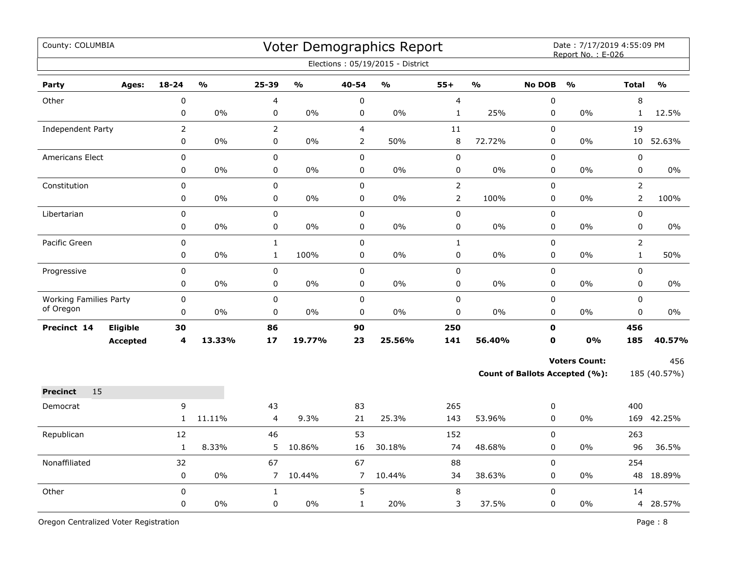| County: COLUMBIA                           |                 |                |               |                |               |                | Voter Demographics Report<br>Elections: 05/19/2015 - District |                         |               |                            | Date: 7/17/2019 4:55:09 PM<br>Report No.: E-026 |                 |               |
|--------------------------------------------|-----------------|----------------|---------------|----------------|---------------|----------------|---------------------------------------------------------------|-------------------------|---------------|----------------------------|-------------------------------------------------|-----------------|---------------|
| Party                                      | Ages:           | $18 - 24$      | $\frac{0}{0}$ | 25-39          | $\frac{0}{0}$ | 40-54          | $\mathbf{O}/\mathbf{O}$                                       | $55+$                   | $\frac{1}{2}$ | <b>No DOB</b>              | $\frac{0}{0}$                                   | <b>Total</b>    | $\frac{0}{0}$ |
| Other                                      |                 | $\pmb{0}$      |               | 4              |               | $\pmb{0}$      |                                                               | $\overline{\mathbf{4}}$ |               | 0                          |                                                 | $\,8\,$         |               |
|                                            |                 | 0              | 0%            | 0              | $0\%$         | $\pmb{0}$      | 0%                                                            | $\mathbf{1}$            | 25%           | 0                          | 0%                                              | $\mathbf{1}$    | 12.5%         |
| Independent Party                          |                 | $\overline{2}$ |               | $\overline{2}$ |               | $\overline{4}$ |                                                               | 11                      |               | 0                          |                                                 | 19              |               |
|                                            |                 | 0              | 0%            | 0              | 0%            | $\overline{2}$ | 50%                                                           | 8                       | 72.72%        | 0                          | 0%                                              | 10 <sub>1</sub> | 52.63%        |
| <b>Americans Elect</b>                     |                 | 0              |               | 0              |               | $\pmb{0}$      |                                                               | $\pmb{0}$               |               | 0                          |                                                 | $\pmb{0}$       |               |
|                                            |                 | 0              | 0%            | 0              | 0%            | $\pmb{0}$      | 0%                                                            | 0                       | 0%            | 0                          | 0%                                              | $\pmb{0}$       | 0%            |
| Constitution                               |                 | 0              |               | 0              |               | $\pmb{0}$      |                                                               | $\overline{2}$          |               | 0                          |                                                 | $\overline{2}$  |               |
|                                            |                 | 0              | 0%            | 0              | 0%            | $\pmb{0}$      | 0%                                                            | $\overline{2}$          | 100%          | 0                          | 0%                                              | $\overline{2}$  | 100%          |
| Libertarian                                |                 | 0              |               | 0              |               | $\pmb{0}$      |                                                               | 0                       |               | 0                          |                                                 | $\pmb{0}$       |               |
|                                            |                 | 0              | 0%            | 0              | $0\%$         | 0              | 0%                                                            | 0                       | $0\%$         | 0                          | $0\%$                                           | 0               | 0%            |
| Pacific Green                              |                 | 0              |               | $\mathbf{1}$   |               | $\mathbf 0$    |                                                               | $\mathbf{1}$            |               | 0                          |                                                 | $\overline{2}$  |               |
|                                            |                 | 0              | 0%            | $\mathbf{1}$   | 100%          | $\pmb{0}$      | $0\%$                                                         | 0                       | $0\%$         | 0                          | 0%                                              | $\mathbf{1}$    | 50%           |
| Progressive                                |                 | 0              |               | 0              |               | $\pmb{0}$      |                                                               | 0                       |               | 0                          |                                                 | $\mathbf 0$     |               |
|                                            |                 | 0              | 0%            | 0              | $0\%$         | 0              | 0%                                                            | 0                       | 0%            | 0                          | 0%                                              | $\mathbf 0$     | 0%            |
| <b>Working Families Party</b><br>of Oregon |                 | 0              |               | 0              |               | $\mathbf 0$    |                                                               | 0                       |               | 0                          |                                                 | $\mathbf 0$     |               |
|                                            |                 | 0              | 0%            | 0              | $0\%$         | $\pmb{0}$      | 0%                                                            | 0                       | 0%            | $\mathbf 0$                | 0%                                              | $\mathbf 0$     | 0%            |
| Precinct 14                                | Eligible        | 30<br>4        | 13.33%        | 86<br>17       | 19.77%        | 90<br>23       | 25.56%                                                        | 250<br>141              | 56.40%        | $\mathbf 0$<br>$\mathbf 0$ | 0%                                              | 456<br>185      |               |
|                                            | <b>Accepted</b> |                |               |                |               |                |                                                               |                         |               |                            |                                                 |                 | 40.57%        |
|                                            |                 |                |               |                |               |                |                                                               |                         |               |                            | <b>Voters Count:</b>                            |                 | 456           |
|                                            |                 |                |               |                |               |                |                                                               |                         |               |                            | Count of Ballots Accepted (%):                  |                 | 185 (40.57%)  |
| 15<br><b>Precinct</b>                      |                 |                |               |                |               |                |                                                               |                         |               |                            |                                                 |                 |               |
| Democrat                                   |                 | 9              |               | 43             |               | 83             |                                                               | 265                     |               | 0                          |                                                 | 400             |               |
|                                            |                 | $\mathbf{1}$   | 11.11%        | 4              | 9.3%          | 21             | 25.3%                                                         | 143                     | 53.96%        | 0                          | 0%                                              | 169             | 42.25%        |
| Republican                                 |                 | 12             |               | 46             |               | 53             |                                                               | 152                     |               | 0                          |                                                 | 263             |               |
|                                            |                 | $\mathbf{1}$   | 8.33%         | 5              | 10.86%        | 16             | 30.18%                                                        | 74                      | 48.68%        | 0                          | 0%                                              | 96              | 36.5%         |
| Nonaffiliated                              |                 | 32             |               | 67             |               | 67             |                                                               | 88                      |               | 0                          |                                                 | 254             |               |
|                                            |                 | 0              | $0\%$         | $\overline{7}$ | 10.44%        | $\overline{7}$ | 10.44%                                                        | 34                      | 38.63%        | 0                          | 0%                                              |                 | 48 18.89%     |
| Other                                      |                 | 0              |               | $\mathbf{1}$   |               | 5              |                                                               | 8                       |               | 0                          |                                                 | 14              |               |
|                                            |                 | 0              | 0%            | 0              | 0%            | $\mathbf{1}$   | 20%                                                           | 3                       | 37.5%         | 0                          | 0%                                              |                 | 4 28.57%      |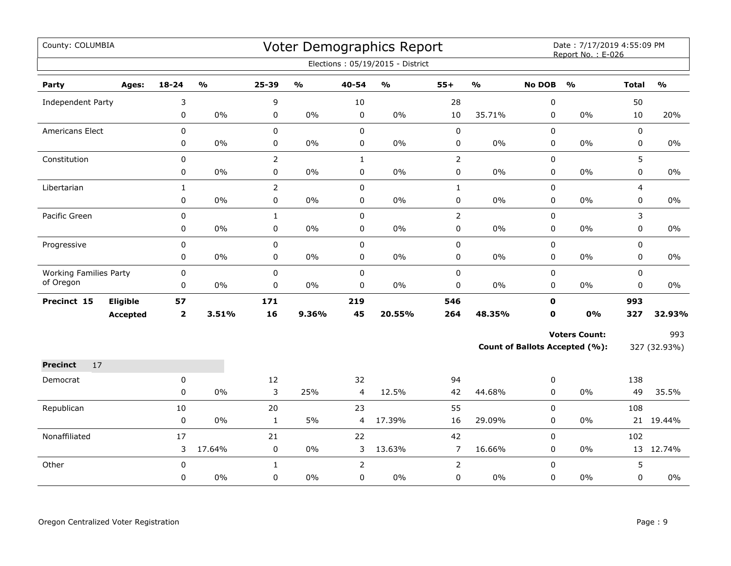| County: COLUMBIA              |                 |                |                         |                |                         |                | Voter Demographics Report<br>Elections: 05/19/2015 - District |                |                         |               | Date: 7/17/2019 4:55:09 PM<br>Report No.: E-026 |              |                         |
|-------------------------------|-----------------|----------------|-------------------------|----------------|-------------------------|----------------|---------------------------------------------------------------|----------------|-------------------------|---------------|-------------------------------------------------|--------------|-------------------------|
| Party                         | Ages:           | $18 - 24$      | $\mathbf{0}/\mathbf{0}$ | 25-39          | $\mathbf{O}/\mathbf{o}$ | 40-54          | $\mathsf{o}\mathsf{v}_\mathsf{o}$                             | $55+$          | $\mathbf{0}/\mathbf{0}$ | <b>No DOB</b> | $\mathbf{O}/\mathbf{O}$                         | <b>Total</b> | $\mathbf{O}/\mathbf{O}$ |
| Independent Party             |                 | 3              |                         | 9              |                         | 10             |                                                               | 28             |                         | $\pmb{0}$     |                                                 | 50           |                         |
|                               |                 | 0              | $0\%$                   | 0              | 0%                      | $\mathbf 0$    | $0\%$                                                         | 10             | 35.71%                  | 0             | 0%                                              | 10           | 20%                     |
| Americans Elect               |                 | 0              |                         | $\pmb{0}$      |                         | $\pmb{0}$      |                                                               | $\pmb{0}$      |                         | $\pmb{0}$     |                                                 | 0            |                         |
|                               |                 | 0              | 0%                      | $\pmb{0}$      | $0\%$                   | $\mathsf 0$    | 0%                                                            | $\pmb{0}$      | $0\%$                   | 0             | 0%                                              | 0            | 0%                      |
| Constitution                  |                 | 0              |                         | $\overline{2}$ |                         | $\mathbf{1}$   |                                                               | $\mathbf 2$    |                         | 0             |                                                 | 5            |                         |
|                               |                 | 0              | $0\%$                   | $\mathsf 0$    | $0\%$                   | $\pmb{0}$      | $0\%$                                                         | $\pmb{0}$      | $0\%$                   | 0             | $0\%$                                           | 0            | $0\%$                   |
| Libertarian                   |                 | $\mathbf{1}$   |                         | $\overline{2}$ |                         | $\pmb{0}$      |                                                               | $1\,$          |                         | 0             |                                                 | 4            |                         |
|                               |                 | 0              | 0%                      | $\mathbf 0$    | 0%                      | $\mathbf 0$    | 0%                                                            | 0              | $0\%$                   | $\mathbf 0$   | 0%                                              | 0            | $0\%$                   |
| Pacific Green                 |                 | 0              |                         | $\mathbf{1}$   |                         | $\mathbf 0$    |                                                               | $\overline{2}$ |                         | 0             |                                                 | 3            |                         |
|                               |                 | 0              | 0%                      | 0              | $0\%$                   | 0              | 0%                                                            | 0              | $0\%$                   | 0             | $0\%$                                           | 0            | $0\%$                   |
| Progressive                   |                 | $\mathbf 0$    |                         | $\pmb{0}$      |                         | $\mathbf 0$    |                                                               | $\pmb{0}$      |                         | $\mathbf 0$   |                                                 | 0            |                         |
|                               |                 | 0              | 0%                      | $\pmb{0}$      | 0%                      | $\mathbf 0$    | 0%                                                            | $\pmb{0}$      | $0\%$                   | $\mathbf 0$   | 0%                                              | 0            | $0\%$                   |
| <b>Working Families Party</b> |                 | 0              |                         | $\pmb{0}$      |                         | $\mathbf 0$    |                                                               | $\pmb{0}$      |                         | 0             |                                                 | 0            |                         |
| of Oregon                     |                 | 0              | $0\%$                   | $\pmb{0}$      | 0%                      | $\pmb{0}$      | $0\%$                                                         | $\pmb{0}$      | $0\%$                   | 0             | $0\%$                                           | 0            | 0%                      |
| Precinct 15                   | Eligible        | 57             |                         | 171            |                         | 219            |                                                               | 546            |                         | $\mathbf 0$   |                                                 | 993          |                         |
|                               | <b>Accepted</b> | $\overline{2}$ | 3.51%                   | 16             | 9.36%                   | 45             | 20.55%                                                        | 264            | 48.35%                  | 0             | 0%                                              | 327          | 32.93%                  |
|                               |                 |                |                         |                |                         |                |                                                               |                |                         |               | <b>Voters Count:</b>                            |              | 993                     |
|                               |                 |                |                         |                |                         |                |                                                               |                |                         |               | Count of Ballots Accepted (%):                  |              | 327 (32.93%)            |
| 17<br><b>Precinct</b>         |                 |                |                         |                |                         |                |                                                               |                |                         |               |                                                 |              |                         |
| Democrat                      |                 | 0              |                         | 12             |                         | 32             |                                                               | 94             |                         | 0             |                                                 | 138          |                         |
|                               |                 | 0              | $0\%$                   | 3              | 25%                     | $\overline{4}$ | 12.5%                                                         | 42             | 44.68%                  | 0             | $0\%$                                           | 49           | 35.5%                   |
| Republican                    |                 | 10             |                         | 20             |                         | 23             |                                                               | 55             |                         | $\Omega$      |                                                 | 108          |                         |
|                               |                 | 0              | $0\%$                   | $\mathbf{1}$   | 5%                      | 4              | 17.39%                                                        | 16             | 29.09%                  | 0             | 0%                                              |              | 21 19.44%               |
| Nonaffiliated                 |                 | 17             |                         | 21             |                         | 22             |                                                               | 42             |                         | $\mathbf 0$   |                                                 | 102          |                         |
|                               |                 | 3              | 17.64%                  | 0              | $0\%$                   | 3              | 13.63%                                                        | $\overline{7}$ | 16.66%                  | 0             | $0\%$                                           |              | 13 12.74%               |
| Other                         |                 | 0              |                         | $\mathbf{1}$   |                         | $\overline{2}$ |                                                               | $\mathbf 2$    |                         | $\mathbf 0$   |                                                 | 5            |                         |
|                               |                 | 0              | $0\%$                   | 0              | $0\%$                   | $\mathbf 0$    | 0%                                                            | 0              | $0\%$                   | $\mathbf 0$   | 0%                                              | 0            | $0\%$                   |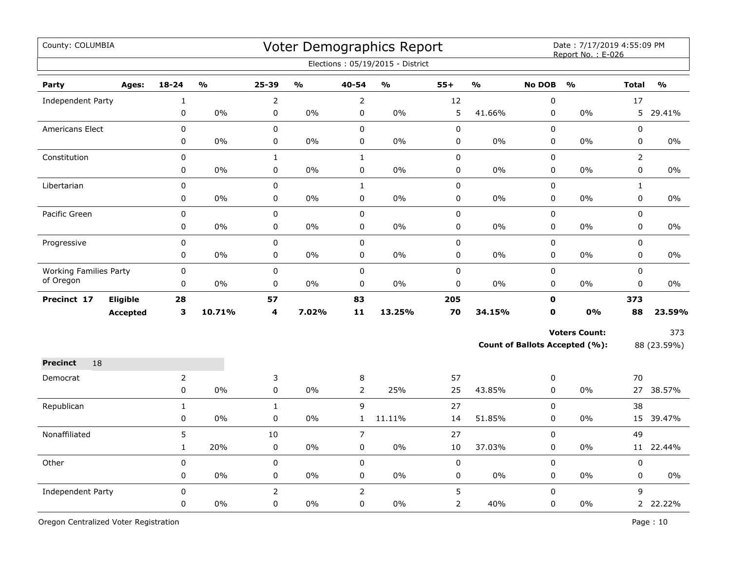| County: COLUMBIA                           |                 |                |               |                |               |                | Voter Demographics Report<br>Elections: 05/19/2015 - District |                |               |               | Date: 7/17/2019 4:55:09 PM<br>Report No.: E-026 |                |               |
|--------------------------------------------|-----------------|----------------|---------------|----------------|---------------|----------------|---------------------------------------------------------------|----------------|---------------|---------------|-------------------------------------------------|----------------|---------------|
| Party                                      | Ages:           | $18 - 24$      | $\frac{0}{0}$ | 25-39          | $\frac{0}{0}$ | 40-54          | $\frac{9}{6}$                                                 | $55+$          | $\frac{9}{6}$ | <b>No DOB</b> | $\frac{0}{0}$                                   | <b>Total</b>   | $\frac{0}{0}$ |
| Independent Party                          |                 | $\mathbf{1}$   |               | $\overline{2}$ |               | $\overline{2}$ |                                                               | 12             |               | $\mathbf 0$   |                                                 | 17             |               |
|                                            |                 | 0              | $0\%$         | 0              | 0%            | 0              | 0%                                                            | 5              | 41.66%        | $\mathbf 0$   | 0%                                              | 5              | 29.41%        |
| Americans Elect                            |                 | $\mathbf 0$    |               | 0              |               | $\mathbf 0$    |                                                               | 0              |               | $\mathbf 0$   |                                                 | 0              |               |
|                                            |                 | 0              | 0%            | 0              | 0%            | 0              | 0%                                                            | 0              | 0%            | $\pmb{0}$     | 0%                                              | 0              | 0%            |
| Constitution                               |                 | 0              |               | $\mathbf{1}$   |               | $\mathbf{1}$   |                                                               | 0              |               | $\mathbf 0$   |                                                 | $\overline{2}$ |               |
|                                            |                 | 0              | 0%            | 0              | 0%            | 0              | 0%                                                            | 0              | 0%            | 0             | 0%                                              | 0              | $0\%$         |
| Libertarian                                |                 | 0              |               | 0              |               | $\mathbf{1}$   |                                                               | 0              |               | $\mathbf 0$   |                                                 | $\mathbf{1}$   |               |
|                                            |                 | 0              | $0\%$         | 0              | 0%            | 0              | $0\%$                                                         | 0              | 0%            | 0             | $0\%$                                           | $\pmb{0}$      | 0%            |
| Pacific Green                              |                 | 0              |               | 0              |               | 0              |                                                               | $\mathsf 0$    |               | $\pmb{0}$     |                                                 | $\pmb{0}$      |               |
|                                            |                 | 0              | 0%            | 0              | $0\%$         | 0              | 0%                                                            | 0              | 0%            | $\pmb{0}$     | $0\%$                                           | $\pmb{0}$      | $0\%$         |
| Progressive                                |                 | 0              |               | 0              |               | $\pmb{0}$      |                                                               | 0              |               | $\pmb{0}$     |                                                 | $\pmb{0}$      |               |
|                                            |                 | 0              | 0%            | 0              | 0%            | 0              | 0%                                                            | 0              | 0%            | 0             | 0%                                              | 0              | 0%            |
| <b>Working Families Party</b><br>of Oregon |                 | 0              |               | 0              |               | $\pmb{0}$      |                                                               | $\pmb{0}$      |               | 0             |                                                 | 0              |               |
|                                            |                 | 0              | 0%            | $\mathbf 0$    | 0%            | 0              | 0%                                                            | 0              | 0%            | $\mathbf 0$   | 0%                                              | 0              | $0\%$         |
| Precinct 17                                | <b>Eligible</b> | 28             |               | 57             |               | 83             |                                                               | 205            |               | $\mathbf{0}$  |                                                 | 373            |               |
|                                            | <b>Accepted</b> | 3              | 10.71%        | 4              | 7.02%         | 11             | 13.25%                                                        | 70             | 34.15%        | 0             | 0%                                              | 88             | 23.59%        |
|                                            |                 |                |               |                |               |                |                                                               |                |               |               | <b>Voters Count:</b>                            |                | 373           |
|                                            |                 |                |               |                |               |                |                                                               |                |               |               | <b>Count of Ballots Accepted (%):</b>           |                | 88 (23.59%)   |
| 18<br><b>Precinct</b>                      |                 |                |               |                |               |                |                                                               |                |               |               |                                                 |                |               |
| Democrat                                   |                 | $\overline{2}$ |               | 3              |               | 8              |                                                               | 57             |               | 0             |                                                 | 70             |               |
|                                            |                 | 0              | 0%            | 0              | 0%            | $\overline{2}$ | 25%                                                           | 25             | 43.85%        | $\mathbf 0$   | 0%                                              | 27             | 38.57%        |
| Republican                                 |                 | $\mathbf{1}$   |               | $\mathbf{1}$   |               | 9              |                                                               | 27             |               | $\pmb{0}$     |                                                 | 38             |               |
|                                            |                 | 0              | $0\%$         | 0              | 0%            | $\mathbf{1}$   | 11.11%                                                        | 14             | 51.85%        | $\pmb{0}$     | 0%                                              | 15             | 39.47%        |
| Nonaffiliated                              |                 | 5              |               | 10             |               | $\overline{7}$ |                                                               | 27             |               | $\pmb{0}$     |                                                 | 49             |               |
|                                            |                 | $\mathbf{1}$   | 20%           | $\pmb{0}$      | 0%            | 0              | 0%                                                            | 10             | 37.03%        | 0             | 0%                                              | 11             | 22.44%        |
| Other                                      |                 | 0              |               | 0              |               | $\pmb{0}$      |                                                               | $\pmb{0}$      |               | 0             |                                                 | $\pmb{0}$      |               |
|                                            |                 | 0              | 0%            | 0              | 0%            | 0              | 0%                                                            | 0              | 0%            | 0             | 0%                                              | 0              | 0%            |
| Independent Party                          |                 | $\Omega$       |               | $\overline{2}$ |               | $\overline{2}$ |                                                               | 5              |               | $\Omega$      |                                                 | 9              |               |
|                                            |                 | 0              | 0%            | $\mathbf 0$    | 0%            | 0              | 0%                                                            | $\overline{2}$ | 40%           | $\mathbf 0$   | $0\%$                                           |                | 2 22.22%      |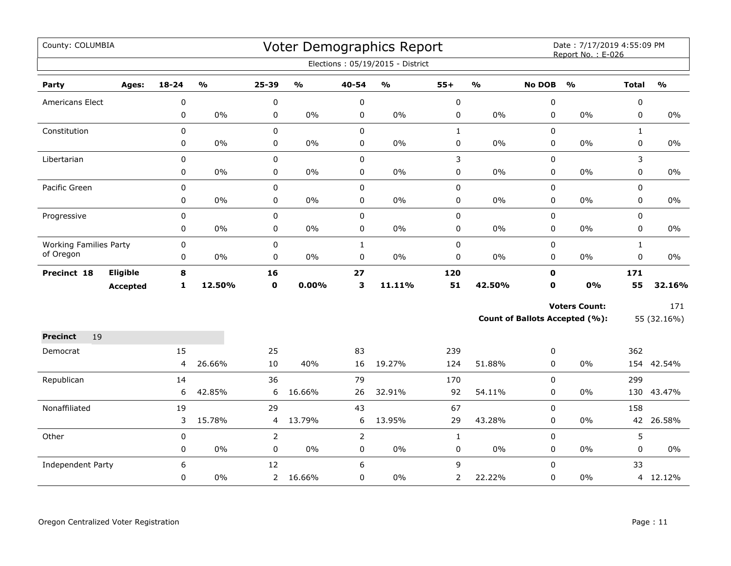| County: COLUMBIA              |                 |           |               |                |               |                | Voter Demographics Report<br>Elections: 05/19/2015 - District |                |                         |               | Date: 7/17/2019 4:55:09 PM<br>Report No.: E-026 |              |               |
|-------------------------------|-----------------|-----------|---------------|----------------|---------------|----------------|---------------------------------------------------------------|----------------|-------------------------|---------------|-------------------------------------------------|--------------|---------------|
|                               |                 |           |               |                |               |                |                                                               |                |                         |               |                                                 |              |               |
| Party                         | Ages:           | $18 - 24$ | $\frac{1}{2}$ | $25 - 39$      | $\frac{9}{0}$ | 40-54          | $\frac{1}{2}$                                                 | $55+$          | $\mathbf{O}/\mathbf{O}$ | <b>No DOB</b> | $\frac{1}{2}$                                   | <b>Total</b> | $\frac{1}{2}$ |
| Americans Elect               |                 | 0         |               | 0              |               | 0              |                                                               | $\pmb{0}$      |                         | 0             |                                                 | 0            |               |
|                               |                 | 0         | 0%            | 0              | $0\%$         | 0              | $0\%$                                                         | 0              | $0\%$                   | $\mathbf 0$   | 0%                                              | $\mathbf 0$  | $0\%$         |
| Constitution                  |                 | 0         |               | 0              |               | $\mathbf 0$    |                                                               | $\mathbf 1$    |                         | 0             |                                                 | $\mathbf{1}$ |               |
|                               |                 | 0         | $0\%$         | $\pmb{0}$      | $0\%$         | 0              | $0\%$                                                         | $\pmb{0}$      | 0%                      | $\mathbf 0$   | $0\%$                                           | 0            | $0\%$         |
| Libertarian                   |                 | 0         |               | 0              |               | $\pmb{0}$      |                                                               | 3              |                         | 0             |                                                 | 3            |               |
|                               |                 | 0         | 0%            | 0              | $0\%$         | $\pmb{0}$      | $0\%$                                                         | $\pmb{0}$      | 0%                      | 0             | 0%                                              | 0            | $0\%$         |
| Pacific Green                 |                 | 0         |               | $\mathbf 0$    |               | $\mathbf 0$    |                                                               | $\pmb{0}$      |                         | $\mathbf 0$   |                                                 | $\mathbf 0$  |               |
|                               |                 | 0         | $0\%$         | 0              | $0\%$         | $\mathbf 0$    | $0\%$                                                         | 0              | 0%                      | 0             | 0%                                              | 0            | $0\%$         |
| Progressive                   |                 | 0         |               | $\pmb{0}$      |               | $\pmb{0}$      |                                                               | $\pmb{0}$      |                         | 0             |                                                 | $\mathbf 0$  |               |
|                               |                 | 0         | $0\%$         | $\pmb{0}$      | $0\%$         | $\pmb{0}$      | $0\%$                                                         | $\pmb{0}$      | 0%                      | 0             | $0\%$                                           | 0            | $0\%$         |
| <b>Working Families Party</b> |                 | 0         |               | 0              |               | $\mathbf{1}$   |                                                               | $\pmb{0}$      |                         | $\mathbf 0$   |                                                 | $\mathbf{1}$ |               |
| of Oregon                     |                 | 0         | $0\%$         | 0              | $0\%$         | $\pmb{0}$      | $0\%$                                                         | $\pmb{0}$      | 0%                      | 0             | $0\%$                                           | 0            | $0\%$         |
| Precinct 18                   | Eligible        | 8         |               | 16             |               | 27             |                                                               | 120            |                         | $\mathbf{0}$  |                                                 | 171          |               |
|                               | <b>Accepted</b> | 1         | 12.50%        | $\mathbf 0$    | 0.00%         | 3              | 11.11%                                                        | 51             | 42.50%                  | $\mathbf 0$   | 0%                                              | 55           | 32.16%        |
|                               |                 |           |               |                |               |                |                                                               |                |                         |               | <b>Voters Count:</b>                            |              | 171           |
|                               |                 |           |               |                |               |                |                                                               |                |                         |               | <b>Count of Ballots Accepted (%):</b>           |              | 55 (32.16%)   |
| <b>Precinct</b><br>19         |                 |           |               |                |               |                |                                                               |                |                         |               |                                                 |              |               |
| Democrat                      |                 | 15        |               | 25             |               | 83             |                                                               | 239            |                         | 0             |                                                 | 362          |               |
|                               |                 | 4         | 26.66%        | 10             | 40%           | 16             | 19.27%                                                        | 124            | 51.88%                  | $\Omega$      | 0%                                              |              | 154 42.54%    |
| Republican                    |                 | 14        |               | 36             |               | 79             |                                                               | 170            |                         | $\Omega$      |                                                 | 299          |               |
|                               |                 | 6         | 42.85%        | 6              | 16.66%        | 26             | 32.91%                                                        | 92             | 54.11%                  | $\Omega$      | 0%                                              |              | 130 43.47%    |
| Nonaffiliated                 |                 | 19        |               | 29             |               | 43             |                                                               | 67             |                         | 0             |                                                 | 158          |               |
|                               |                 | 3         | 15.78%        | 4              | 13.79%        | 6              | 13.95%                                                        | 29             | 43.28%                  | 0             | $0\%$                                           | 42           | 26.58%        |
| Other                         |                 | $\pmb{0}$ |               | $\overline{2}$ |               | $\overline{2}$ |                                                               | $\mathbf{1}$   |                         | 0             |                                                 | 5            |               |
|                               |                 | 0         | $0\%$         | 0              | $0\%$         | $\pmb{0}$      | $0\%$                                                         | $\pmb{0}$      | 0%                      | 0             | $0\%$                                           | 0            | 0%            |
| Independent Party             |                 | 6         |               | 12             |               | 6              |                                                               | 9              |                         | $\Omega$      |                                                 | 33           |               |
|                               |                 | 0         | 0%            |                | 2 16.66%      | $\mathbf 0$    | 0%                                                            | $\overline{2}$ | 22.22%                  | 0             | 0%                                              |              | 4 12.12%      |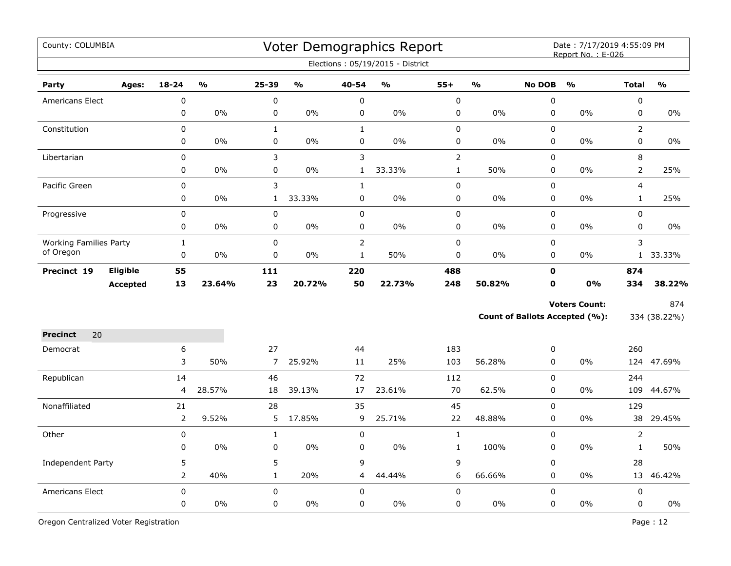| County: COLUMBIA              |                 |                |               |                |               |                | Voter Demographics Report<br>Elections: 05/19/2015 - District |                |               |               | Date: 7/17/2019 4:55:09 PM<br>Report No.: E-026 |                |                         |
|-------------------------------|-----------------|----------------|---------------|----------------|---------------|----------------|---------------------------------------------------------------|----------------|---------------|---------------|-------------------------------------------------|----------------|-------------------------|
| Party                         | Ages:           | $18 - 24$      | $\frac{0}{0}$ | $25 - 39$      | $\frac{0}{0}$ | 40-54          | $\frac{9}{6}$                                                 | $55+$          | $\frac{1}{2}$ | <b>No DOB</b> | $\frac{0}{0}$                                   | <b>Total</b>   | $\mathbf{O}/\mathbf{O}$ |
| Americans Elect               |                 | $\mathbf 0$    |               | 0              |               | $\pmb{0}$      |                                                               | $\mathbf 0$    |               | 0             |                                                 | $\pmb{0}$      |                         |
|                               |                 | 0              | 0%            | 0              | 0%            | $\pmb{0}$      | 0%                                                            | 0              | 0%            | $\pmb{0}$     | 0%                                              | $\pmb{0}$      | 0%                      |
| Constitution                  |                 | 0              |               | $\mathbf{1}$   |               | $\mathbf{1}$   |                                                               | 0              |               | 0             |                                                 | $\overline{2}$ |                         |
|                               |                 | 0              | 0%            | 0              | 0%            | $\pmb{0}$      | 0%                                                            | 0              | 0%            | $\pmb{0}$     | 0%                                              | $\pmb{0}$      | 0%                      |
| Libertarian                   |                 | 0              |               | 3              |               | 3              |                                                               | $\overline{2}$ |               | $\pmb{0}$     |                                                 | 8              |                         |
|                               |                 | 0              | $0\%$         | 0              | $0\%$         | $\mathbf{1}$   | 33.33%                                                        | $\mathbf{1}$   | 50%           | 0             | 0%                                              | $\overline{2}$ | 25%                     |
| Pacific Green                 |                 | $\overline{0}$ |               | 3              |               | $\mathbf{1}$   |                                                               | 0              |               | 0             |                                                 | $\overline{4}$ |                         |
|                               |                 | 0              | $0\%$         | $\mathbf{1}$   | 33.33%        | $\mathbf 0$    | 0%                                                            | 0              | 0%            | 0             | 0%                                              | $\mathbf{1}$   | 25%                     |
| Progressive                   |                 | 0              |               | $\pmb{0}$      |               | $\pmb{0}$      |                                                               | 0              |               | $\pmb{0}$     |                                                 | $\pmb{0}$      |                         |
|                               |                 | 0              | 0%            | $\pmb{0}$      | $0\%$         | $\pmb{0}$      | 0%                                                            | 0              | 0%            | $\mathbf 0$   | 0%                                              | $\mathbf 0$    | $0\%$                   |
| <b>Working Families Party</b> |                 | $\mathbf 1$    |               | 0              |               | $\overline{2}$ |                                                               | 0              |               | $\pmb{0}$     |                                                 | 3              |                         |
| of Oregon                     |                 | $\mathbf 0$    | 0%            | 0              | $0\%$         | $\mathbf{1}$   | 50%                                                           | 0              | 0%            | $\mathbf 0$   | 0%                                              |                | 1 33.33%                |
| Precinct 19                   | Eligible        | 55             |               | 111            |               | 220            |                                                               | 488            |               | $\mathbf 0$   |                                                 | 874            |                         |
|                               | <b>Accepted</b> | 13             | 23.64%        | 23             | 20.72%        | 50             | 22.73%                                                        | 248            | 50.82%        | $\mathbf 0$   | 0%                                              | 334            | 38.22%                  |
|                               |                 |                |               |                |               |                |                                                               |                |               |               | <b>Voters Count:</b>                            |                | 874                     |
|                               |                 |                |               |                |               |                |                                                               |                |               |               | Count of Ballots Accepted (%):                  |                | 334 (38.22%)            |
| 20<br><b>Precinct</b>         |                 |                |               |                |               |                |                                                               |                |               |               |                                                 |                |                         |
| Democrat                      |                 | 6              |               | 27             |               | 44             |                                                               | 183            |               | 0             |                                                 | 260            |                         |
|                               |                 | 3              | 50%           | $\overline{7}$ | 25.92%        | 11             | 25%                                                           | 103            | 56.28%        | 0             | 0%                                              |                | 124 47.69%              |
| Republican                    |                 | 14             |               | 46             |               | 72             |                                                               | 112            |               | 0             |                                                 | 244            |                         |
|                               |                 | 4              | 28.57%        | 18             | 39.13%        | 17             | 23.61%                                                        | 70             | 62.5%         | $\mathbf 0$   | 0%                                              | 109            | 44.67%                  |
| Nonaffiliated                 |                 | 21             |               | 28             |               | 35             |                                                               | 45             |               | $\mathbf 0$   |                                                 | 129            |                         |
|                               |                 |                | 9.52%         | 5              | 17.85%        | 9              | 25.71%                                                        | 22             | 48.88%        | $\mathbf 0$   | 0%                                              | 38             | 29.45%                  |
| Other                         |                 | $\mathbf 0$    |               | $\mathbf{1}$   |               | $\pmb{0}$      |                                                               | $\mathbf{1}$   |               | $\mathbf 0$   |                                                 | $\overline{2}$ |                         |
|                               |                 | 0              | $0\%$         | 0              | 0%            | $\pmb{0}$      | $0\%$                                                         | $\mathbf{1}$   | 100%          | $\mathbf 0$   | 0%                                              | $\mathbf{1}$   | 50%                     |
| Independent Party             |                 | 5              |               | 5              |               | 9              |                                                               | 9              |               | 0             |                                                 | 28             |                         |
|                               |                 | $\overline{2}$ | 40%           | $\mathbf{1}$   | 20%           | 4              | 44.44%                                                        | 6              | 66.66%        | 0             | 0%                                              |                | 13 46.42%               |
| <b>Americans Elect</b>        |                 | $\mathbf 0$    |               | 0              |               | $\pmb{0}$      |                                                               | 0              |               | 0             |                                                 | $\pmb{0}$      |                         |
|                               |                 | 0              | 0%            | 0              | $0\%$         | $\mathsf 0$    | 0%                                                            | 0              | 0%            | 0             | 0%                                              | $\mathsf 0$    | $0\%$                   |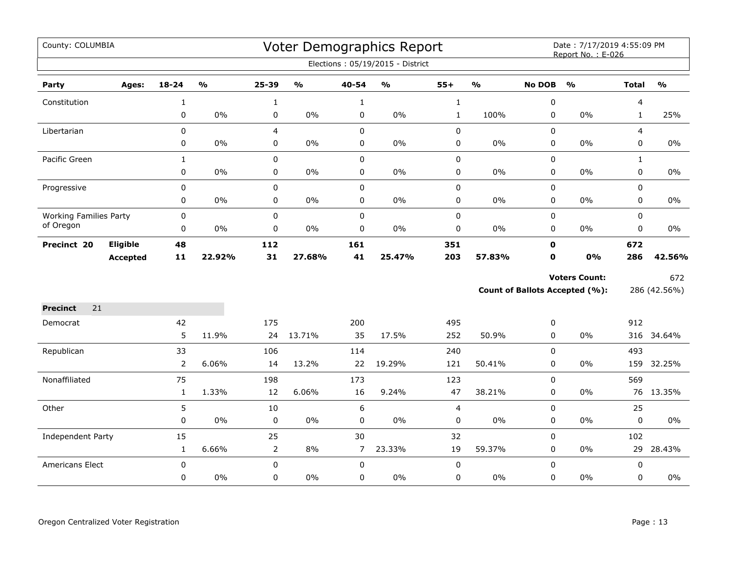| County: COLUMBIA              |                 |                |               |                |               |                | Voter Demographics Report        |                |               |                  | Date: 7/17/2019 4:55:09 PM<br>Report No.: E-026 |                |               |
|-------------------------------|-----------------|----------------|---------------|----------------|---------------|----------------|----------------------------------|----------------|---------------|------------------|-------------------------------------------------|----------------|---------------|
|                               |                 |                |               |                |               |                | Elections: 05/19/2015 - District |                |               |                  |                                                 |                |               |
| Party                         | Ages:           | 18-24          | $\frac{1}{2}$ | 25-39          | $\frac{0}{0}$ | 40-54          | $\frac{1}{2}$                    | $55+$          | $\frac{1}{2}$ | <b>No DOB</b>    | $\frac{0}{0}$                                   | <b>Total</b>   | $\frac{1}{2}$ |
| Constitution                  |                 | $\mathbf{1}$   |               | $\mathbf{1}$   |               | $\mathbf{1}$   |                                  | $\mathbf{1}$   |               | $\boldsymbol{0}$ |                                                 | 4              |               |
|                               |                 | 0              | 0%            | 0              | 0%            | 0              | $0\%$                            | $\mathbf{1}$   | 100%          | 0                | 0%                                              | $\mathbf{1}$   | 25%           |
| Libertarian                   |                 | $\mathbf 0$    |               | $\overline{4}$ |               | $\mathbf 0$    |                                  | $\pmb{0}$      |               | 0                |                                                 | $\overline{4}$ |               |
|                               |                 | 0              | 0%            | 0              | 0%            | $\pmb{0}$      | $0\%$                            | $\pmb{0}$      | $0\%$         | 0                | 0%                                              | 0              | 0%            |
| Pacific Green                 |                 | $\mathbf{1}$   |               | $\mathbf 0$    |               | $\mathbf 0$    |                                  | $\mathbf 0$    |               | 0                |                                                 | $\mathbf{1}$   |               |
|                               |                 | $\mathbf 0$    | 0%            | $\mathbf 0$    | $0\%$         | $\mathbf 0$    | $0\%$                            | $\pmb{0}$      | $0\%$         | 0                | 0%                                              | 0              | $0\%$         |
| Progressive                   |                 | 0              |               | 0              |               | $\pmb{0}$      |                                  | $\pmb{0}$      |               | 0                |                                                 | 0              |               |
|                               |                 | 0              | 0%            | 0              | $0\%$         | $\pmb{0}$      | $0\%$                            | $\pmb{0}$      | $0\%$         | 0                | 0%                                              | 0              | $0\%$         |
| <b>Working Families Party</b> |                 | $\mathbf 0$    |               | $\mathbf 0$    |               | $\mathsf 0$    |                                  | $\pmb{0}$      |               | 0                |                                                 | 0              |               |
| of Oregon                     |                 | 0              | 0%            | 0              | 0%            | 0              | 0%                               | 0              | $0\%$         | 0                | 0%                                              | 0              | 0%            |
| Precinct 20                   | Eligible        | 48             |               | 112            |               | 161            |                                  | 351            |               | $\mathbf 0$      |                                                 | 672            |               |
|                               | <b>Accepted</b> | $11$           | 22.92%        | 31             | 27.68%        | 41             | 25.47%                           | 203            | 57.83%        | $\mathbf 0$      | 0%                                              | 286            | 42.56%        |
|                               |                 |                |               |                |               |                |                                  |                |               |                  | <b>Voters Count:</b>                            |                | 672           |
|                               |                 |                |               |                |               |                |                                  |                |               |                  | <b>Count of Ballots Accepted (%):</b>           |                | 286 (42.56%)  |
| <b>Precinct</b><br>21         |                 |                |               |                |               |                |                                  |                |               |                  |                                                 |                |               |
| Democrat                      |                 | 42             |               | 175            |               | 200            |                                  | 495            |               | 0                |                                                 | 912            |               |
|                               |                 | 5              | 11.9%         | 24             | 13.71%        | 35             | 17.5%                            | 252            | 50.9%         | $\mathbf 0$      | 0%                                              |                | 316 34.64%    |
| Republican                    |                 | 33             |               | 106            |               | 114            |                                  | 240            |               | 0                |                                                 | 493            |               |
|                               |                 | $\overline{2}$ | 6.06%         | 14             | 13.2%         | 22             | 19.29%                           | 121            | 50.41%        | 0                | 0%                                              | 159            | 32.25%        |
| Nonaffiliated                 |                 | 75             |               | 198            |               | 173            |                                  | 123            |               | 0                |                                                 | 569            |               |
|                               |                 | $\mathbf{1}$   | 1.33%         | 12             | 6.06%         | 16             | 9.24%                            | 47             | 38.21%        | 0                | 0%                                              |                | 76 13.35%     |
| Other                         |                 | 5              |               | 10             |               | 6              |                                  | $\overline{4}$ |               | $\pmb{0}$        |                                                 | 25             |               |
|                               |                 | $\pmb{0}$      | 0%            | $\mathsf 0$    | 0%            | $\mathbf 0$    | $0\%$                            | 0              | $0\%$         | 0                | 0%                                              | 0              | $0\%$         |
| Independent Party             |                 | 15             |               | 25             |               | 30             |                                  | 32             |               | 0                |                                                 | 102            |               |
|                               |                 | $\mathbf{1}$   | 6.66%         | $\overline{2}$ | 8%            | $\overline{7}$ | 23.33%                           | 19             | 59.37%        | 0                | 0%                                              | 29             | 28.43%        |
| Americans Elect               |                 | $\pmb{0}$      |               | 0              |               | $\mathbf 0$    |                                  | $\mathbf 0$    |               | $\pmb{0}$        |                                                 | 0              |               |
|                               |                 | 0              | $0\%$         | $\mathbf 0$    | 0%            | 0              | $0\%$                            | 0              | $0\%$         | 0                | 0%                                              | 0              | 0%            |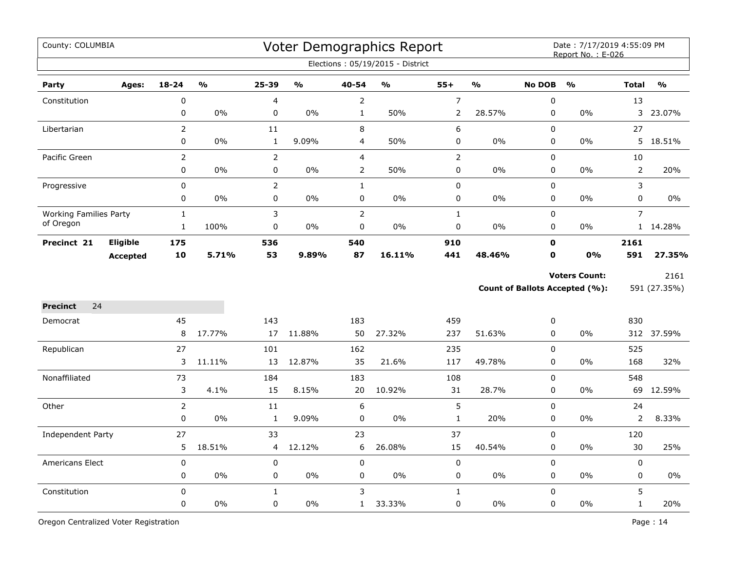| County: COLUMBIA              |                 |                |               |                |               |                | Voter Demographics Report        |                  |               |                  | Date: 7/17/2019 4:55:09 PM<br>Report No.: E-026 |                |               |
|-------------------------------|-----------------|----------------|---------------|----------------|---------------|----------------|----------------------------------|------------------|---------------|------------------|-------------------------------------------------|----------------|---------------|
|                               |                 |                |               |                |               |                | Elections: 05/19/2015 - District |                  |               |                  |                                                 |                |               |
| Party                         | Ages:           | $18 - 24$      | $\frac{0}{0}$ | $25 - 39$      | $\frac{0}{0}$ | 40-54          | $\frac{0}{0}$                    | $55+$            | $\frac{1}{2}$ | <b>No DOB</b>    | $\frac{0}{0}$                                   | <b>Total</b>   | $\frac{0}{0}$ |
| Constitution                  |                 | $\pmb{0}$      |               | 4              |               | $\overline{2}$ |                                  | $\boldsymbol{7}$ |               | $\boldsymbol{0}$ |                                                 | 13             |               |
|                               |                 | 0              | 0%            | 0              | 0%            | $\mathbf{1}$   | 50%                              | $\overline{2}$   | 28.57%        | 0                | $0\%$                                           | 3              | 23.07%        |
| Libertarian                   |                 | $\overline{2}$ |               | 11             |               | 8              |                                  | $\boldsymbol{6}$ |               | $\mathbf 0$      |                                                 | 27             |               |
|                               |                 | 0              | 0%            | $\mathbf 1$    | 9.09%         | 4              | 50%                              | $\pmb{0}$        | 0%            | 0                | 0%                                              | 5              | 18.51%        |
| Pacific Green                 |                 | $\overline{2}$ |               | $\overline{2}$ |               | $\overline{4}$ |                                  | $\mathbf 2$      |               | $\pmb{0}$        |                                                 | 10             |               |
|                               |                 | 0              | $0\%$         | 0              | $0\%$         | $\overline{2}$ | 50%                              | 0                | 0%            | $\pmb{0}$        | $0\%$                                           | $\overline{2}$ | 20%           |
| Progressive                   |                 | $\pmb{0}$      |               | $\overline{2}$ |               | $\mathbf{1}$   |                                  | $\pmb{0}$        |               | $\pmb{0}$        |                                                 | 3              |               |
|                               |                 | $\mathbf 0$    | 0%            | 0              | 0%            | $\pmb{0}$      | 0%                               | $\pmb{0}$        | 0%            | 0                | 0%                                              | 0              | 0%            |
| <b>Working Families Party</b> |                 | $\mathbf{1}$   |               | 3              |               | $\overline{2}$ |                                  | $\mathbf{1}$     |               | 0                |                                                 | $\overline{7}$ |               |
| of Oregon                     |                 | $\mathbf{1}$   | 100%          | 0              | 0%            | $\pmb{0}$      | 0%                               | $\pmb{0}$        | 0%            | 0                | 0%                                              |                | 1 14.28%      |
| Precinct 21                   | Eligible        | 175            |               | 536            |               | 540            |                                  | 910              |               | $\mathbf 0$      |                                                 | 2161           |               |
|                               | <b>Accepted</b> | 10             | 5.71%         | 53             | 9.89%         | 87             | 16.11%                           | 441              | 48.46%        | $\mathbf 0$      | <b>0%</b>                                       | 591            | 27.35%        |
|                               |                 |                |               |                |               |                |                                  |                  |               |                  | <b>Voters Count:</b>                            |                | 2161          |
|                               |                 |                |               |                |               |                |                                  |                  |               |                  | Count of Ballots Accepted (%):                  |                | 591 (27.35%)  |
| 24<br><b>Precinct</b>         |                 |                |               |                |               |                |                                  |                  |               |                  |                                                 |                |               |
| Democrat                      |                 | 45             |               | 143            |               | 183            |                                  | 459              |               | 0                |                                                 | 830            |               |
|                               |                 | 8              | 17.77%        | 17             | 11.88%        | 50             | 27.32%                           | 237              | 51.63%        | 0                | 0%                                              |                | 312 37.59%    |
| Republican                    |                 | 27             |               | 101            |               | 162            |                                  | 235              |               | $\pmb{0}$        |                                                 | 525            |               |
|                               |                 | 3              | 11.11%        | 13             | 12.87%        | 35             | 21.6%                            | 117              | 49.78%        | 0                | 0%                                              | 168            | 32%           |
| Nonaffiliated                 |                 | 73             |               | 184            |               | 183            |                                  | 108              |               | $\mathbf 0$      |                                                 | 548            |               |
|                               |                 | 3              | 4.1%          | 15             | 8.15%         | 20             | 10.92%                           | 31               | 28.7%         | 0                | $0\%$                                           | 69             | 12.59%        |
| Other                         |                 | $\overline{2}$ |               | 11             |               | 6              |                                  | 5                |               | $\pmb{0}$        |                                                 | 24             |               |
|                               |                 | $\pmb{0}$      | $0\%$         | $\mathbf{1}$   | 9.09%         | $\pmb{0}$      | $0\%$                            | $\mathbf{1}$     | 20%           | $\pmb{0}$        | $0\%$                                           | 2              | 8.33%         |
| <b>Independent Party</b>      |                 | 27             |               | 33             |               | 23             |                                  | 37               |               | $\pmb{0}$        |                                                 | 120            |               |
|                               |                 | 5              | 18.51%        | 4              | 12.12%        | 6              | 26.08%                           | 15               | 40.54%        | 0                | 0%                                              | 30             | 25%           |
| Americans Elect               |                 | $\mathbf 0$    |               | 0              |               | $\mathbf 0$    |                                  | $\mathbf 0$      |               | 0                |                                                 | 0              |               |
|                               |                 | $\pmb{0}$      | 0%            | 0              | 0%            | $\mathbf 0$    | 0%                               | $\pmb{0}$        | $0\%$         | 0                | 0%                                              | 0              | $0\%$         |
| Constitution                  |                 | $\mathsf 0$    |               | $\mathbf{1}$   |               | 3              |                                  | $\mathbf{1}$     |               | 0                |                                                 | 5              |               |
|                               |                 | $\pmb{0}$      | 0%            | 0              | 0%            | $\mathbf{1}$   | 33.33%                           | $\pmb{0}$        | 0%            | 0                | 0%                                              | $\mathbf 1$    | 20%           |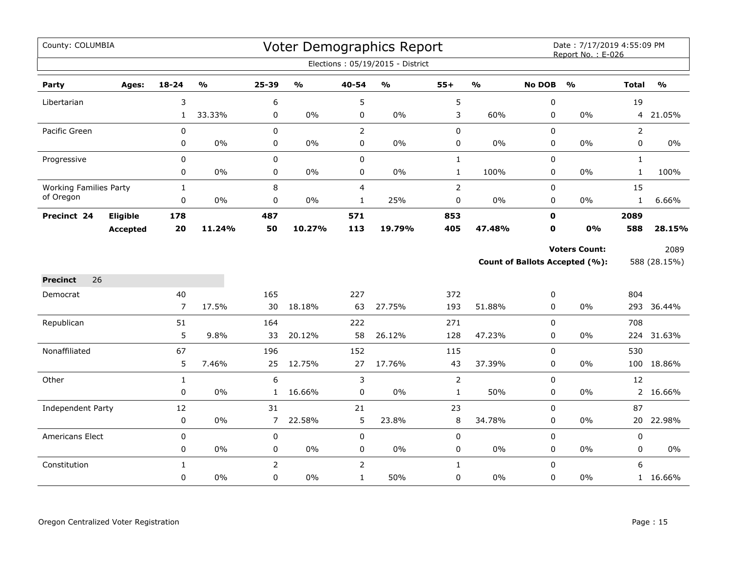| County: COLUMBIA              |                 |                |               |                |               |                | Voter Demographics Report        |                |               |               | Date: 7/17/2019 4:55:09 PM<br>Report No.: E-026 |                |               |
|-------------------------------|-----------------|----------------|---------------|----------------|---------------|----------------|----------------------------------|----------------|---------------|---------------|-------------------------------------------------|----------------|---------------|
|                               |                 |                |               |                |               |                | Elections: 05/19/2015 - District |                |               |               |                                                 |                |               |
| Party                         | Ages:           | 18-24          | $\frac{1}{2}$ | 25-39          | $\frac{0}{0}$ | 40-54          | $\frac{1}{2}$                    | $55+$          | $\frac{1}{2}$ | <b>No DOB</b> | $\frac{1}{2}$                                   | <b>Total</b>   | $\frac{1}{2}$ |
| Libertarian                   |                 | 3              |               | 6              |               | 5              |                                  | 5              |               | $\pmb{0}$     |                                                 | 19             |               |
|                               |                 | $\mathbf{1}$   | 33.33%        | 0              | 0%            | 0              | $0\%$                            | 3              | 60%           | 0             | 0%                                              |                | 4 21.05%      |
| Pacific Green                 |                 | $\mathbf 0$    |               | 0              |               | $\overline{2}$ |                                  | $\pmb{0}$      |               | 0             |                                                 | $\overline{2}$ |               |
|                               |                 | 0              | 0%            | $\mathbf 0$    | 0%            | $\pmb{0}$      | $0\%$                            | $\pmb{0}$      | 0%            | 0             | 0%                                              | 0              | 0%            |
| Progressive                   |                 | 0              |               | $\mathbf 0$    |               | $\mathbf 0$    |                                  | $\mathbf{1}$   |               | 0             |                                                 | $\mathbf{1}$   |               |
|                               |                 | 0              | 0%            | $\mathbf 0$    | 0%            | $\mathbf 0$    | $0\%$                            | $\mathbf{1}$   | 100%          | $\mathbf 0$   | 0%                                              | $\mathbf{1}$   | 100%          |
| <b>Working Families Party</b> |                 | $\mathbf{1}$   |               | 8              |               | $\overline{4}$ |                                  | $\mathbf 2$    |               | 0             |                                                 | 15             |               |
| of Oregon                     |                 | 0              | 0%            | 0              | $0\%$         | $\mathbf{1}$   | 25%                              | $\pmb{0}$      | $0\%$         | 0             | 0%                                              | $\mathbf{1}$   | 6.66%         |
| Precinct 24                   | Eligible        | 178            |               | 487            |               | 571            |                                  | 853            |               | $\mathbf 0$   |                                                 | 2089           |               |
|                               | <b>Accepted</b> | 20             | 11.24%        | 50             | 10.27%        | 113            | 19.79%                           | 405            | 47.48%        | $\mathbf 0$   | 0%                                              | 588            | 28.15%        |
|                               |                 |                |               |                |               |                |                                  |                |               |               | <b>Voters Count:</b>                            |                | 2089          |
|                               |                 |                |               |                |               |                |                                  |                |               |               | <b>Count of Ballots Accepted (%):</b>           |                | 588 (28.15%)  |
| 26<br><b>Precinct</b>         |                 |                |               |                |               |                |                                  |                |               |               |                                                 |                |               |
| Democrat                      |                 | 40             |               | 165            |               | 227            |                                  | 372            |               | 0             |                                                 | 804            |               |
|                               |                 | $\overline{7}$ | 17.5%         | 30             | 18.18%        | 63             | 27.75%                           | 193            | 51.88%        | 0             | $0\%$                                           |                | 293 36.44%    |
| Republican                    |                 | 51             |               | 164            |               | 222            |                                  | 271            |               | $\Omega$      |                                                 | 708            |               |
|                               |                 | 5              | 9.8%          | 33             | 20.12%        | 58             | 26.12%                           | 128            | 47.23%        | 0             | 0%                                              | 224            | 31.63%        |
| Nonaffiliated                 |                 | 67             |               | 196            |               | 152            |                                  | 115            |               | 0             |                                                 | 530            |               |
|                               |                 | 5              | 7.46%         | 25             | 12.75%        | 27             | 17.76%                           | 43             | 37.39%        | 0             | 0%                                              | 100            | 18.86%        |
| Other                         |                 | $\mathbf{1}$   |               | 6              |               | 3              |                                  | $\overline{2}$ |               | 0             |                                                 | 12             |               |
|                               |                 | 0              | 0%            | $\mathbf{1}$   | 16.66%        | 0              | $0\%$                            | $\mathbf{1}$   | 50%           | 0             | 0%                                              |                | 2 16.66%      |
| Independent Party             |                 | 12             |               | 31             |               | 21             |                                  | 23             |               | $\pmb{0}$     |                                                 | 87             |               |
|                               |                 | $\pmb{0}$      | $0\%$         | $\overline{7}$ | 22.58%        | 5              | 23.8%                            | $\,8\,$        | 34.78%        | 0             | $0\%$                                           | 20             | 22.98%        |
| Americans Elect               |                 | $\pmb{0}$      |               | 0              |               | $\pmb{0}$      |                                  | $\pmb{0}$      |               | 0             |                                                 | 0              |               |
|                               |                 | 0              | 0%            | 0              | 0%            | $\mathbf 0$    | $0\%$                            | $\pmb{0}$      | $0\%$         | 0             | 0%                                              | 0              | $0\%$         |
| Constitution                  |                 | $\mathbf{1}$   |               | $\overline{2}$ |               | $\overline{2}$ |                                  | $\mathbf{1}$   |               | $\pmb{0}$     |                                                 | 6              |               |
|                               |                 | 0              | $0\%$         | 0              | 0%            | $\mathbf{1}$   | 50%                              | 0              | 0%            | 0             | 0%                                              |                | 1 16.66%      |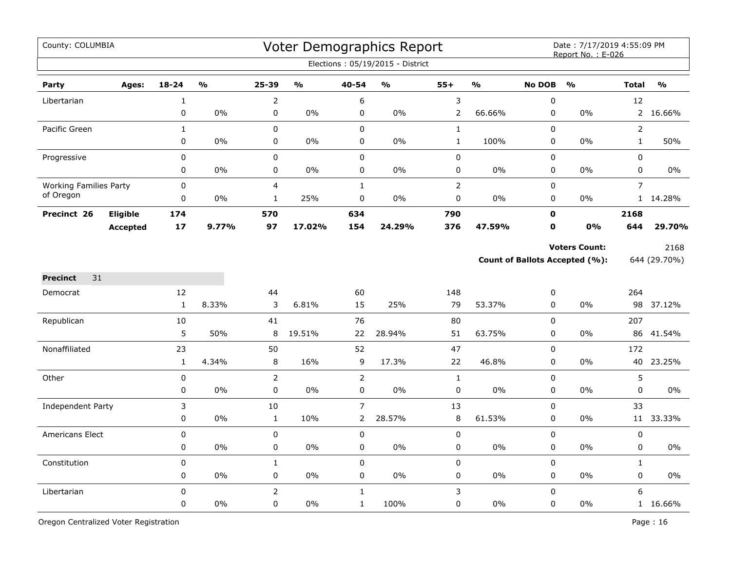| County: COLUMBIA              |                 |                       |               |                   |               |                  | Voter Demographics Report<br>Elections: 05/19/2015 - District |                |               |                  | Date: 7/17/2019 4:55:09 PM<br>Report No.: E-026               |                   |                      |
|-------------------------------|-----------------|-----------------------|---------------|-------------------|---------------|------------------|---------------------------------------------------------------|----------------|---------------|------------------|---------------------------------------------------------------|-------------------|----------------------|
| Party                         | Ages:           | $18 - 24$             | $\frac{1}{2}$ | 25-39             | $\frac{0}{0}$ | 40-54            | $\frac{0}{0}$                                                 | $55+$          | $\frac{9}{6}$ | No DOB           | $\frac{0}{0}$                                                 | <b>Total</b>      | $\frac{0}{0}$        |
| Libertarian                   |                 | $\mathbf{1}$          |               | $\overline{2}$    |               | 6                |                                                               | $\mathsf 3$    |               | $\boldsymbol{0}$ |                                                               | 12                |                      |
|                               |                 | 0                     | $0\%$         | 0                 | $0\%$         | 0                | 0%                                                            | $\overline{2}$ | 66.66%        | 0                | $0\%$                                                         | $2^{\circ}$       | 16.66%               |
| Pacific Green                 |                 | $\mathbf{1}$          |               | 0                 |               | $\mathbf 0$      |                                                               | $\mathbf{1}$   |               | $\mathbf 0$      |                                                               | $\overline{2}$    |                      |
|                               |                 | 0                     | 0%            | 0                 | 0%            | 0                | 0%                                                            | $\mathbf{1}$   | 100%          | $\pmb{0}$        | 0%                                                            | $\mathbf{1}$      | 50%                  |
| Progressive                   |                 | 0                     |               | $\pmb{0}$         |               | $\pmb{0}$        |                                                               | $\pmb{0}$      |               | $\pmb{0}$        |                                                               | 0                 |                      |
|                               |                 | 0                     | 0%            | 0                 | $0\%$         | 0                | 0%                                                            | 0              | $0\%$         | 0                | $0\%$                                                         | 0                 | 0%                   |
| <b>Working Families Party</b> |                 | 0                     |               | $\overline{4}$    |               | $\mathbf{1}$     |                                                               | $\overline{2}$ |               | $\mathbf 0$      |                                                               | $\overline{7}$    |                      |
| of Oregon                     |                 | 0                     | 0%            | $\mathbf{1}$      | 25%           | $\pmb{0}$        | 0%                                                            | 0              | $0\%$         | 0                | 0%                                                            |                   | 1 14.28%             |
| Precinct 26                   | Eligible        | 174                   |               | 570               |               | 634              |                                                               | 790            |               | $\mathbf 0$      |                                                               | 2168              |                      |
|                               | <b>Accepted</b> | 17                    | 9.77%         | 97                | 17.02%        | 154              | 24.29%                                                        | 376            | 47.59%        | $\mathbf 0$      | <b>0%</b>                                                     | 644               | 29.70%               |
|                               |                 |                       |               |                   |               |                  |                                                               |                |               |                  | <b>Voters Count:</b><br><b>Count of Ballots Accepted (%):</b> |                   | 2168<br>644 (29.70%) |
| 31<br><b>Precinct</b>         |                 |                       |               |                   |               |                  |                                                               |                |               |                  |                                                               |                   |                      |
| Democrat                      |                 | 12                    |               | 44                |               | 60               |                                                               | 148            |               | $\pmb{0}$        |                                                               | 264               |                      |
|                               |                 | $\mathbf{1}$          | 8.33%         | 3                 | 6.81%         | 15               | 25%                                                           | 79             | 53.37%        | 0                | 0%                                                            |                   | 98 37.12%            |
| Republican                    |                 | 10                    |               | 41                |               | 76               |                                                               | 80             |               | $\mathbf 0$      |                                                               | 207               |                      |
|                               |                 | 5                     | 50%           | 8                 | 19.51%        | 22               | 28.94%                                                        | 51             | 63.75%        | $\mathbf 0$      | 0%                                                            |                   | 86 41.54%            |
| Nonaffiliated                 |                 | 23                    |               | 50                |               | 52               |                                                               | 47             |               | $\mathbf 0$      |                                                               | 172               |                      |
|                               |                 | $\mathbf 1$           | 4.34%         | 8                 | 16%           | 9                | 17.3%                                                         | 22             | 46.8%         | 0                | 0%                                                            |                   | 40 23.25%            |
| Other                         |                 | 0                     |               | $\overline{2}$    |               | $\overline{2}$   |                                                               | $\mathbf{1}$   |               | $\mathbf 0$      |                                                               | 5                 |                      |
|                               |                 | 0                     | $0\%$         | $\mathbf 0$       | $0\%$         | $\mathbf 0$      | 0%                                                            | 0              | 0%            | $\mathbf 0$      | 0%                                                            | 0                 | 0%                   |
| Independent Party             |                 | 3                     |               | 10                |               | $\overline{7}$   | 28.57%                                                        | 13             |               | $\mathbf 0$      |                                                               | 33                |                      |
|                               |                 | 0                     | 0%            | $\mathbf{1}$      | 10%           | $\overline{2}$   |                                                               | $\,8\,$        | 61.53%        | $\pmb{0}$        | 0%                                                            | 11                | 33.33%               |
| Americans Elect               |                 | 0                     |               | $\pmb{0}$         | $0\%$         | $\mathbf 0$      | $0\%$                                                         | $\pmb{0}$      | $0\%$         | $\mathbf 0$      | 0%                                                            | 0<br>0            |                      |
|                               |                 | 0                     | 0%            | $\pmb{0}$         |               | 0                |                                                               | $\mathsf 0$    |               | $\pmb{0}$        |                                                               |                   | 0%                   |
| Constitution                  |                 | $\boldsymbol{0}$<br>0 | 0%            | $\mathbf{1}$<br>0 | $0\%$         | $\mathbf 0$<br>0 | 0%                                                            | $\pmb{0}$<br>0 | $0\%$         | $\mathbf 0$<br>0 | 0%                                                            | $\mathbf{1}$<br>0 | 0%                   |
|                               |                 | $\boldsymbol{0}$      |               | $\overline{2}$    |               | $\mathbf{1}$     |                                                               | 3              |               | $\mathbf 0$      |                                                               | 6                 |                      |
| Libertarian                   |                 | 0                     | 0%            | 0                 | 0%            | $\mathbf{1}$     | 100%                                                          | 0              | $0\%$         | $\pmb{0}$        | 0%                                                            | 1                 | 16.66%               |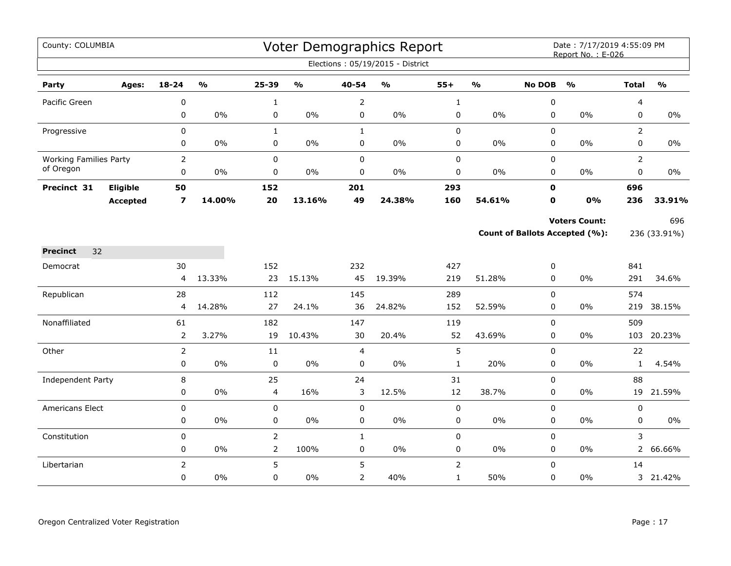| County: COLUMBIA              |                 |                         |                         |                |                                   |                     | Voter Demographics Report<br>Elections: 05/19/2015 - District |                                |                         |               | Date: 7/17/2019 4:55:09 PM<br>Report No.: E-026 |                |               |
|-------------------------------|-----------------|-------------------------|-------------------------|----------------|-----------------------------------|---------------------|---------------------------------------------------------------|--------------------------------|-------------------------|---------------|-------------------------------------------------|----------------|---------------|
| Party                         | Ages:           | $18 - 24$               | $\mathbf{0}/\mathbf{0}$ | 25-39          | $\mathsf{o}\mathsf{v}_\mathsf{o}$ | 40-54               | $\mathsf{o}\mathsf{v}_\mathsf{o}$                             | $55+$                          | $\mathbf{O}/\mathbf{o}$ | <b>No DOB</b> | $\mathbf{O}/\mathbf{o}$                         | <b>Total</b>   | $\frac{0}{0}$ |
| Pacific Green                 |                 | 0                       |                         | $\mathbf{1}$   |                                   | $\overline{2}$      |                                                               | $\mathbf{1}$                   |                         | 0             |                                                 | 4              |               |
|                               |                 | 0                       | $0\%$                   | 0              | $0\%$                             | $\pmb{0}$           | $0\%$                                                         | $\pmb{0}$                      | 0%                      | 0             | 0%                                              | 0              | $0\%$         |
| Progressive                   |                 | $\mathbf 0$             |                         | $\mathbf{1}$   |                                   | $\mathbf{1}$        |                                                               | $\pmb{0}$                      |                         | 0             |                                                 | 2              |               |
|                               |                 | 0                       | 0%                      | 0              | $0\%$                             | 0                   | 0%                                                            | 0                              | 0%                      | 0             | 0%                                              | 0              | 0%            |
| <b>Working Families Party</b> |                 | $\overline{2}$          |                         | 0              |                                   | $\pmb{0}$           |                                                               | $\pmb{0}$                      |                         | 0             |                                                 | $\overline{2}$ |               |
| of Oregon                     |                 | 0                       | $0\%$                   | 0              | $0\%$                             | $\pmb{0}$           | $0\%$                                                         | $\pmb{0}$                      | 0%                      | 0             | 0%                                              | 0              | 0%            |
| Precinct 31                   | Eligible        | 50                      |                         | 152            |                                   | 201                 |                                                               | 293                            |                         | $\mathbf{0}$  |                                                 | 696            |               |
|                               | <b>Accepted</b> | $\overline{\mathbf{z}}$ | 14.00%                  | 20             | 13.16%                            | 49                  | 24.38%                                                        | 160                            | 54.61%                  | 0             | 0%                                              | 236            | 33.91%        |
|                               |                 |                         |                         |                |                                   |                     |                                                               |                                |                         |               | <b>Voters Count:</b>                            |                | 696           |
|                               |                 |                         |                         |                |                                   |                     |                                                               |                                |                         |               | Count of Ballots Accepted (%):                  |                | 236 (33.91%)  |
| <b>Precinct</b><br>32         |                 |                         |                         |                |                                   |                     |                                                               |                                |                         |               |                                                 |                |               |
| Democrat                      |                 | 30                      |                         | 152            |                                   | 232                 |                                                               | 427                            |                         | 0             |                                                 | 841            |               |
|                               |                 | 4                       | 13.33%                  | 23             | 15.13%                            | 45                  | 19.39%                                                        | 219                            | 51.28%                  | 0             | 0%                                              | 291            | 34.6%         |
| Republican                    |                 | 28                      |                         | 112            |                                   | 145                 |                                                               | 289                            |                         | 0             |                                                 | 574            |               |
|                               |                 | 4                       | 14.28%                  | 27             | 24.1%                             | 36                  | 24.82%                                                        | 152                            | 52.59%                  | 0             | $0\%$                                           |                | 219 38.15%    |
| Nonaffiliated                 |                 | 61                      |                         | 182            |                                   | 147                 |                                                               | 119                            |                         | 0             |                                                 | 509            |               |
|                               |                 | $\mathsf{2}\,$          | 3.27%                   | 19             | 10.43%                            | 30                  | 20.4%                                                         | 52                             | 43.69%                  | 0             | $0\%$                                           | 103            | 20.23%        |
| Other                         |                 | $\overline{2}$          |                         | 11             |                                   | $\overline{4}$      |                                                               | 5                              |                         | 0             |                                                 | 22             |               |
|                               |                 | 0                       | $0\%$                   | $\mathbf 0$    | $0\%$                             | $\mathbf 0$         | $0\%$                                                         | $\mathbf{1}$                   | 20%                     | 0             | $0\%$                                           | $\mathbf{1}$   | 4.54%         |
| Independent Party             |                 | 8                       |                         | 25             |                                   | 24                  |                                                               | 31                             |                         | 0             |                                                 | 88             |               |
|                               |                 | 0                       | $0\%$                   | 4              | 16%                               | 3                   | 12.5%                                                         | 12                             | 38.7%                   | $\mathbf 0$   | $0\%$                                           |                | 19 21.59%     |
| <b>Americans Elect</b>        |                 | 0                       |                         | 0              |                                   | $\mathsf 0$         |                                                               | $\pmb{0}$                      |                         | 0             |                                                 | 0              |               |
|                               |                 | 0                       | $0\%$                   | 0              | $0\%$                             | $\pmb{0}$           | $0\%$                                                         | $\pmb{0}$                      | $0\%$                   | 0             | 0%                                              | 0              | $0\%$         |
| Constitution                  |                 | 0                       | $0\%$                   | $\overline{2}$ | 100%                              | $\mathbf{1}$        | $0\%$                                                         | $\mathsf 0$                    | 0%                      | 0<br>0        | 0%                                              | 3              |               |
|                               |                 | 0                       |                         | $\overline{2}$ |                                   | $\pmb{0}$           |                                                               | $\pmb{0}$                      |                         |               |                                                 |                | 2 66.66%      |
| Libertarian                   |                 | $\overline{2}$<br>0     | 0%                      | 5<br>0         | $0\%$                             | 5<br>$\overline{2}$ | 40%                                                           | $\overline{2}$<br>$\mathbf{1}$ | 50%                     | $\Omega$<br>0 | 0%                                              | 14             | 3 21.42%      |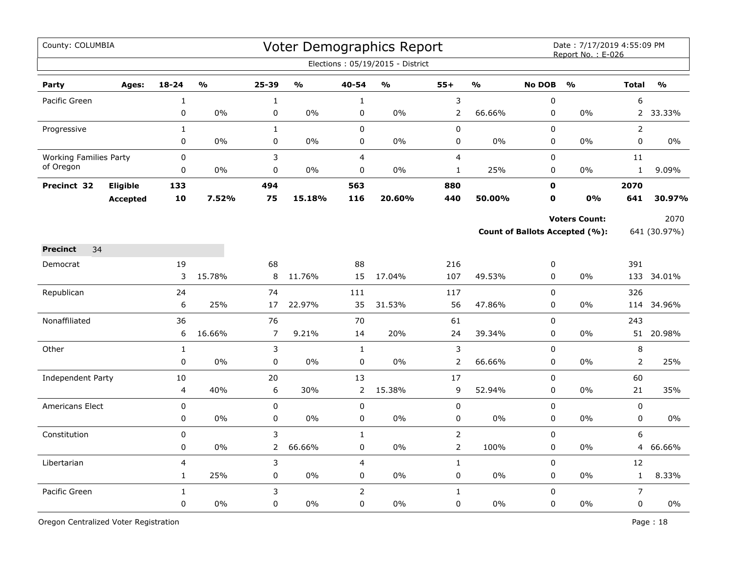| County: COLUMBIA              |                 |                |                         |                |               |                | Voter Demographics Report<br>Elections: 05/19/2015 - District |                |               |               | Date: 7/17/2019 4:55:09 PM<br>Report No.: E-026 |                |               |
|-------------------------------|-----------------|----------------|-------------------------|----------------|---------------|----------------|---------------------------------------------------------------|----------------|---------------|---------------|-------------------------------------------------|----------------|---------------|
| Party                         | Ages:           | $18 - 24$      | $\mathbf{O}/\mathbf{O}$ | 25-39          | $\frac{0}{0}$ | 40-54          | $\frac{1}{2}$                                                 | $55+$          | $\frac{1}{2}$ | <b>No DOB</b> | $\frac{0}{0}$                                   | <b>Total</b>   | $\frac{0}{0}$ |
| Pacific Green                 |                 | $\mathbf 1$    |                         | $\mathbf 1$    |               | $\mathbf{1}$   |                                                               | 3              |               | $\mathbf 0$   |                                                 | 6              |               |
|                               |                 | 0              | 0%                      | 0              | 0%            | 0              | 0%                                                            | $\overline{2}$ | 66.66%        | 0             | 0%                                              | $2^{\circ}$    | 33.33%        |
| Progressive                   |                 | $\mathbf{1}$   |                         | $\mathbf{1}$   |               | $\mathbf 0$    |                                                               | 0              |               | $\Omega$      |                                                 | $\overline{2}$ |               |
|                               |                 | 0              | 0%                      | $\pmb{0}$      | 0%            | $\pmb{0}$      | 0%                                                            | 0              | 0%            | $\mathbf 0$   | 0%                                              | 0              | $0\%$         |
| <b>Working Families Party</b> |                 | 0              |                         | 3              |               | $\overline{4}$ |                                                               | $\overline{4}$ |               | 0             |                                                 | 11             |               |
| of Oregon                     |                 | 0              | 0%                      | 0              | 0%            | $\mathbf 0$    | 0%                                                            | $\mathbf{1}$   | 25%           | 0             | 0%                                              | $\mathbf{1}$   | 9.09%         |
| Precinct 32                   | <b>Eligible</b> | 133            |                         | 494            |               | 563            |                                                               | 880            |               | $\mathbf o$   |                                                 | 2070           |               |
|                               | <b>Accepted</b> | 10             | 7.52%                   | 75             | 15.18%        | 116            | 20.60%                                                        | 440            | 50.00%        | O             | <b>0%</b>                                       | 641            | 30.97%        |
|                               |                 |                |                         |                |               |                |                                                               |                |               |               | <b>Voters Count:</b>                            |                | 2070          |
|                               |                 |                |                         |                |               |                |                                                               |                |               |               | <b>Count of Ballots Accepted (%):</b>           |                | 641 (30.97%)  |
| 34<br><b>Precinct</b>         |                 |                |                         |                |               |                |                                                               |                |               |               |                                                 |                |               |
| Democrat                      |                 | 19             |                         | 68             |               | 88             |                                                               | 216            |               | 0             |                                                 | 391            |               |
|                               |                 | 3              | 15.78%                  | 8              | 11.76%        | 15             | 17.04%                                                        | 107            | 49.53%        | 0             | 0%                                              |                | 133 34.01%    |
| Republican                    |                 | 24             |                         | 74             |               | 111            |                                                               | 117            |               | 0             |                                                 | 326            |               |
|                               |                 | 6              | 25%                     | 17             | 22.97%        | 35             | 31.53%                                                        | 56             | 47.86%        | $\pmb{0}$     | 0%                                              |                | 114 34.96%    |
| Nonaffiliated                 |                 | 36             |                         | 76             |               | 70             |                                                               | 61             |               | $\pmb{0}$     |                                                 | 243            |               |
|                               |                 | 6              | 16.66%                  | $\overline{7}$ | 9.21%         | 14             | 20%                                                           | 24             | 39.34%        | $\mathbf 0$   | 0%                                              |                | 51 20.98%     |
| Other                         |                 | $\mathbf{1}$   |                         | 3              |               | $\mathbf{1}$   |                                                               | $\mathfrak{Z}$ |               | $\mathbf 0$   |                                                 | 8              |               |
|                               |                 | $\mathbf 0$    | 0%                      | $\pmb{0}$      | 0%            | 0              | 0%                                                            | $\mathsf{2}\,$ | 66.66%        | 0             | 0%                                              | $\overline{2}$ | 25%           |
| <b>Independent Party</b>      |                 | 10             |                         | 20             |               | 13             |                                                               | 17             |               | $\mathbf 0$   |                                                 | 60             |               |
|                               |                 | $\overline{4}$ | 40%                     | 6              | 30%           | $\overline{2}$ | 15.38%                                                        | 9              | 52.94%        | 0             | 0%                                              | 21             | 35%           |
| <b>Americans Elect</b>        |                 | 0              |                         | $\pmb{0}$      |               | $\pmb{0}$      |                                                               | $\pmb{0}$      |               | $\mathbf 0$   |                                                 | 0              |               |
|                               |                 | 0              | 0%                      | 0              | 0%            | 0              | 0%                                                            | 0              | $0\%$         | 0             | 0%                                              | 0              | $0\%$         |
| Constitution                  |                 | 0              |                         | 3              |               | $\mathbf{1}$   |                                                               | $\overline{2}$ |               | 0             |                                                 | 6              |               |
|                               |                 | 0              | 0%                      | $\overline{2}$ | 66.66%        | 0              | 0%                                                            | $\mathsf{2}\,$ | 100%          | $\pmb{0}$     | 0%                                              | 4              | 66.66%        |
| Libertarian                   |                 | $\overline{4}$ |                         | 3              |               | $\overline{4}$ |                                                               | $\mathbf{1}$   |               | $\pmb{0}$     |                                                 | 12             |               |
|                               |                 | $\mathbf{1}$   | 25%                     | 0              | $0\%$         | 0              | 0%                                                            | 0              | $0\%$         | 0             | $0\%$                                           | $\mathbf{1}$   | 8.33%         |
| Pacific Green                 |                 | $\mathbf{1}$   |                         | 3              |               | $\overline{2}$ |                                                               | $\mathbf{1}$   |               | $\mathbf 0$   |                                                 | $\overline{7}$ |               |
|                               |                 | $\mathbf 0$    | 0%                      | 0              | 0%            | $\mathbf 0$    | 0%                                                            | 0              | 0%            | $\mathbf 0$   | 0%                                              | 0              | 0%            |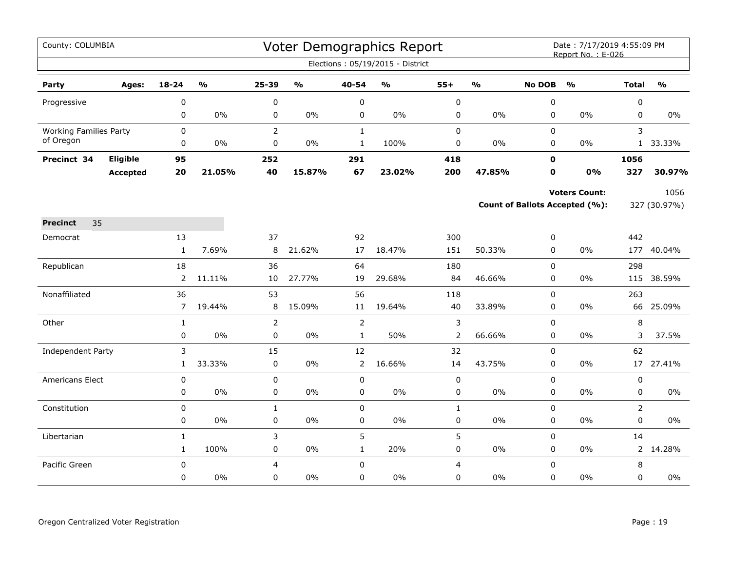| County: COLUMBIA              |                 |                   |                         |                 |                         |                      | Voter Demographics Report         |                |                         |                  | Date: 7/17/2019 4:55:09 PM<br>Report No.: E-026 |                |                         |
|-------------------------------|-----------------|-------------------|-------------------------|-----------------|-------------------------|----------------------|-----------------------------------|----------------|-------------------------|------------------|-------------------------------------------------|----------------|-------------------------|
|                               |                 |                   |                         |                 |                         |                      | Elections: 05/19/2015 - District  |                |                         |                  |                                                 |                |                         |
| Party                         | Ages:           | $18 - 24$         | $\mathbf{O}/\mathbf{o}$ | 25-39           | $\mathbf{O}/\mathbf{o}$ | 40-54                | $\mathsf{o}\mathsf{v}_\mathsf{o}$ | $55+$          | $\mathbf{O}/\mathbf{o}$ | <b>No DOB</b>    | $\mathbf{O}/\mathbf{o}$                         | <b>Total</b>   | $\mathbf{O}/\mathbf{o}$ |
| Progressive                   |                 | 0                 |                         | $\pmb{0}$       |                         | $\pmb{0}$            |                                   | 0              |                         | $\pmb{0}$        |                                                 | $\pmb{0}$      |                         |
|                               |                 | 0                 | $0\%$                   | 0               | 0%                      | 0                    | $0\%$                             | 0              | $0\%$                   | 0                | $0\%$                                           | 0              | $0\%$                   |
| <b>Working Families Party</b> |                 | 0                 |                         | $\overline{2}$  |                         | $\mathbf{1}$         |                                   | $\mathbf 0$    |                         | $\mathbf 0$      |                                                 | 3              |                         |
| of Oregon                     |                 | 0                 | 0%                      | $\pmb{0}$       | 0%                      | $\mathbf 1$          | 100%                              | 0              | $0\%$                   | 0                | 0%                                              | $\mathbf{1}$   | 33.33%                  |
| Precinct 34                   | Eligible        | 95                |                         | 252             |                         | 291                  |                                   | 418            |                         | 0                |                                                 | 1056           |                         |
|                               | <b>Accepted</b> | 20                | 21.05%                  | 40              | 15.87%                  | 67                   | 23.02%                            | 200            | 47.85%                  | 0                | 0%                                              | 327            | 30.97%                  |
|                               |                 |                   |                         |                 |                         |                      |                                   |                |                         |                  | <b>Voters Count:</b>                            |                | 1056                    |
|                               |                 |                   |                         |                 |                         |                      |                                   |                |                         |                  | <b>Count of Ballots Accepted (%):</b>           |                | 327 (30.97%)            |
| <b>Precinct</b><br>35         |                 |                   |                         |                 |                         |                      |                                   |                |                         |                  |                                                 |                |                         |
| Democrat                      |                 | 13                |                         | 37              |                         | 92                   |                                   | 300            |                         | 0                |                                                 | 442            |                         |
|                               |                 | $\mathbf{1}$      | 7.69%                   | 8               | 21.62%                  | 17                   | 18.47%                            | 151            | 50.33%                  | $\mathbf 0$      | $0\%$                                           |                | 177 40.04%              |
| Republican                    |                 | 18                |                         | 36              |                         | 64                   |                                   | 180            |                         | $\mathsf 0$      |                                                 | 298            |                         |
|                               |                 | $\overline{2}$    | 11.11%                  | 10              | 27.77%                  | 19                   | 29.68%                            | 84             | 46.66%                  | 0                | $0\%$                                           | 115            | 38.59%                  |
| Nonaffiliated                 |                 | 36                |                         | 53              |                         | 56                   |                                   | 118            |                         | $\mathbf 0$      |                                                 | 263            |                         |
|                               |                 | $\overline{7}$    | 19.44%                  | 8               | 15.09%                  | 11                   | 19.64%                            | 40             | 33.89%                  | $\mathbf 0$      | $0\%$                                           |                | 66 25.09%               |
| Other                         |                 | $\mathbf{1}$      |                         | $\overline{2}$  |                         | $\overline{2}$       |                                   | 3              |                         | $\pmb{0}$        |                                                 | $\,8\,$        |                         |
|                               |                 | 0                 | 0%                      | $\pmb{0}$       | 0%                      | $\mathbf{1}$         | 50%                               | $\overline{2}$ | 66.66%                  | 0                | 0%                                              | 3              | 37.5%                   |
| <b>Independent Party</b>      |                 | 3<br>$\mathbf{1}$ | 33.33%                  | 15<br>$\pmb{0}$ | 0%                      | 12<br>$\overline{2}$ | 16.66%                            | 32<br>14       | 43.75%                  | $\mathsf 0$<br>0 | $0\%$                                           | 62<br>17       | 27.41%                  |
| Americans Elect               |                 | $\pmb{0}$         |                         | 0               |                         | $\mathbf 0$          |                                   | $\pmb{0}$      |                         | $\mathbf 0$      |                                                 | $\pmb{0}$      |                         |
|                               |                 | 0                 | 0%                      | $\pmb{0}$       | 0%                      | 0                    | $0\%$                             | 0              | $0\%$                   | 0                | 0%                                              | 0              | $0\%$                   |
| Constitution                  |                 | 0                 |                         | $\mathbf 1$     |                         | $\pmb{0}$            |                                   | $\mathbf 1$    |                         | $\pmb{0}$        |                                                 | $\overline{2}$ |                         |
|                               |                 | 0                 | 0%                      | $\pmb{0}$       | 0%                      | $\pmb{0}$            | $0\%$                             | 0              | $0\%$                   | 0                | $0\%$                                           | $\pmb{0}$      | $0\%$                   |
| Libertarian                   |                 | $\mathbf{1}$      |                         | 3               |                         | 5                    |                                   | 5              |                         | $\mathbf 0$      |                                                 | 14             |                         |
|                               |                 | $\mathbf{1}$      | 100%                    | $\pmb{0}$       | 0%                      | $\mathbf 1$          | 20%                               | $\pmb{0}$      | 0%                      | $\pmb{0}$        | $0\%$                                           |                | 2 14.28%                |
| Pacific Green                 |                 | 0                 |                         | $\overline{4}$  |                         | $\mathbf 0$          |                                   | $\overline{4}$ |                         | $\mathsf 0$      |                                                 | 8              |                         |
|                               |                 | 0                 | 0%                      | $\Omega$        | 0%                      | $\Omega$             | $0\%$                             | 0              | $0\%$                   | $\mathbf 0$      | 0%                                              | $\mathbf 0$    | $0\%$                   |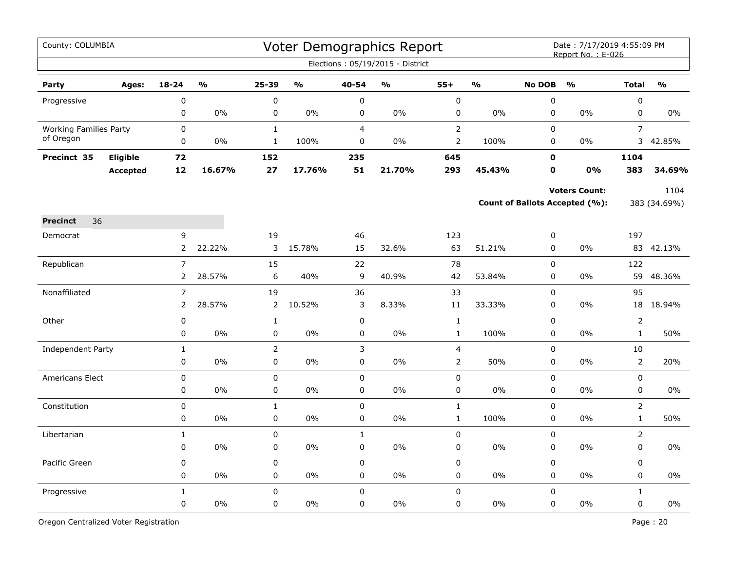| County: COLUMBIA              |                 |                |                         |                |        |                | Voter Demographics Report<br>Elections: 05/19/2015 - District |                         |               |               | Date: 7/17/2019 4:55:09 PM<br>Report No.: E-026 |                |              |
|-------------------------------|-----------------|----------------|-------------------------|----------------|--------|----------------|---------------------------------------------------------------|-------------------------|---------------|---------------|-------------------------------------------------|----------------|--------------|
|                               |                 |                |                         |                |        |                |                                                               |                         |               |               |                                                 |                |              |
| Party                         | Ages:           | 18-24          | $\mathbf{O}/\mathbf{O}$ | 25-39          | O/2    | 40-54          | $\frac{1}{2}$                                                 | $55+$                   | $\frac{0}{0}$ | <b>No DOB</b> | $\mathbf{O}/\mathbf{O}$                         | <b>Total</b>   | O/2          |
| Progressive                   |                 | $\mathsf 0$    |                         | $\pmb{0}$      |        | $\pmb{0}$      |                                                               | $\pmb{0}$               |               | $\pmb{0}$     |                                                 | $\pmb{0}$      |              |
|                               |                 | 0              | 0%                      | 0              | 0%     | 0              | $0\%$                                                         | $\pmb{0}$               | $0\%$         | $\mathbf 0$   | $0\%$                                           | $\mathbf 0$    | 0%           |
| <b>Working Families Party</b> |                 | $\mathbf 0$    |                         | $\mathbf{1}$   |        | $\overline{4}$ |                                                               | $\overline{2}$          |               | $\Omega$      |                                                 | $\overline{7}$ |              |
| of Oregon                     |                 | 0              | $0\%$                   | $\mathbf{1}$   | 100%   | 0              | $0\%$                                                         | $\mathbf 2$             | 100%          | 0             | $0\%$                                           | 3              | 42.85%       |
| Precinct 35                   | Eligible        | 72             |                         | 152            |        | 235            |                                                               | 645                     |               | 0             |                                                 | 1104           |              |
|                               | <b>Accepted</b> | 12             | 16.67%                  | 27             | 17.76% | 51             | 21.70%                                                        | 293                     | 45.43%        | $\mathbf o$   | 0%                                              | 383            | 34.69%       |
|                               |                 |                |                         |                |        |                |                                                               |                         |               |               | <b>Voters Count:</b>                            |                | 1104         |
|                               |                 |                |                         |                |        |                |                                                               |                         |               |               | Count of Ballots Accepted (%):                  |                | 383 (34.69%) |
| 36<br><b>Precinct</b>         |                 |                |                         |                |        |                |                                                               |                         |               |               |                                                 |                |              |
| Democrat                      |                 | 9              |                         | 19             |        | 46             |                                                               | 123                     |               | 0             |                                                 | 197            |              |
|                               |                 | $\overline{2}$ | 22.22%                  | 3              | 15.78% | 15             | 32.6%                                                         | 63                      | 51.21%        | $\mathsf 0$   | 0%                                              |                | 83 42.13%    |
| Republican                    |                 | $\overline{7}$ |                         | 15             |        | 22             |                                                               | 78                      |               | $\pmb{0}$     |                                                 | 122            |              |
|                               |                 | $\overline{2}$ | 28.57%                  | 6              | 40%    | $\mathsf 9$    | 40.9%                                                         | 42                      | 53.84%        | 0             | 0%                                              | 59             | 48.36%       |
| Nonaffiliated                 |                 | $\overline{7}$ |                         | 19             |        | 36             |                                                               | 33                      |               | $\mathsf 0$   |                                                 | 95             |              |
|                               |                 | $\overline{2}$ | 28.57%                  | $\overline{2}$ | 10.52% | 3              | 8.33%                                                         | 11                      | 33.33%        | $\mathbf 0$   | $0\%$                                           |                | 18 18.94%    |
| Other                         |                 | 0              |                         | $\mathbf{1}$   |        | $\mathbf 0$    |                                                               | $1\,$                   |               | $\pmb{0}$     |                                                 | $\overline{2}$ |              |
|                               |                 | $\pmb{0}$      | 0%                      | $\pmb{0}$      | 0%     | $\mathbf 0$    | 0%                                                            | $1\,$                   | 100%          | $\pmb{0}$     | 0%                                              | $\mathbf{1}$   | 50%          |
| Independent Party             |                 | $\mathbf 1$    |                         | $\overline{2}$ |        | 3              |                                                               | $\overline{\mathbf{4}}$ |               | $\pmb{0}$     |                                                 | $10\,$         |              |
|                               |                 | $\mathbf 0$    | 0%                      | $\mathbf 0$    | 0%     | $\mathbf 0$    | 0%                                                            | $\overline{2}$          | 50%           | $\mathbf 0$   | $0\%$                                           | $\overline{2}$ | 20%          |
| <b>Americans Elect</b>        |                 | 0              |                         | 0              |        | $\mathbf 0$    |                                                               | $\mathbf 0$             |               | $\Omega$      |                                                 | $\mathbf 0$    |              |
|                               |                 | 0              | $0\%$                   | $\pmb{0}$      | $0\%$  | $\mathbf 0$    | $0\%$                                                         | 0                       | 0%            | $\mathbf 0$   | 0%                                              | $\mathbf 0$    | 0%           |
| Constitution                  |                 | 0              |                         | $\mathbf{1}$   |        | $\pmb{0}$      |                                                               | $\mathbf{1}$            |               | $\mathsf 0$   |                                                 | $\overline{2}$ |              |
|                               |                 | 0              | 0%                      | $\pmb{0}$      | 0%     | 0              | 0%                                                            | $1\,$                   | 100%          | $\pmb{0}$     | 0%                                              | $\mathbf{1}$   | 50%          |
| Libertarian                   |                 | $\mathbf{1}$   |                         | $\pmb{0}$      |        | $\mathbf{1}$   |                                                               | $\pmb{0}$               |               | $\pmb{0}$     |                                                 | $\overline{2}$ |              |
|                               |                 | $\mathbf 0$    | $0\%$                   | 0              | 0%     | $\mathbf 0$    | $0\%$                                                         | $\pmb{0}$               | $0\%$         | $\mathbf 0$   | 0%                                              | $\mathsf 0$    | 0%           |
| Pacific Green                 |                 | $\mathsf 0$    |                         | 0              |        | $\mathsf 0$    |                                                               | $\pmb{0}$               |               | $\mathsf 0$   |                                                 | $\mathsf 0$    |              |
|                               |                 | 0              | $0\%$                   | 0              | $0\%$  | 0              | $0\%$                                                         | 0                       | $0\%$         | 0             | 0%                                              | 0              | $0\%$        |
| Progressive                   |                 | $\mathbf{1}$   |                         | $\mathsf 0$    |        | $\mathsf 0$    |                                                               | $\pmb{0}$               |               | $\mathsf 0$   |                                                 | $\mathbf{1}$   |              |
|                               |                 | 0              | 0%                      | 0              | 0%     | $\mathbf 0$    | 0%                                                            | 0                       | 0%            | $\pmb{0}$     | 0%                                              | $\pmb{0}$      | $0\%$        |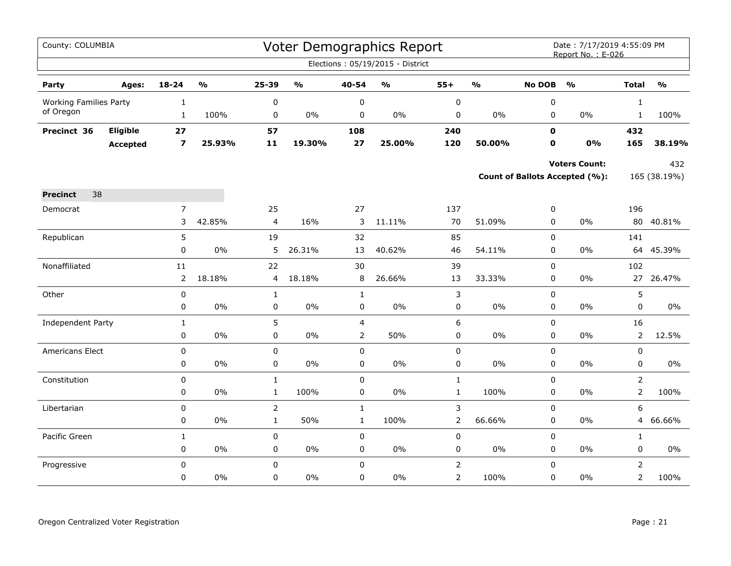| County: COLUMBIA              |                 |                |                         |                |                         |                | Voter Demographics Report         |                |               |               | Date: 7/17/2019 4:55:09 PM<br>Report No.: E-026 |                |                                   |
|-------------------------------|-----------------|----------------|-------------------------|----------------|-------------------------|----------------|-----------------------------------|----------------|---------------|---------------|-------------------------------------------------|----------------|-----------------------------------|
|                               |                 |                |                         |                |                         |                | Elections: 05/19/2015 - District  |                |               |               |                                                 |                |                                   |
| Party                         | Ages:           | $18 - 24$      | $\mathbf{O}/\mathbf{o}$ | 25-39          | $\mathbf{O}/\mathbf{o}$ | 40-54          | $\mathsf{o}\mathsf{v}_\mathsf{o}$ | $55+$          | $\frac{0}{0}$ | <b>No DOB</b> | $\mathbf{O}/\mathbf{o}$                         | <b>Total</b>   | $\mathsf{o}\mathsf{v}_\mathsf{o}$ |
| <b>Working Families Party</b> |                 | $\mathbf{1}$   |                         | $\pmb{0}$      |                         | $\pmb{0}$      |                                   | $\pmb{0}$      |               | $\pmb{0}$     |                                                 | $\mathbf{1}$   |                                   |
| of Oregon                     |                 | $\mathbf{1}$   | 100%                    | 0              | 0%                      | $\mathbf 0$    | $0\%$                             | 0              | 0%            | $\mathbf 0$   | $0\%$                                           | $\mathbf{1}$   | 100%                              |
| Precinct 36                   | Eligible        | 27             |                         | 57             |                         | 108            |                                   | 240            |               | $\mathbf 0$   |                                                 | 432            |                                   |
|                               | <b>Accepted</b> | 7              | 25.93%                  | 11             | 19.30%                  | 27             | 25.00%                            | 120            | 50.00%        | 0             | 0%                                              | 165            | 38.19%                            |
|                               |                 |                |                         |                |                         |                |                                   |                |               |               | <b>Voters Count:</b>                            |                | 432                               |
|                               |                 |                |                         |                |                         |                |                                   |                |               |               | Count of Ballots Accepted (%):                  |                | 165 (38.19%)                      |
| 38<br><b>Precinct</b>         |                 |                |                         |                |                         |                |                                   |                |               |               |                                                 |                |                                   |
| Democrat                      |                 | $\overline{7}$ |                         | 25             |                         | 27             |                                   | 137            |               | 0             |                                                 | 196            |                                   |
|                               |                 | 3              | 42.85%                  | 4              | 16%                     | 3              | 11.11%                            | 70             | 51.09%        | 0             | 0%                                              | 80             | 40.81%                            |
| Republican                    |                 | 5              |                         | 19             |                         | 32             |                                   | 85             |               | $\mathsf 0$   |                                                 | 141            |                                   |
|                               |                 | 0              | 0%                      | 5              | 26.31%                  | 13             | 40.62%                            | 46             | 54.11%        | $\mathbf 0$   | 0%                                              | 64             | 45.39%                            |
| Nonaffiliated                 |                 | 11             |                         | 22             |                         | 30             |                                   | 39             |               | $\mathbf 0$   |                                                 | 102            |                                   |
|                               |                 | 2              | 18.18%                  | 4              | 18.18%                  | 8              | 26.66%                            | 13             | 33.33%        | 0             | $0\%$                                           | 27             | 26.47%                            |
| Other                         |                 | $\pmb{0}$      |                         | $\mathbf{1}$   |                         | $\mathbf{1}$   |                                   | $\mathsf 3$    |               | $\mathbf 0$   |                                                 | 5              |                                   |
|                               |                 | 0              | $0\%$                   | 0              | $0\%$                   | 0              | $0\%$                             | 0              | $0\%$         | 0             | $0\%$                                           | 0              | $0\%$                             |
| Independent Party             |                 | $1\,$          |                         | 5              |                         | 4              |                                   | 6              |               | $\mathsf 0$   |                                                 | 16             |                                   |
|                               |                 | 0              | $0\%$                   | $\pmb{0}$      | $0\%$                   | $\overline{2}$ | 50%                               | 0              | $0\%$         | $\pmb{0}$     | $0\%$                                           | $\overline{2}$ | 12.5%                             |
| Americans Elect               |                 | $\mathbf 0$    |                         | $\pmb{0}$      |                         | $\mathbf 0$    |                                   | 0              |               | $\mathbf 0$   |                                                 | 0              |                                   |
|                               |                 | 0              | 0%                      | $\pmb{0}$      | $0\%$                   | $\pmb{0}$      | 0%                                | 0              | 0%            | $\pmb{0}$     | $0\%$                                           | $\pmb{0}$      | $0\%$                             |
| Constitution                  |                 | 0              |                         | $\mathbf 1$    |                         | $\pmb{0}$      |                                   | $\mathbf{1}$   |               | $\Omega$      |                                                 | $\overline{2}$ |                                   |
|                               |                 | 0              | $0\%$                   | $\mathbf{1}$   | 100%                    | 0              | $0\%$                             | $\mathbf{1}$   | 100%          | $\mathbf 0$   | 0%                                              | $\overline{2}$ | 100%                              |
| Libertarian                   |                 | 0              |                         | $\overline{2}$ |                         | $\mathbf{1}$   |                                   | 3              |               | $\mathsf 0$   |                                                 | 6              |                                   |
|                               |                 | 0              | $0\%$                   | $\mathbf 1$    | 50%                     | $\mathbf{1}$   | 100%                              | $\overline{2}$ | 66.66%        | $\pmb{0}$     | 0%                                              | 4              | 66.66%                            |
| Pacific Green                 |                 | $\mathbf{1}$   |                         | 0              |                         | $\mathbf 0$    |                                   | 0              |               | $\mathbf 0$   |                                                 | $\mathbf{1}$   |                                   |
|                               |                 | 0              | $0\%$                   | 0              | $0\%$                   | 0              | $0\%$                             | 0              | $0\%$         | $\mathbf 0$   | $0\%$                                           | 0              | $0\%$                             |
| Progressive                   |                 | 0              |                         | $\pmb{0}$      |                         | $\mathbf 0$    |                                   | $\mathsf{2}\,$ |               | $\mathbf 0$   |                                                 | $\overline{2}$ |                                   |
|                               |                 | 0              | $0\%$                   | 0              | 0%                      | 0              | $0\%$                             | $\overline{2}$ | 100%          | $\mathbf 0$   | $0\%$                                           | $\overline{2}$ | 100%                              |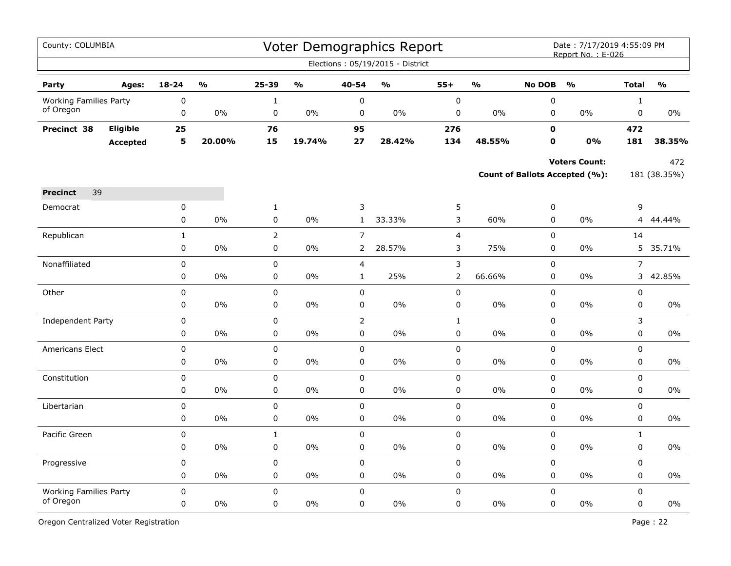| County: COLUMBIA              |                 |                   |               |                               |               |                                  | Voter Demographics Report        |                     |                         |                            | Date: 7/17/2019 4:55:09 PM<br>Report No.: E-026 |                |                                   |
|-------------------------------|-----------------|-------------------|---------------|-------------------------------|---------------|----------------------------------|----------------------------------|---------------------|-------------------------|----------------------------|-------------------------------------------------|----------------|-----------------------------------|
|                               |                 |                   |               |                               |               |                                  | Elections: 05/19/2015 - District |                     |                         |                            |                                                 |                |                                   |
| Party                         | Ages:           | $18 - 24$         | $\frac{1}{2}$ | 25-39                         | $\frac{0}{0}$ | 40-54                            | $\frac{0}{0}$                    | $55+$               | $\mathbf{O}/\mathbf{O}$ | <b>No DOB</b>              | $\frac{0}{0}$                                   | <b>Total</b>   | $\mathsf{o}\mathsf{v}_\mathsf{o}$ |
| <b>Working Families Party</b> |                 | 0                 |               | $1\,$                         |               | 0                                |                                  | $\pmb{0}$           |                         | 0                          |                                                 | $\mathbf 1$    |                                   |
| of Oregon                     |                 | 0                 | $0\%$         | 0                             | 0%            | 0                                | 0%                               | 0                   | 0%                      | 0                          | $0\%$                                           | 0              | $0\%$                             |
| Precinct 38                   | Eligible        | 25                |               | 76                            |               | 95                               |                                  | 276                 |                         | $\mathbf 0$                |                                                 | 472            |                                   |
|                               | <b>Accepted</b> | 5                 | 20.00%        | 15                            | 19.74%        | 27                               | 28.42%                           | 134                 | 48.55%                  | $\mathbf 0$                | 0%                                              | 181            | 38.35%                            |
|                               |                 |                   |               |                               |               |                                  |                                  |                     |                         |                            | <b>Voters Count:</b>                            |                | 472                               |
|                               |                 |                   |               |                               |               |                                  |                                  |                     |                         |                            | Count of Ballots Accepted (%):                  |                | 181 (38.35%)                      |
| 39                            |                 |                   |               |                               |               |                                  |                                  |                     |                         |                            |                                                 |                |                                   |
| <b>Precinct</b>               |                 |                   |               |                               |               |                                  |                                  |                     |                         |                            |                                                 |                |                                   |
| Democrat                      |                 | 0<br>$\mathbf 0$  | 0%            | $\mathbf{1}$<br>0             | $0\%$         | 3<br>$\mathbf{1}$                | 33.33%                           | 5<br>3              | 60%                     | 0<br>0                     | $0\%$                                           | 9<br>4         | 44.44%                            |
|                               |                 |                   |               |                               |               |                                  |                                  |                     |                         |                            |                                                 |                |                                   |
| Republican                    |                 | $\mathbf{1}$<br>0 | 0%            | $\overline{2}$<br>$\mathbf 0$ | 0%            | $\overline{7}$<br>$\overline{2}$ | 28.57%                           | $\overline{4}$<br>3 | 75%                     | $\pmb{0}$<br>$\mathbf 0$   | 0%                                              | 14             | 5 35.71%                          |
|                               |                 |                   |               |                               |               |                                  |                                  |                     |                         |                            |                                                 |                |                                   |
| Nonaffiliated                 |                 | $\mathbf 0$       |               | 0<br>0                        |               | $\overline{4}$                   | 25%                              | 3                   |                         | $\mathbf 0$<br>$\mathbf 0$ |                                                 | $\overline{7}$ |                                   |
|                               |                 | $\pmb{0}$         | 0%            |                               | 0%            | $\mathbf{1}$                     |                                  | $\overline{2}$      | 66.66%                  |                            | 0%                                              | 3              | 42.85%                            |
| Other                         |                 | 0                 |               | $\mathbf 0$                   |               | $\pmb{0}$                        |                                  | $\pmb{0}$           |                         | $\pmb{0}$                  |                                                 | 0              |                                   |
|                               |                 | 0                 | 0%            | $\mathbf 0$                   | 0%            | 0                                | 0%                               | $\pmb{0}$           | 0%                      | $\mathbf 0$                | 0%                                              | 0              | $0\%$                             |
| Independent Party             |                 | 0                 |               | 0                             |               | $\overline{2}$                   |                                  | $\mathbf{1}$        |                         | $\mathbf 0$                |                                                 | 3              |                                   |
|                               |                 | 0                 | $0\%$         | 0                             | 0%            | 0                                | 0%                               | 0                   | 0%                      | 0                          | $0\%$                                           | 0              | 0%                                |
| Americans Elect               |                 | 0                 |               | 0                             |               | 0                                |                                  | 0                   |                         | 0                          |                                                 | 0              |                                   |
|                               |                 | 0                 | 0%            | 0                             | 0%            | 0                                | 0%                               | 0                   | 0%                      | 0                          | 0%                                              | 0              | 0%                                |
| Constitution                  |                 | 0                 |               | 0                             |               | $\pmb{0}$                        |                                  | 0                   |                         | 0                          |                                                 | 0              |                                   |
|                               |                 | 0                 | $0\%$         | 0                             | 0%            | 0                                | 0%                               | 0                   | 0%                      | $\mathbf 0$                | $0\%$                                           | $\mathbf 0$    | 0%                                |
| Libertarian                   |                 | 0                 |               | $\pmb{0}$                     |               | $\mathsf 0$                      |                                  | $\mathsf 0$         |                         | $\mathsf 0$                |                                                 | $\pmb{0}$      |                                   |
|                               |                 | $\pmb{0}$         | 0%            | 0                             | $0\%$         | 0                                | 0%                               | $\mathbf 0$         | $0\%$                   | 0                          | $0\%$                                           | 0              | $0\%$                             |
| Pacific Green                 |                 | $\mathbf 0$       |               | $\mathbf{1}$                  |               | $\pmb{0}$                        |                                  | $\mathsf 0$         |                         | $\pmb{0}$                  |                                                 | $\mathbf{1}$   |                                   |
|                               |                 | 0                 | 0%            | 0                             | $0\%$         | 0                                | 0%                               | $\mathbf 0$         | 0%                      | $\mathbf 0$                | 0%                                              | $\mathbf 0$    | $0\%$                             |
| Progressive                   |                 | $\mathbf 0$       |               | 0                             |               | $\mathbf 0$                      |                                  | $\mathsf 0$         |                         | $\mathbf 0$                |                                                 | $\mathbf 0$    |                                   |
|                               |                 | 0                 | 0%            | 0                             | 0%            | 0                                | 0%                               | 0                   | 0%                      | 0                          | $0\%$                                           | 0              | 0%                                |
| <b>Working Families Party</b> |                 | $\mathbf 0$       |               | 0                             |               | $\pmb{0}$                        |                                  | $\mathbf 0$         |                         | $\mathbf 0$                |                                                 | $\mathbf 0$    |                                   |
| of Oregon                     |                 | 0                 | 0%            | $\Omega$                      | 0%            | 0                                | 0%                               | 0                   | 0%                      | $\Omega$                   | 0%                                              | 0              | 0%                                |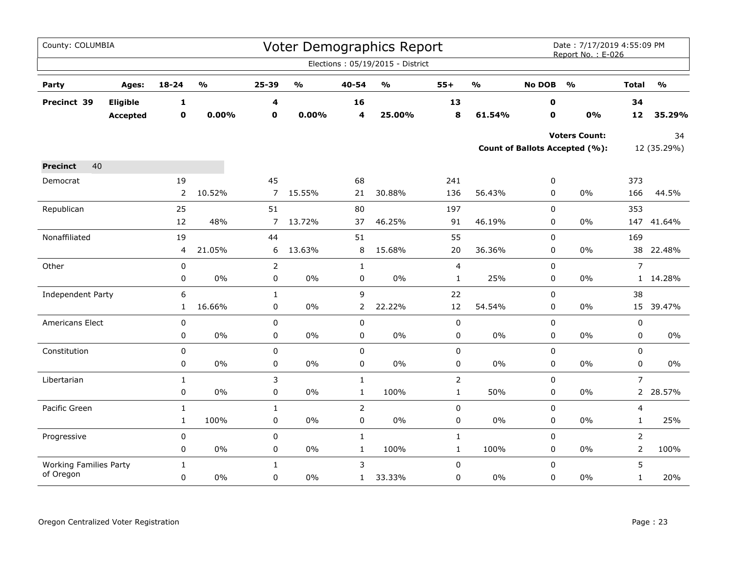| County: COLUMBIA              |                 |                |                         |                |                                   |                         | Voter Demographics Report         |                |                         |               | Date: 7/17/2019 4:55:09 PM<br>Report No.: E-026 |                |                         |
|-------------------------------|-----------------|----------------|-------------------------|----------------|-----------------------------------|-------------------------|-----------------------------------|----------------|-------------------------|---------------|-------------------------------------------------|----------------|-------------------------|
|                               |                 |                |                         |                |                                   |                         | Elections: 05/19/2015 - District  |                |                         |               |                                                 |                |                         |
| Party                         | Ages:           | $18 - 24$      | $\mathbf{0}/\mathbf{0}$ | 25-39          | $\mathsf{o}\mathsf{v}_\mathsf{o}$ | 40-54                   | $\mathsf{o}\mathsf{v}_\mathsf{o}$ | $55+$          | $\mathbf{0}/\mathbf{0}$ | <b>No DOB</b> | $\frac{1}{2}$                                   | <b>Total</b>   | $\mathbf{O}/\mathbf{O}$ |
| Precinct 39                   | Eligible        | $\mathbf 1$    |                         | 4              |                                   | 16                      |                                   | 13             |                         | 0             |                                                 | 34             |                         |
|                               | <b>Accepted</b> | $\mathbf 0$    | 0.00%                   | $\mathbf 0$    | 0.00%                             | $\overline{\mathbf{4}}$ | 25.00%                            | 8              | 61.54%                  | $\mathbf 0$   | 0%                                              | 12             | 35.29%                  |
|                               |                 |                |                         |                |                                   |                         |                                   |                |                         |               | <b>Voters Count:</b>                            |                | 34                      |
|                               |                 |                |                         |                |                                   |                         |                                   |                |                         |               | <b>Count of Ballots Accepted (%):</b>           |                | 12 (35.29%)             |
| 40<br><b>Precinct</b>         |                 |                |                         |                |                                   |                         |                                   |                |                         |               |                                                 |                |                         |
| Democrat                      |                 | 19             |                         | 45             |                                   | 68                      |                                   | 241            |                         | 0             |                                                 | 373            |                         |
|                               |                 | $\overline{2}$ | 10.52%                  | $\overline{7}$ | 15.55%                            | 21                      | 30.88%                            | 136            | 56.43%                  | 0             | $0\%$                                           | 166            | 44.5%                   |
| Republican                    |                 | 25             |                         | 51             |                                   | 80                      |                                   | 197            |                         | 0             |                                                 | 353            |                         |
|                               |                 | 12             | 48%                     | $\overline{7}$ | 13.72%                            | 37                      | 46.25%                            | 91             | 46.19%                  | 0             | 0%                                              |                | 147 41.64%              |
| Nonaffiliated                 |                 | 19             |                         | 44             |                                   | 51                      |                                   | 55             |                         | $\mathbf 0$   |                                                 | 169            |                         |
|                               |                 | 4              | 21.05%                  | 6              | 13.63%                            | 8                       | 15.68%                            | 20             | 36.36%                  | 0             | 0%                                              |                | 38 22.48%               |
| Other                         |                 | 0              |                         | $\overline{2}$ |                                   | $\mathbf{1}$            |                                   | 4              |                         | 0             |                                                 | $\overline{7}$ |                         |
|                               |                 | 0              | 0%                      | 0              | 0%                                | 0                       | 0%                                | $\mathbf{1}$   | 25%                     | 0             | 0%                                              |                | 1 14.28%                |
| Independent Party             |                 | 6              |                         | $\mathbf{1}$   |                                   | $\overline{9}$          |                                   | 22             |                         | 0             |                                                 | 38             |                         |
|                               |                 | $\mathbf{1}$   | 16.66%                  | $\mathbf 0$    | 0%                                | $\overline{2}$          | 22.22%                            | 12             | 54.54%                  | 0             | 0%                                              |                | 15 39.47%               |
| Americans Elect               |                 | 0              |                         | $\pmb{0}$      |                                   | 0                       |                                   | 0              |                         | $\mathbf 0$   |                                                 | 0              |                         |
|                               |                 | 0              | 0%                      | $\pmb{0}$      | $0\%$                             | 0                       | $0\%$                             | $\pmb{0}$      | $0\%$                   | 0             | $0\%$                                           | 0              | $0\%$                   |
| Constitution                  |                 | $\mathbf 0$    |                         | $\mathbf 0$    |                                   | $\mathbf 0$             |                                   | 0              |                         | 0             |                                                 | 0              |                         |
|                               |                 | 0              | $0\%$                   | $\pmb{0}$      | 0%                                | $\pmb{0}$               | $0\%$                             | 0              | 0%                      | $\pmb{0}$     | 0%                                              | 0              | $0\%$                   |
| Libertarian                   |                 | $\mathbf{1}$   |                         | 3              |                                   | $\mathbf{1}$            |                                   | $\overline{2}$ |                         | $\mathbf 0$   |                                                 | $\overline{7}$ |                         |
|                               |                 | 0              | 0%                      | $\pmb{0}$      | 0%                                | $\mathbf{1}$            | 100%                              | $\mathbf{1}$   | 50%                     | 0             | 0%                                              |                | 2 28.57%                |
| Pacific Green                 |                 | $\mathbf{1}$   |                         | $\mathbf{1}$   |                                   | $\mathsf{2}\,$          |                                   | $\pmb{0}$      |                         | $\mathbf 0$   |                                                 | 4              |                         |
|                               |                 | $\mathbf{1}$   | 100%                    | 0              | $0\%$                             | 0                       | $0\%$                             | $\pmb{0}$      | 0%                      | 0             | 0%                                              | $\mathbf{1}$   | 25%                     |
| Progressive                   |                 | 0              |                         | 0              |                                   | $\mathbf{1}$            |                                   | $\mathbf 1$    |                         | $\pmb{0}$     |                                                 | $\overline{2}$ |                         |
|                               |                 | 0              | $0\%$                   | 0              | $0\%$                             | $\mathbf{1}$            | 100%                              | $\mathbf{1}$   | 100%                    | $\pmb{0}$     | 0%                                              | $\overline{2}$ | 100%                    |
| <b>Working Families Party</b> |                 | 1              |                         | $\mathbf{1}$   |                                   | 3                       |                                   | $\pmb{0}$      |                         | $\mathbf 0$   |                                                 | 5              |                         |
| of Oregon                     |                 | $\mathbf 0$    | $0\%$                   | 0              | $0\%$                             | $\mathbf{1}$            | 33.33%                            | 0              | $0\%$                   | $\pmb{0}$     | 0%                                              | $\mathbf{1}$   | 20%                     |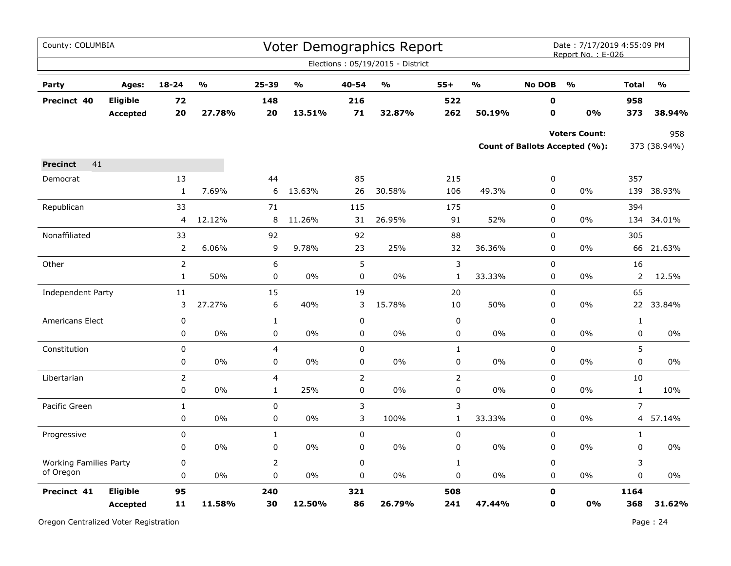| County: COLUMBIA              |                                    |                |                                   |                         |                                   |                | <b>Voter Demographics Report</b>  |                |                                   |                  | Date: 7/17/2019 4:55:09 PM<br>Report No.: E-026        |                |                                   |
|-------------------------------|------------------------------------|----------------|-----------------------------------|-------------------------|-----------------------------------|----------------|-----------------------------------|----------------|-----------------------------------|------------------|--------------------------------------------------------|----------------|-----------------------------------|
|                               |                                    |                |                                   |                         |                                   |                | Elections: 05/19/2015 - District  |                |                                   |                  |                                                        |                |                                   |
| Party                         | Ages:                              | $18 - 24$      | $\mathsf{o}\mathsf{v}_\mathsf{o}$ | 25-39                   | $\mathsf{o}\mathsf{v}_\mathsf{o}$ | 40-54          | $\mathsf{o}\mathsf{v}_\mathsf{o}$ | $55+$          | $\mathsf{o}\mathsf{v}_\mathsf{o}$ | <b>No DOB</b>    | $\frac{0}{0}$                                          | <b>Total</b>   | $\mathsf{o}\mathsf{v}_\mathsf{o}$ |
| Precinct 40                   | <b>Eligible</b><br><b>Accepted</b> | 72<br>20       | 27.78%                            | 148<br>20               | 13.51%                            | 216<br>71      | 32.87%                            | 522<br>262     | 50.19%                            | $\mathbf 0$<br>0 | 0%                                                     | 958<br>373     | 38.94%                            |
|                               |                                    |                |                                   |                         |                                   |                |                                   |                |                                   |                  | <b>Voters Count:</b><br>Count of Ballots Accepted (%): |                | 958<br>373 (38.94%)               |
| 41<br><b>Precinct</b>         |                                    |                |                                   |                         |                                   |                |                                   |                |                                   |                  |                                                        |                |                                   |
| Democrat                      |                                    | 13             |                                   | 44                      |                                   | 85             |                                   | 215            |                                   | 0                |                                                        | 357            |                                   |
|                               |                                    | $\mathbf{1}$   | 7.69%                             | 6                       | 13.63%                            | 26             | 30.58%                            | 106            | 49.3%                             | $\mathbf 0$      | 0%                                                     | 139            | 38.93%                            |
| Republican                    |                                    | 33             |                                   | 71                      |                                   | 115            |                                   | 175            |                                   | $\mathbf 0$      |                                                        | 394            |                                   |
|                               |                                    | 4              | 12.12%                            | 8                       | 11.26%                            | 31             | 26.95%                            | 91             | 52%                               | 0                | 0%                                                     |                | 134 34.01%                        |
| Nonaffiliated                 |                                    | 33             |                                   | 92                      |                                   | 92             |                                   | 88             |                                   | $\mathbf 0$      |                                                        | 305            |                                   |
|                               |                                    | $\overline{2}$ | 6.06%                             | 9                       | 9.78%                             | 23             | 25%                               | 32             | 36.36%                            | $\mathbf 0$      | 0%                                                     |                | 66 21.63%                         |
| Other                         |                                    | $\overline{2}$ |                                   | 6                       |                                   | 5              |                                   | $\mathsf 3$    |                                   | $\pmb{0}$        |                                                        | 16             |                                   |
|                               |                                    | $\mathbf{1}$   | 50%                               | 0                       | 0%                                | 0              | 0%                                | $\mathbf{1}$   | 33.33%                            | 0                | 0%                                                     | $\overline{2}$ | 12.5%                             |
| Independent Party             |                                    | $11\,$         |                                   | 15                      |                                   | 19             |                                   | 20             |                                   | 0                |                                                        | 65             |                                   |
|                               |                                    | 3              | 27.27%                            | 6                       | 40%                               | 3              | 15.78%                            | 10             | 50%                               | $\mathbf 0$      | 0%                                                     | 22             | 33.84%                            |
| <b>Americans Elect</b>        |                                    | $\pmb{0}$      |                                   | $\mathbf{1}$            |                                   | $\pmb{0}$      |                                   | 0              |                                   | 0                |                                                        | 1              |                                   |
|                               |                                    | 0              | 0%                                | $\pmb{0}$               | 0%                                | $\pmb{0}$      | 0%                                | 0              | 0%                                | $\pmb{0}$        | 0%                                                     | 0              | 0%                                |
| Constitution                  |                                    | $\mathbf 0$    |                                   | $\overline{4}$          |                                   | $\mathbf 0$    |                                   | $\mathbf{1}$   |                                   | $\mathbf 0$      |                                                        | 5              |                                   |
|                               |                                    | $\pmb{0}$      | 0%                                | 0                       | $0\%$                             | 0              | 0%                                | 0              | 0%                                | $\mathsf 0$      | 0%                                                     | $\mathbf 0$    | 0%                                |
| Libertarian                   |                                    | $\overline{2}$ |                                   | $\overline{\mathbf{4}}$ |                                   | $\overline{2}$ |                                   | $\overline{2}$ |                                   | $\pmb{0}$        |                                                        | 10             |                                   |
|                               |                                    | $\pmb{0}$      | 0%                                | $\mathbf{1}$            | 25%                               | $\mathbf 0$    | 0%                                | 0              | 0%                                | 0                | 0%                                                     | $\mathbf{1}$   | 10%                               |
| Pacific Green                 |                                    | $\mathbf{1}$   |                                   | 0                       |                                   | 3              |                                   | 3              |                                   | $\pmb{0}$        |                                                        | $\overline{7}$ |                                   |
|                               |                                    | $\mathsf 0$    | 0%                                | $\pmb{0}$               | 0%                                | 3              | 100%                              | $\mathbf 1$    | 33.33%                            | 0                | 0%                                                     | 4              | 57.14%                            |
| Progressive                   |                                    | 0              |                                   | $\mathbf{1}$            |                                   | $\mathbf 0$    |                                   | $\pmb{0}$      |                                   | 0                |                                                        | $\mathbf{1}$   |                                   |
|                               |                                    | $\pmb{0}$      | 0%                                | $\pmb{0}$               | 0%                                | $\pmb{0}$      | 0%                                | 0              | $0\%$                             | 0                | 0%                                                     | $\mathbf 0$    | $0\%$                             |
| <b>Working Families Party</b> |                                    | $\pmb{0}$      |                                   | $\overline{2}$          |                                   | $\pmb{0}$      |                                   | $\mathbf{1}$   |                                   | $\pmb{0}$        |                                                        | 3              |                                   |
| of Oregon                     |                                    | $\mathbf 0$    | 0%                                | $\pmb{0}$               | 0%                                | 0              | $0\%$                             | 0              | 0%                                | $\mathbf 0$      | 0%                                                     | $\mathbf 0$    | 0%                                |
| Precinct 41                   | Eligible                           | 95             |                                   | 240                     |                                   | 321            |                                   | 508            |                                   | $\mathbf 0$      |                                                        | 1164           |                                   |
|                               | <b>Accepted</b>                    | 11             | 11.58%                            | 30                      | 12.50%                            | 86             | 26.79%                            | 241            | 47.44%                            | $\mathbf o$      | 0%                                                     | 368            | 31.62%                            |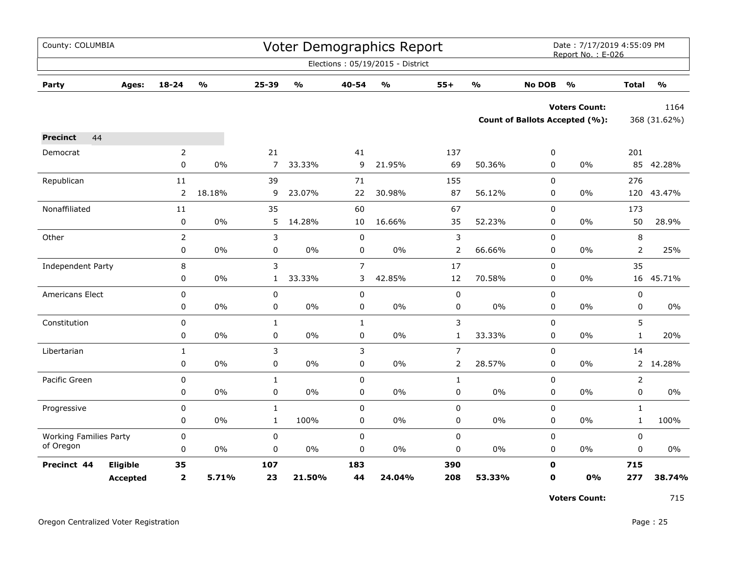| County: COLUMBIA              |                 |                |                         |                |                                   |                | <b>Voter Demographics Report</b>  |                |                         |               | Date: 7/17/2019 4:55:09 PM<br>Report No.: E-026 |                |                         |
|-------------------------------|-----------------|----------------|-------------------------|----------------|-----------------------------------|----------------|-----------------------------------|----------------|-------------------------|---------------|-------------------------------------------------|----------------|-------------------------|
|                               |                 |                |                         |                |                                   |                | Elections: 05/19/2015 - District  |                |                         |               |                                                 |                |                         |
| Party                         | Ages:           | $18 - 24$      | $\mathbf{0}/\mathbf{0}$ | 25-39          | $\mathsf{o}\mathsf{v}_\mathsf{o}$ | 40-54          | $\mathsf{o}\mathsf{v}_\mathsf{o}$ | $55+$          | $\mathbf{O}/\mathbf{O}$ | <b>No DOB</b> | $\mathsf{o}\mathsf{v}_\mathsf{o}$               | <b>Total</b>   | $\mathbf{0}/\mathbf{0}$ |
|                               |                 |                |                         |                |                                   |                |                                   |                |                         |               | <b>Voters Count:</b>                            |                | 1164                    |
|                               |                 |                |                         |                |                                   |                |                                   |                |                         |               | <b>Count of Ballots Accepted (%):</b>           |                | 368 (31.62%)            |
| 44<br><b>Precinct</b>         |                 |                |                         |                |                                   |                |                                   |                |                         |               |                                                 |                |                         |
| Democrat                      |                 | $\overline{2}$ |                         | 21             |                                   | 41             |                                   | 137            |                         | 0             |                                                 | 201            |                         |
|                               |                 | $\mathbf 0$    | 0%                      | $\overline{7}$ | 33.33%                            | 9              | 21.95%                            | 69             | 50.36%                  | 0             | 0%                                              |                | 85 42.28%               |
| Republican                    |                 | 11             |                         | 39             |                                   | 71             |                                   | 155            |                         | 0             |                                                 | 276            |                         |
|                               |                 | 2              | 18.18%                  | 9              | 23.07%                            | 22             | 30.98%                            | 87             | 56.12%                  | 0             | $0\%$                                           | 120            | 43.47%                  |
| Nonaffiliated                 |                 | 11             |                         | 35             |                                   | 60             |                                   | 67             |                         | 0             |                                                 | 173            |                         |
|                               |                 | $\pmb{0}$      | 0%                      | 5              | 14.28%                            | 10             | 16.66%                            | 35             | 52.23%                  | 0             | $0\%$                                           | 50             | 28.9%                   |
| Other                         |                 | $\overline{2}$ |                         | 3              |                                   | $\mathbf 0$    |                                   | 3              |                         | 0             |                                                 | 8              |                         |
|                               |                 | 0              | 0%                      | 0              | $0\%$                             | 0              | $0\%$                             | 2              | 66.66%                  | 0             | $0\%$                                           | $\overline{2}$ | 25%                     |
| Independent Party             |                 | 8              |                         | 3              |                                   | $\overline{7}$ |                                   | 17             |                         | 0             |                                                 | 35             |                         |
|                               |                 | 0              | 0%                      | 1              | 33.33%                            | 3              | 42.85%                            | 12             | 70.58%                  | 0             | $0\%$                                           | 16             | 45.71%                  |
| Americans Elect               |                 | 0              |                         | $\pmb{0}$      |                                   | 0              |                                   | 0              |                         | 0             |                                                 | $\pmb{0}$      |                         |
|                               |                 | 0              | $0\%$                   | 0              | $0\%$                             | 0              | 0%                                | 0              | $0\%$                   | 0             | $0\%$                                           | $\mathbf 0$    | $0\%$                   |
| Constitution                  |                 | $\pmb{0}$      |                         | $\mathbf{1}$   |                                   | $\mathbf{1}$   |                                   | 3              |                         | 0             |                                                 | 5              |                         |
|                               |                 | 0              | 0%                      | $\pmb{0}$      | $0\%$                             | 0              | 0%                                | $\mathbf{1}$   | 33.33%                  | 0             | 0%                                              | $\mathbf{1}$   | 20%                     |
| Libertarian                   |                 | $\mathbf{1}$   |                         | 3              |                                   | 3              |                                   | $\overline{7}$ |                         | $\mathbf 0$   |                                                 | 14             |                         |
|                               |                 | $\pmb{0}$      | 0%                      | $\pmb{0}$      | $0\%$                             | $\mathbf 0$    | $0\%$                             | $\overline{2}$ | 28.57%                  | 0             | $0\%$                                           | $2^{\circ}$    | 14.28%                  |
| Pacific Green                 |                 | 0              |                         | $\mathbf{1}$   |                                   | 0              |                                   | $\mathbf{1}$   |                         | $\mathbf 0$   |                                                 | 2              |                         |
|                               |                 | 0              | 0%                      | 0              | 0%                                | 0              | $0\%$                             | 0              | 0%                      | 0             | 0%                                              | 0              | 0%                      |
| Progressive                   |                 | 0              |                         | $\mathbf 1$    |                                   | $\mathbf 0$    |                                   | 0              |                         | 0             |                                                 | $\mathbf{1}$   |                         |
|                               |                 | 0              | 0%                      | $\mathbf{1}$   | 100%                              | 0              | 0%                                | 0              | $0\%$                   | 0             | $0\%$                                           | $\mathbf{1}$   | 100%                    |
| <b>Working Families Party</b> |                 | 0              |                         | $\pmb{0}$      |                                   | 0              |                                   | 0              |                         | 0             |                                                 | $\pmb{0}$      |                         |
| of Oregon                     |                 | $\pmb{0}$      | 0%                      | $\mathbf 0$    | $0\%$                             | 0              | 0%                                | 0              | $0\%$                   | 0             | $0\%$                                           | 0              | $0\%$                   |
| Precinct 44                   | Eligible        | 35             |                         | 107            |                                   | 183            |                                   | 390            |                         | $\mathbf 0$   |                                                 | 715            |                         |
|                               | <b>Accepted</b> | $\mathbf{2}$   | 5.71%                   | 23             | 21.50%                            | 44             | 24.04%                            | 208            | 53.33%                  | $\mathbf 0$   | 0%                                              | 277            | 38.74%                  |

**Voters Count:** 715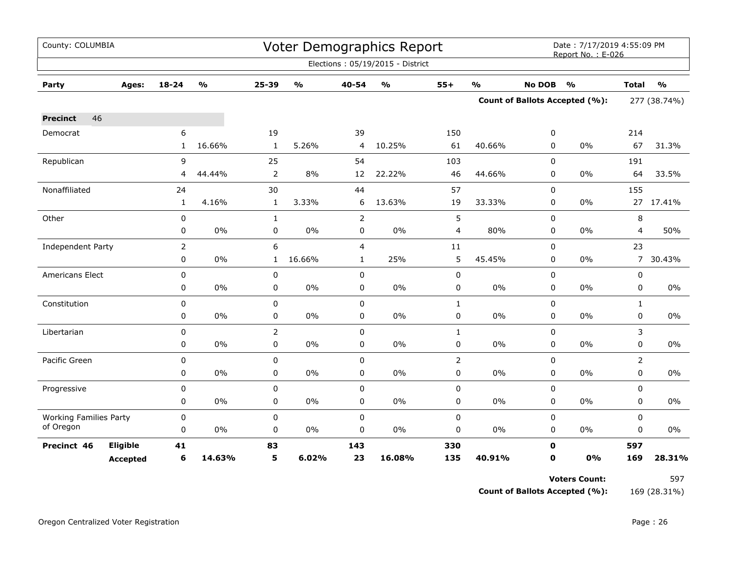| County: COLUMBIA              |                 |                |               |                |               |                | Voter Demographics Report        |                |                         |               | Date: 7/17/2019 4:55:09 PM<br>Report No.: E-026 |              |               |
|-------------------------------|-----------------|----------------|---------------|----------------|---------------|----------------|----------------------------------|----------------|-------------------------|---------------|-------------------------------------------------|--------------|---------------|
|                               |                 |                |               |                |               |                | Elections: 05/19/2015 - District |                |                         |               |                                                 |              |               |
| Party                         | Ages:           | $18 - 24$      | $\frac{0}{0}$ | 25-39          | $\frac{1}{2}$ | 40-54          | $\frac{0}{0}$                    | $55+$          | $\mathbf{O}/\mathbf{o}$ | <b>No DOB</b> | $\frac{1}{2}$                                   | <b>Total</b> | $\frac{1}{2}$ |
|                               |                 |                |               |                |               |                |                                  |                |                         |               | <b>Count of Ballots Accepted (%):</b>           | 277 (38.74%) |               |
| 46<br><b>Precinct</b>         |                 |                |               |                |               |                |                                  |                |                         |               |                                                 |              |               |
| Democrat                      |                 | 6              |               | 19             |               | 39             |                                  | 150            |                         | 0             |                                                 | 214          |               |
|                               |                 | 1              | 16.66%        | $\mathbf{1}$   | 5.26%         | 4              | 10.25%                           | 61             | 40.66%                  | 0             | $0\%$                                           | 67           | 31.3%         |
| Republican                    |                 | 9              |               | 25             |               | 54             |                                  | 103            |                         | 0             |                                                 | 191          |               |
|                               |                 | 4              | 44.44%        | 2              | 8%            | 12             | 22.22%                           | 46             | 44.66%                  | 0             | 0%                                              | 64           | 33.5%         |
| Nonaffiliated                 |                 | 24             |               | 30             |               | 44             |                                  | 57             |                         | $\Omega$      |                                                 | 155          |               |
|                               |                 | $\mathbf{1}$   | 4.16%         | $\mathbf{1}$   | 3.33%         | 6              | 13.63%                           | 19             | 33.33%                  | 0             | $0\%$                                           |              | 27 17.41%     |
| Other                         |                 | $\pmb{0}$      |               | $\mathbf{1}$   |               | $\overline{2}$ |                                  | 5              |                         | 0             |                                                 | 8            |               |
|                               |                 | 0              | 0%            | 0              | 0%            | 0              | 0%                               | 4              | 80%                     | 0             | 0%                                              | 4            | 50%           |
| Independent Party             |                 | $\overline{2}$ |               | 6              |               | $\overline{4}$ |                                  | $11\,$         |                         | 0             |                                                 | 23           |               |
|                               |                 | 0              | 0%            | $\mathbf{1}$   | 16.66%        | $\mathbf{1}$   | 25%                              | 5              | 45.45%                  | 0             | 0%                                              | $7^{\circ}$  | 30.43%        |
| <b>Americans Elect</b>        |                 | $\mathbf 0$    |               | 0              |               | $\mathbf 0$    |                                  | $\pmb{0}$      |                         | 0             |                                                 | 0            |               |
|                               |                 | 0              | 0%            | 0              | 0%            | 0              | $0\%$                            | $\pmb{0}$      | $0\%$                   | $\mathbf 0$   | 0%                                              | $\pmb{0}$    | $0\%$         |
| Constitution                  |                 | $\pmb{0}$      |               | 0              |               | 0              |                                  | $\mathbf{1}$   |                         | 0             |                                                 | $\mathbf{1}$ |               |
|                               |                 | 0              | 0%            | 0              | $0\%$         | 0              | $0\%$                            | $\pmb{0}$      | 0%                      | 0             | $0\%$                                           | $\mathbf 0$  | $0\%$         |
| Libertarian                   |                 | $\mathbf 0$    |               | $\overline{2}$ |               | $\mathbf 0$    |                                  | $\mathbf{1}$   |                         | 0             |                                                 | 3            |               |
|                               |                 | 0              | $0\%$         | $\mathbf 0$    | $0\%$         | $\mathbf 0$    | 0%                               | $\pmb{0}$      | $0\%$                   | $\Omega$      | 0%                                              | $\Omega$     | $0\%$         |
| Pacific Green                 |                 | $\mathbf 0$    |               | 0              |               | $\mathbf 0$    |                                  | $\overline{2}$ |                         | 0             |                                                 | 2            |               |
|                               |                 | 0              | 0%            | 0              | $0\%$         | 0              | $0\%$                            | $\pmb{0}$      | $0\%$                   | 0             | $0\%$                                           | $\pmb{0}$    | $0\%$         |
| Progressive                   |                 | 0              |               | 0              |               | $\pmb{0}$      |                                  | $\pmb{0}$      |                         | 0             |                                                 | $\mathbf 0$  |               |
|                               |                 | 0              | 0%            | 0              | $0\%$         | 0              | $0\%$                            | 0              | $0\%$                   | 0             | $0\%$                                           | $\mathbf 0$  | 0%            |
| <b>Working Families Party</b> |                 | $\pmb{0}$      |               | 0              |               | $\pmb{0}$      |                                  | $\pmb{0}$      |                         | 0             |                                                 | $\mathbf 0$  |               |
| of Oregon                     |                 | 0              | 0%            | 0              | $0\%$         | 0              | 0%                               | 0              | 0%                      | 0             | 0%                                              | 0            | 0%            |
| Precinct 46                   | Eligible        | 41             |               | 83             |               | 143            |                                  | 330            |                         | $\mathbf 0$   |                                                 | 597          |               |
|                               | <b>Accepted</b> | 6              | 14.63%        | 5              | 6.02%         | 23             | 16.08%                           | 135            | 40.91%                  | $\mathbf 0$   | 0%                                              | 169          | 28.31%        |

**Voters Count:** 597

**Count of Ballots Accepted (%):** 169 (28.31%)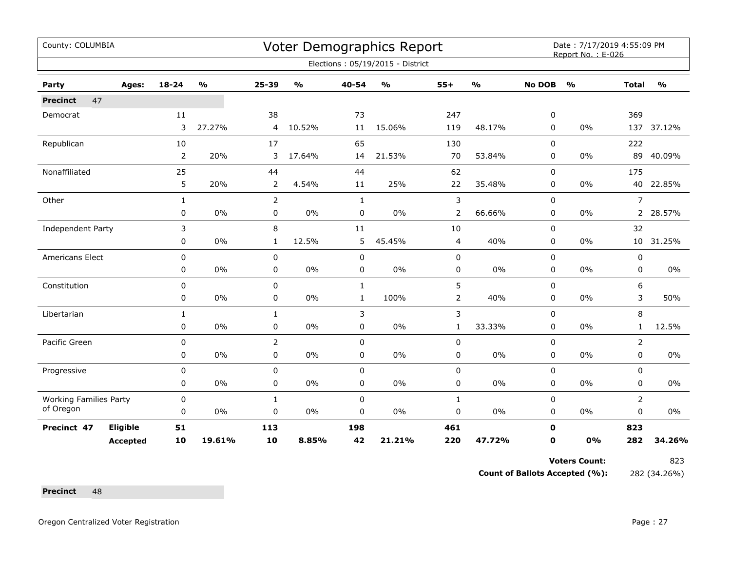| County: COLUMBIA<br>Voter Demographics Report<br>Date: 7/17/2019 4:55:09 PM<br>Report No.: E-026<br>Elections: 05/19/2015 - District<br>$\mathbf{O}/\mathbf{o}$<br>$\frac{0}{0}$<br>$55+$<br>$\frac{1}{2}$<br><b>No DOB</b><br>$18 - 24$<br>25-39<br>40-54<br>$\frac{1}{2}$<br>$\frac{1}{2}$<br><b>Total</b><br>Party<br>Ages:<br>47<br><b>Precinct</b><br>38<br>247<br>369<br>11<br>73<br>0<br>Democrat<br>3<br>27.27%<br>10.52%<br>15.06%<br>119<br>48.17%<br>$0\%$<br>0<br>4<br>11<br>65<br>222<br>Republican<br>10<br>17<br>130<br>0<br>$\overline{2}$<br>21.53%<br>20%<br>3<br>17.64%<br>70<br>53.84%<br>0<br>0%<br>89<br>14<br>Nonaffiliated<br>25<br>62<br>175<br>44<br>44<br>0<br>5<br>35.48%<br>20%<br>$\overline{2}$<br>4.54%<br>25%<br>22<br>0%<br>11<br>0<br>3<br>$\overline{2}$<br>$\overline{7}$<br>Other<br>$\mathbf{1}$<br>$\Omega$<br>$\mathbf{1}$<br>$0\%$<br>$0\%$<br>$\pmb{0}$<br>$0\%$<br>$\overline{2}$<br>66.66%<br>$0\%$<br>0<br>0<br>0 |                 |              |        |                |       |              |        |                |        |             |       |                |               |
|-----------------------------------------------------------------------------------------------------------------------------------------------------------------------------------------------------------------------------------------------------------------------------------------------------------------------------------------------------------------------------------------------------------------------------------------------------------------------------------------------------------------------------------------------------------------------------------------------------------------------------------------------------------------------------------------------------------------------------------------------------------------------------------------------------------------------------------------------------------------------------------------------------------------------------------------------------------------|-----------------|--------------|--------|----------------|-------|--------------|--------|----------------|--------|-------------|-------|----------------|---------------|
|                                                                                                                                                                                                                                                                                                                                                                                                                                                                                                                                                                                                                                                                                                                                                                                                                                                                                                                                                                 |                 |              |        |                |       |              |        |                |        |             |       |                |               |
|                                                                                                                                                                                                                                                                                                                                                                                                                                                                                                                                                                                                                                                                                                                                                                                                                                                                                                                                                                 |                 |              |        |                |       |              |        |                |        |             |       |                | $\frac{1}{2}$ |
|                                                                                                                                                                                                                                                                                                                                                                                                                                                                                                                                                                                                                                                                                                                                                                                                                                                                                                                                                                 |                 |              |        |                |       |              |        |                |        |             |       |                |               |
|                                                                                                                                                                                                                                                                                                                                                                                                                                                                                                                                                                                                                                                                                                                                                                                                                                                                                                                                                                 |                 |              |        |                |       |              |        |                |        |             |       |                |               |
|                                                                                                                                                                                                                                                                                                                                                                                                                                                                                                                                                                                                                                                                                                                                                                                                                                                                                                                                                                 |                 |              |        |                |       |              |        |                |        |             |       |                | 137 37.12%    |
|                                                                                                                                                                                                                                                                                                                                                                                                                                                                                                                                                                                                                                                                                                                                                                                                                                                                                                                                                                 |                 |              |        |                |       |              |        |                |        |             |       |                |               |
|                                                                                                                                                                                                                                                                                                                                                                                                                                                                                                                                                                                                                                                                                                                                                                                                                                                                                                                                                                 |                 |              |        |                |       |              |        |                |        |             |       |                | 40.09%        |
|                                                                                                                                                                                                                                                                                                                                                                                                                                                                                                                                                                                                                                                                                                                                                                                                                                                                                                                                                                 |                 |              |        |                |       |              |        |                |        |             |       |                |               |
|                                                                                                                                                                                                                                                                                                                                                                                                                                                                                                                                                                                                                                                                                                                                                                                                                                                                                                                                                                 |                 |              |        |                |       |              |        |                |        |             |       |                | 40 22.85%     |
|                                                                                                                                                                                                                                                                                                                                                                                                                                                                                                                                                                                                                                                                                                                                                                                                                                                                                                                                                                 |                 |              |        |                |       |              |        |                |        |             |       |                |               |
|                                                                                                                                                                                                                                                                                                                                                                                                                                                                                                                                                                                                                                                                                                                                                                                                                                                                                                                                                                 |                 |              |        |                |       |              |        |                |        |             |       |                | 2 28.57%      |
| Independent Party                                                                                                                                                                                                                                                                                                                                                                                                                                                                                                                                                                                                                                                                                                                                                                                                                                                                                                                                               |                 | 3            |        | 8              |       | 11           |        | 10             |        | $\Omega$    |       | 32             |               |
|                                                                                                                                                                                                                                                                                                                                                                                                                                                                                                                                                                                                                                                                                                                                                                                                                                                                                                                                                                 |                 | 0            | $0\%$  | $\mathbf{1}$   | 12.5% | 5            | 45.45% | 4              | 40%    | 0           | 0%    |                | 10 31.25%     |
| Americans Elect                                                                                                                                                                                                                                                                                                                                                                                                                                                                                                                                                                                                                                                                                                                                                                                                                                                                                                                                                 |                 | 0            |        | 0              |       | $\pmb{0}$    |        | 0              |        | 0           |       | 0              |               |
|                                                                                                                                                                                                                                                                                                                                                                                                                                                                                                                                                                                                                                                                                                                                                                                                                                                                                                                                                                 |                 | 0            | $0\%$  | 0              | $0\%$ | 0            | $0\%$  | 0              | $0\%$  | 0           | 0%    | 0              | 0%            |
| Constitution                                                                                                                                                                                                                                                                                                                                                                                                                                                                                                                                                                                                                                                                                                                                                                                                                                                                                                                                                    |                 | 0            |        | 0              |       | $\mathbf{1}$ |        | 5              |        | 0           |       | 6              |               |
|                                                                                                                                                                                                                                                                                                                                                                                                                                                                                                                                                                                                                                                                                                                                                                                                                                                                                                                                                                 |                 | 0            | $0\%$  | 0              | $0\%$ | $\mathbf{1}$ | 100%   | $\overline{2}$ | 40%    | 0           | 0%    | 3              | 50%           |
| Libertarian                                                                                                                                                                                                                                                                                                                                                                                                                                                                                                                                                                                                                                                                                                                                                                                                                                                                                                                                                     |                 | $\mathbf{1}$ |        | $\mathbf{1}$   |       | 3            |        | 3              |        | 0           |       | 8              |               |
|                                                                                                                                                                                                                                                                                                                                                                                                                                                                                                                                                                                                                                                                                                                                                                                                                                                                                                                                                                 |                 | 0            | $0\%$  | 0              | $0\%$ | $\mathbf 0$  | $0\%$  | $\mathbf{1}$   | 33.33% | 0           | 0%    | $\mathbf{1}$   | 12.5%         |
| Pacific Green                                                                                                                                                                                                                                                                                                                                                                                                                                                                                                                                                                                                                                                                                                                                                                                                                                                                                                                                                   |                 | 0            |        | $\overline{2}$ |       | $\mathbf 0$  |        | 0              |        | $\Omega$    |       | $\overline{2}$ |               |
|                                                                                                                                                                                                                                                                                                                                                                                                                                                                                                                                                                                                                                                                                                                                                                                                                                                                                                                                                                 |                 | 0            | 0%     | 0              | $0\%$ | $\pmb{0}$    | $0\%$  | 0              | 0%     | 0           | $0\%$ | $\mathbf 0$    | 0%            |
| Progressive                                                                                                                                                                                                                                                                                                                                                                                                                                                                                                                                                                                                                                                                                                                                                                                                                                                                                                                                                     |                 | $\mathbf 0$  |        | 0              |       | $\mathbf 0$  |        | 0              |        | 0           |       | $\mathbf 0$    |               |
|                                                                                                                                                                                                                                                                                                                                                                                                                                                                                                                                                                                                                                                                                                                                                                                                                                                                                                                                                                 |                 | 0            | 0%     | 0              | $0\%$ | $\pmb{0}$    | $0\%$  | 0              | 0%     | 0           | 0%    | $\mathbf 0$    | 0%            |
| <b>Working Families Party</b>                                                                                                                                                                                                                                                                                                                                                                                                                                                                                                                                                                                                                                                                                                                                                                                                                                                                                                                                   |                 | 0            |        | $\mathbf{1}$   |       | $\pmb{0}$    |        | $\mathbf{1}$   |        | 0           |       | $\overline{2}$ |               |
| of Oregon                                                                                                                                                                                                                                                                                                                                                                                                                                                                                                                                                                                                                                                                                                                                                                                                                                                                                                                                                       |                 | 0            | 0%     | 0              | $0\%$ | 0            | 0%     | 0              | 0%     | 0           | 0%    | 0              | 0%            |
| Precinct 47                                                                                                                                                                                                                                                                                                                                                                                                                                                                                                                                                                                                                                                                                                                                                                                                                                                                                                                                                     | Eligible        | 51           |        | 113            |       | 198          |        | 461            |        | $\mathbf 0$ |       | 823            |               |
|                                                                                                                                                                                                                                                                                                                                                                                                                                                                                                                                                                                                                                                                                                                                                                                                                                                                                                                                                                 | <b>Accepted</b> | 10           | 19.61% | 10             | 8.85% | 42           | 21.21% | 220            | 47.72% | $\mathbf 0$ | 0%    | 282            | 34.26%        |

**Voters Count:** 823

**Count of Ballots Accepted (%):** 282 (34.26%)

Precinct 48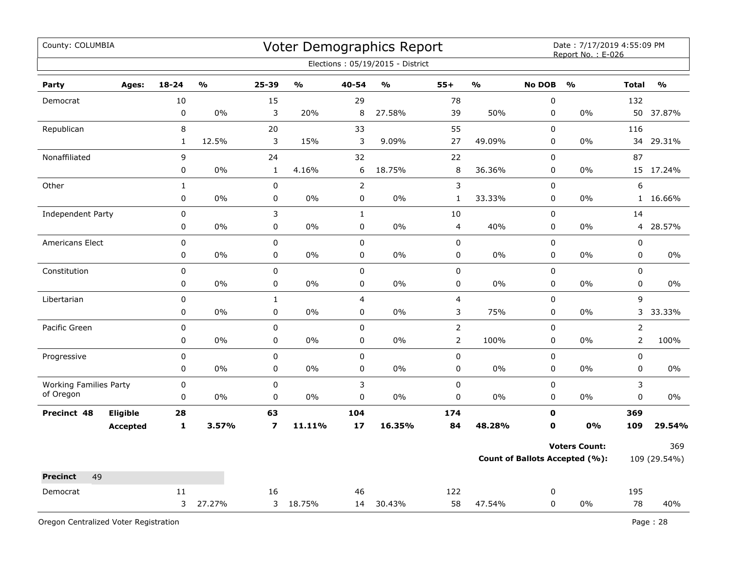| County: COLUMBIA                           |                 |              |                                   |                         |                         |                | Voter Demographics Report         |                |                         |               | Date: 7/17/2019 4:55:09 PM<br>Report No.: E-026 |                |               |
|--------------------------------------------|-----------------|--------------|-----------------------------------|-------------------------|-------------------------|----------------|-----------------------------------|----------------|-------------------------|---------------|-------------------------------------------------|----------------|---------------|
|                                            |                 |              |                                   |                         |                         |                | Elections: 05/19/2015 - District  |                |                         |               |                                                 |                |               |
| Party                                      | Ages:           | $18 - 24$    | $\mathsf{o}\mathsf{v}_\mathsf{o}$ | 25-39                   | $\mathbf{O}/\mathbf{o}$ | 40-54          | $\mathsf{o}\mathsf{v}_\mathsf{o}$ | $55+$          | $\mathbf{O}/\mathbf{O}$ | <b>No DOB</b> | $\frac{0}{0}$                                   | <b>Total</b>   | $\frac{1}{2}$ |
| Democrat                                   |                 | 10           |                                   | 15                      |                         | 29             |                                   | 78             |                         | $\pmb{0}$     |                                                 | 132            |               |
|                                            |                 | $\mathbf 0$  | 0%                                | 3                       | 20%                     | 8              | 27.58%                            | 39             | 50%                     | 0             | 0%                                              | 50             | 37.87%        |
| Republican                                 |                 | 8            |                                   | 20                      |                         | 33             |                                   | 55             |                         | $\mathbf 0$   |                                                 | 116            |               |
|                                            |                 | $\mathbf{1}$ | 12.5%                             | 3                       | 15%                     | 3              | 9.09%                             | 27             | 49.09%                  | $\pmb{0}$     | $0\%$                                           | 34             | 29.31%        |
| Nonaffiliated                              |                 | 9            |                                   | 24                      |                         | 32             |                                   | 22             |                         | 0             |                                                 | 87             |               |
|                                            |                 | 0            | 0%                                | 1                       | 4.16%                   | 6              | 18.75%                            | $\, 8$         | 36.36%                  | 0             | 0%                                              |                | 15 17.24%     |
| Other                                      |                 | $\mathbf{1}$ |                                   | $\mathbf 0$             |                         | $\overline{2}$ |                                   | 3              |                         | $\mathbf 0$   |                                                 | 6              |               |
|                                            |                 | $\pmb{0}$    | 0%                                | 0                       | 0%                      | 0              | 0%                                | $\mathbf{1}$   | 33.33%                  | $\mathbf 0$   | 0%                                              |                | 1 16.66%      |
| Independent Party                          |                 | 0            |                                   | 3                       |                         | $\mathbf{1}$   |                                   | 10             |                         | $\mathsf 0$   |                                                 | 14             |               |
|                                            |                 | 0            | 0%                                | 0                       | 0%                      | $\pmb{0}$      | 0%                                | $\overline{4}$ | 40%                     | 0             | 0%                                              | 4              | 28.57%        |
| Americans Elect                            |                 | $\pmb{0}$    |                                   | $\mathbf 0$             |                         | $\pmb{0}$      |                                   | $\pmb{0}$      |                         | $\pmb{0}$     |                                                 | $\pmb{0}$      |               |
|                                            |                 | 0            | 0%                                | 0                       | 0%                      | $\pmb{0}$      | 0%                                | 0              | $0\%$                   | 0             | 0%                                              | $\pmb{0}$      | 0%            |
| Constitution                               |                 | 0            |                                   | 0                       |                         | $\mathsf 0$    |                                   | 0              |                         | $\mathbf 0$   |                                                 | $\mathbf 0$    |               |
|                                            |                 | 0            | 0%                                | 0                       | 0%                      | $\pmb{0}$      | 0%                                | 0              | 0%                      | 0             | 0%                                              | $\pmb{0}$      | 0%            |
| Libertarian                                |                 | 0            |                                   | $\mathbf{1}$            |                         | $\overline{4}$ |                                   | $\overline{4}$ |                         | $\mathbf 0$   |                                                 | 9              |               |
|                                            |                 | 0            | 0%                                | 0                       | 0%                      | 0              | 0%                                | 3              | 75%                     | 0             | 0%                                              | 3              | 33.33%        |
| Pacific Green                              |                 | 0            |                                   | $\mathbf 0$             |                         | $\mathbf 0$    |                                   | $\overline{2}$ |                         | $\mathbf 0$   |                                                 | $\overline{2}$ |               |
|                                            |                 | $\pmb{0}$    | $0\%$                             | 0                       | $0\%$                   | $\pmb{0}$      | 0%                                | $\overline{2}$ | 100%                    | $\mathbf 0$   | 0%                                              | $\overline{2}$ | 100%          |
| Progressive                                |                 | $\mathbf 0$  |                                   | $\pmb{0}$               |                         | $\mathbf 0$    |                                   | $\pmb{0}$      |                         | $\pmb{0}$     |                                                 | $\pmb{0}$      |               |
|                                            |                 | $\pmb{0}$    | 0%                                | 0                       | 0%                      | 0              | 0%                                | $\pmb{0}$      | 0%                      | 0             | 0%                                              | 0              | 0%            |
| <b>Working Families Party</b><br>of Oregon |                 | $\pmb{0}$    |                                   | 0                       |                         | 3              |                                   | 0              |                         | 0             |                                                 | 3              |               |
|                                            |                 | $\mathbf 0$  | 0%                                | 0                       | 0%                      | 0              | 0%                                | $\pmb{0}$      | 0%                      | $\mathbf 0$   | $0\%$                                           | $\pmb{0}$      | 0%            |
| Precinct 48                                | Eligible        | 28           |                                   | 63                      |                         | 104            |                                   | 174            |                         | 0             |                                                 | 369            |               |
|                                            | <b>Accepted</b> | $\mathbf{1}$ | 3.57%                             | $\overline{\mathbf{z}}$ | 11.11%                  | 17             | 16.35%                            | 84             | 48.28%                  | $\mathbf{0}$  | 0%                                              | 109            | 29.54%        |
|                                            |                 |              |                                   |                         |                         |                |                                   |                |                         |               | <b>Voters Count:</b>                            |                | 369           |
|                                            |                 |              |                                   |                         |                         |                |                                   |                |                         |               | <b>Count of Ballots Accepted (%):</b>           |                | 109 (29.54%)  |
| 49<br><b>Precinct</b>                      |                 |              |                                   |                         |                         |                |                                   |                |                         |               |                                                 |                |               |
| Democrat                                   |                 | 11           |                                   | 16                      |                         | 46             |                                   | 122            |                         | 0             |                                                 | 195            |               |
|                                            |                 | 3            | 27.27%                            |                         | 3 18.75%                | 14             | 30.43%                            | 58             | 47.54%                  | $\mathbf 0$   | $0\%$                                           | 78             | 40%           |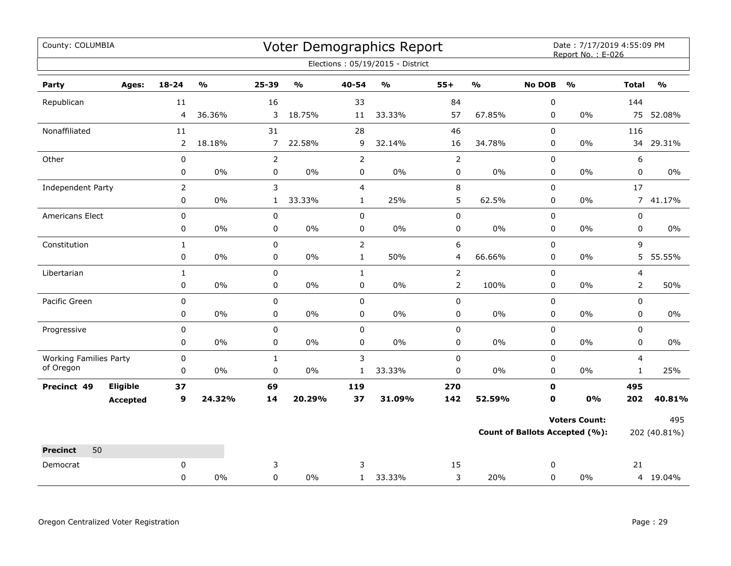| County: COLUMBIA                           |                 |                |                         |                |                         |                | Voter Demographics Report         |                |                         |               | Date: 7/17/2019 4:55:09 PM<br>Report No.: E-026 |                |                         |
|--------------------------------------------|-----------------|----------------|-------------------------|----------------|-------------------------|----------------|-----------------------------------|----------------|-------------------------|---------------|-------------------------------------------------|----------------|-------------------------|
|                                            |                 |                |                         |                |                         |                | Elections: 05/19/2015 - District  |                |                         |               |                                                 |                |                         |
| Party                                      | Ages:           | 18-24          | $\mathbf{O}/\mathbf{o}$ | 25-39          | $\mathbf{O}/\mathbf{o}$ | 40-54          | $\mathsf{o}\mathsf{v}_\mathsf{o}$ | $55+$          | $\mathbf{O}/\mathbf{O}$ | <b>No DOB</b> | $\mathbf{O}/\mathbf{o}$                         | <b>Total</b>   | $\mathbf{O}/\mathbf{o}$ |
| Republican                                 |                 | 11             |                         | 16             |                         | 33             |                                   | 84             |                         | $\pmb{0}$     |                                                 | 144            |                         |
|                                            |                 | 4              | 36.36%                  | 3              | 18.75%                  | 11             | 33.33%                            | 57             | 67.85%                  | 0             | $0\%$                                           | 75             | 52.08%                  |
| Nonaffiliated                              |                 | 11             |                         | 31             |                         | 28             |                                   | 46             |                         | $\mathbf 0$   |                                                 | 116            |                         |
|                                            |                 | $\overline{2}$ | 18.18%                  | $\overline{7}$ | 22.58%                  | 9              | 32.14%                            | 16             | 34.78%                  | 0             | 0%                                              | 34             | 29.31%                  |
| Other                                      |                 | $\pmb{0}$      |                         | $\overline{2}$ |                         | $\overline{2}$ |                                   | $\mathsf{2}$   |                         | $\pmb{0}$     |                                                 | 6              |                         |
|                                            |                 | 0              | $0\%$                   | 0              | $0\%$                   | $\pmb{0}$      | $0\%$                             | 0              | $0\%$                   | 0             | $0\%$                                           | $\pmb{0}$      | $0\%$                   |
| Independent Party                          |                 | $\overline{2}$ |                         | 3              |                         | $\overline{4}$ |                                   | 8              |                         | $\mathbf 0$   |                                                 | 17             |                         |
|                                            |                 | 0              | 0%                      | $\mathbf{1}$   | 33.33%                  | $\mathbf{1}$   | 25%                               | 5              | 62.5%                   | 0             | $0\%$                                           |                | 7 41.17%                |
| Americans Elect                            |                 | $\pmb{0}$      |                         | 0              |                         | $\pmb{0}$      |                                   | 0              |                         | $\pmb{0}$     |                                                 | $\pmb{0}$      |                         |
|                                            |                 | 0              | $0\%$                   | 0              | $0\%$                   | $\pmb{0}$      | $0\%$                             | 0              | $0\%$                   | 0             | $0\%$                                           | 0              | $0\%$                   |
| Constitution                               |                 | $\mathbf{1}$   |                         | 0              |                         | $\overline{2}$ |                                   | 6              |                         | $\mathbf 0$   |                                                 | 9              |                         |
|                                            |                 | 0              | 0%                      | 0              | 0%                      | $\mathbf{1}$   | 50%                               | 4              | 66.66%                  | $\pmb{0}$     | $0\%$                                           |                | 5 55.55%                |
| Libertarian                                |                 | $\mathbf{1}$   |                         | 0              |                         | $\mathbf{1}$   |                                   | $\overline{2}$ |                         | $\mathbf 0$   |                                                 | $\overline{4}$ |                         |
|                                            |                 | 0              | 0%                      | 0              | $0\%$                   | $\pmb{0}$      | $0\%$                             | $\overline{2}$ | 100%                    | 0             | $0\%$                                           | $\overline{2}$ | 50%                     |
| Pacific Green                              |                 | 0              |                         | 0              |                         | $\mathbf 0$    |                                   | 0              |                         | $\mathbf 0$   |                                                 | $\mathbf 0$    |                         |
|                                            |                 | 0              | 0%                      | 0              | $0\%$                   | 0              | $0\%$                             | 0              | $0\%$                   | 0             | $0\%$                                           | 0              | $0\%$                   |
| Progressive                                |                 | 0              |                         | 0              |                         | $\pmb{0}$      |                                   | 0              |                         | $\pmb{0}$     |                                                 | $\mathsf 0$    |                         |
|                                            |                 | 0              | 0%                      | 0              | 0%                      | $\mathbf 0$    | 0%                                | 0              | $0\%$                   | 0             | 0%                                              | $\mathbf 0$    | $0\%$                   |
| <b>Working Families Party</b><br>of Oregon |                 | $\mathbf 0$    |                         | $\mathbf{1}$   |                         | 3              |                                   | 0              |                         | $\mathbf 0$   |                                                 | $\overline{4}$ |                         |
|                                            |                 | 0              | 0%                      | $\mathbf 0$    | $0\%$                   | $\mathbf{1}$   | 33.33%                            | $\mathbf 0$    | $0\%$                   | $\mathbf 0$   | $0\%$                                           | $\mathbf{1}$   | 25%                     |
| Precinct 49                                | Eligible        | 37             |                         | 69             |                         | 119            |                                   | 270            |                         | $\mathbf 0$   |                                                 | 495            |                         |
|                                            | <b>Accepted</b> | 9              | 24.32%                  | 14             | 20.29%                  | 37             | 31.09%                            | 142            | 52.59%                  | $\mathbf 0$   | 0%                                              | 202            | 40.81%                  |
|                                            |                 |                |                         |                |                         |                |                                   |                |                         |               | <b>Voters Count:</b>                            |                | 495                     |
|                                            |                 |                |                         |                |                         |                |                                   |                |                         |               | <b>Count of Ballots Accepted (%):</b>           |                | 202 (40.81%)            |
| 50<br><b>Precinct</b>                      |                 |                |                         |                |                         |                |                                   |                |                         |               |                                                 |                |                         |
| Democrat                                   |                 | $\mathbf 0$    |                         | 3              |                         | 3              |                                   | 15             |                         | 0             |                                                 | 21             |                         |
|                                            |                 | 0              | 0%                      | $\mathbf 0$    | $0\%$                   | $\mathbf{1}$   | 33.33%                            | 3              | 20%                     | $\mathbf 0$   | $0\%$                                           |                | 4 19.04%                |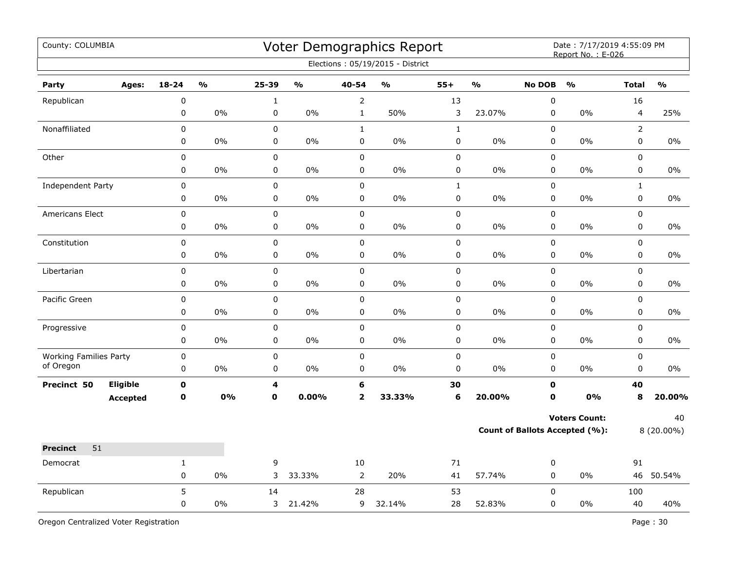| County: COLUMBIA              |       |             |               |             |               |                         | Voter Demographics Report        |              |               |                                       | Date: 7/17/2019 4:55:09 PM<br>Report No.: E-026 |                |                         |
|-------------------------------|-------|-------------|---------------|-------------|---------------|-------------------------|----------------------------------|--------------|---------------|---------------------------------------|-------------------------------------------------|----------------|-------------------------|
|                               |       |             |               |             |               |                         | Elections: 05/19/2015 - District |              |               |                                       |                                                 |                |                         |
| Party                         | Ages: | $18 - 24$   | $\frac{1}{2}$ | 25-39       | $\frac{1}{2}$ | 40-54                   | $\mathbf{0}/\mathbf{0}$          | $55+$        | $\frac{1}{2}$ | <b>No DOB</b>                         | $\frac{1}{2}$                                   | <b>Total</b>   | $\mathbf{0}/\mathbf{0}$ |
| Republican                    |       | $\pmb{0}$   |               | $\mathbf 1$ |               | 2                       |                                  | 13           |               | $\pmb{0}$                             |                                                 | 16             |                         |
|                               |       | 0           | 0%            | 0           | $0\%$         | $\mathbf{1}$            | 50%                              | 3            | 23.07%        | $\pmb{0}$                             | 0%                                              | $\overline{4}$ | 25%                     |
| Nonaffiliated                 |       | 0           |               | 0           |               | $\mathbf{1}$            |                                  | $\mathbf{1}$ |               | $\mathbf 0$                           |                                                 | $\overline{2}$ |                         |
|                               |       | 0           | 0%            | $\pmb{0}$   | $0\%$         | 0                       | $0\%$                            | 0            | 0%            | $\pmb{0}$                             | 0%                                              | $\pmb{0}$      | 0%                      |
| Other                         |       | 0           |               | $\mathsf 0$ |               | 0                       |                                  | 0            |               | $\pmb{0}$                             |                                                 | 0              |                         |
|                               |       | 0           | 0%            | $\pmb{0}$   | 0%            | 0                       | 0%                               | 0            | $0\%$         | 0                                     | $0\%$                                           | 0              | 0%                      |
| Independent Party             |       | 0           |               | $\pmb{0}$   |               | $\pmb{0}$               |                                  | $\mathbf{1}$ |               | $\pmb{0}$                             |                                                 | $\mathbf{1}$   |                         |
|                               |       | 0           | 0%            | $\mathsf 0$ | 0%            | $\pmb{0}$               | $0\%$                            | 0            | $0\%$         | $\pmb{0}$                             | 0%                                              | $\mathsf 0$    | 0%                      |
| Americans Elect               |       | $\pmb{0}$   |               | $\pmb{0}$   |               | $\pmb{0}$               |                                  | 0            |               | $\pmb{0}$                             |                                                 | $\mathsf 0$    |                         |
|                               |       | 0           | 0%            | 0           | 0%            | 0                       | 0%                               | 0            | 0%            | 0                                     | 0%                                              | 0              | 0%                      |
| Constitution                  |       | 0           |               | $\mathsf 0$ |               | 0                       |                                  | 0            |               | $\pmb{0}$                             |                                                 | $\mathsf 0$    |                         |
|                               |       | 0           | 0%            | $\mathsf 0$ | 0%            | 0                       | 0%                               | 0            | 0%            | $\pmb{0}$                             | 0%                                              | $\mathsf 0$    | 0%                      |
| Libertarian                   |       | $\pmb{0}$   |               | $\mathsf 0$ |               | 0                       |                                  | 0            |               | $\pmb{0}$                             |                                                 | $\pmb{0}$      |                         |
|                               |       | 0           | $0\%$         | $\pmb{0}$   | $0\%$         | 0                       | 0%                               | 0            | $0\%$         | 0                                     | $0\%$                                           | $\mathbf 0$    | $0\%$                   |
| Pacific Green                 |       | $\pmb{0}$   |               | $\pmb{0}$   |               | $\mathbf 0$             |                                  | 0            |               | $\pmb{0}$                             |                                                 | $\mathsf 0$    |                         |
|                               |       | 0           | 0%            | $\mathbf 0$ | 0%            | 0                       | 0%                               | 0            | $0\%$         | $\mathbf 0$                           | 0%                                              | $\mathbf 0$    | $0\%$                   |
| Progressive                   |       | 0           |               | $\pmb{0}$   |               | 0                       |                                  | 0            |               | $\pmb{0}$                             |                                                 | $\pmb{0}$      |                         |
|                               |       | 0           | 0%            | 0           | 0%            | $\mathbf 0$             | 0%                               | 0            | 0%            | $\mathbf 0$                           | 0%                                              | $\mathbf 0$    | $0\%$                   |
| <b>Working Families Party</b> |       | 0           |               | $\pmb{0}$   |               | $\mathbf 0$             |                                  | 0            |               | $\mathbf 0$                           |                                                 | $\mathbf 0$    |                         |
| of Oregon                     |       | 0           | 0%            | 0           | 0%            | 0                       | 0%                               | 0            | 0%            | $\mathbf 0$                           | 0%                                              | $\mathbf 0$    | 0%                      |
| Eligible<br>Precinct 50       |       | $\mathbf 0$ |               | 4           |               | 6                       |                                  | 30           |               | $\mathbf 0$                           |                                                 | 40             |                         |
| <b>Accepted</b>               |       | $\mathbf 0$ | <b>0%</b>     | $\mathbf 0$ | $0.00\%$      | $\overline{\mathbf{2}}$ | 33.33%                           | 6            | 20.00%        | $\mathbf 0$                           | 0%                                              | 8              | 20.00%                  |
|                               |       |             |               |             |               |                         |                                  |              |               |                                       | <b>Voters Count:</b>                            |                | 40                      |
|                               |       |             |               |             |               |                         |                                  |              |               | <b>Count of Ballots Accepted (%):</b> |                                                 |                | 8 (20.00%)              |
| 51<br><b>Precinct</b>         |       |             |               |             |               |                         |                                  |              |               |                                       |                                                 |                |                         |
| Democrat                      |       | 1           |               | 9           |               | 10                      |                                  | 71           |               | $\pmb{0}$                             |                                                 | 91             |                         |
|                               |       | $\pmb{0}$   | 0%            | 3           | 33.33%        | $\overline{2}$          | 20%                              | 41           | 57.74%        | 0                                     | $0\%$                                           |                | 46 50.54%               |
| Republican                    |       | 5           |               | 14          |               | 28                      |                                  | 53           |               | $\mathbf 0$                           |                                                 | 100            |                         |
|                               |       | 0           | $0\%$         |             | 3 21.42%      | 9                       | 32.14%                           | 28           | 52.83%        | 0                                     | $0\%$                                           | 40             | 40%                     |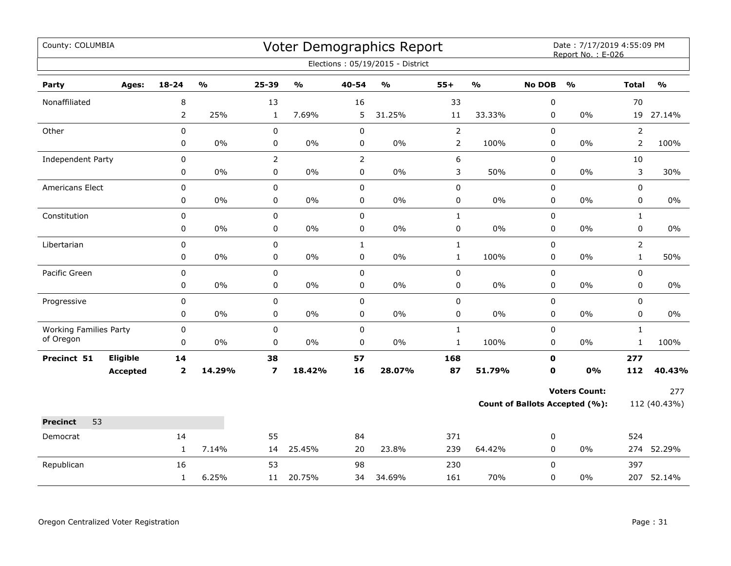| County: COLUMBIA                           |                 |                     |                         |                         |               |                | Voter Demographics Report<br>Elections: 05/19/2015 - District |                |               |               | Date: 7/17/2019 4:55:09 PM<br>Report No.: E-026 |                |               |
|--------------------------------------------|-----------------|---------------------|-------------------------|-------------------------|---------------|----------------|---------------------------------------------------------------|----------------|---------------|---------------|-------------------------------------------------|----------------|---------------|
| Party                                      | Ages:           | 18-24               | $\mathbf{O}/\mathbf{o}$ | 25-39                   | $\frac{0}{0}$ | $40 - 54$      | $\mathsf{o}\mathsf{v}_\mathsf{o}$                             | $55+$          | $\frac{0}{0}$ | <b>No DOB</b> | $\frac{1}{2}$                                   | <b>Total</b>   | $\frac{0}{0}$ |
|                                            |                 |                     |                         |                         |               |                |                                                               |                |               |               |                                                 |                |               |
| Nonaffiliated                              |                 | 8<br>$\overline{2}$ | 25%                     | 13<br>$\mathbf{1}$      | 7.69%         | 16<br>5        | 31.25%                                                        | 33<br>11       | 33.33%        | 0<br>0        | 0%                                              | 70             | 19 27.14%     |
| Other                                      |                 | 0                   |                         | 0                       |               | $\pmb{0}$      |                                                               | $\mathbf 2$    |               | 0             |                                                 | $\overline{2}$ |               |
|                                            |                 | 0                   | 0%                      | 0                       | 0%            | 0              | $0\%$                                                         | $\overline{2}$ | 100%          | 0             | 0%                                              | $\overline{2}$ | 100%          |
| Independent Party                          |                 | 0                   |                         | $\overline{2}$          |               | $\overline{2}$ |                                                               | 6              |               | 0             |                                                 | 10             |               |
|                                            |                 | 0                   | 0%                      | 0                       | 0%            | $\pmb{0}$      | $0\%$                                                         | 3              | 50%           | 0             | 0%                                              | 3              | 30%           |
| Americans Elect                            |                 | $\mathbf 0$         |                         | 0                       |               | $\mathbf 0$    |                                                               | $\mathbf 0$    |               | 0             |                                                 | 0              |               |
|                                            |                 | 0                   | 0%                      | 0                       | 0%            | 0              | 0%                                                            | 0              | $0\%$         | 0             | 0%                                              | 0              | 0%            |
| Constitution                               |                 | $\pmb{0}$           |                         | $\mathbf 0$             |               | $\pmb{0}$      |                                                               | $\mathbf{1}$   |               | 0             |                                                 | $\mathbf{1}$   |               |
|                                            |                 | $\pmb{0}$           | 0%                      | 0                       | 0%            | $\pmb{0}$      | 0%                                                            | $\pmb{0}$      | $0\%$         | 0             | 0%                                              | 0              | $0\%$         |
| Libertarian                                |                 | 0                   |                         | 0                       |               | $\mathbf{1}$   |                                                               | $\mathbf 1$    |               | 0             |                                                 | $\overline{2}$ |               |
|                                            |                 | 0                   | 0%                      | $\pmb{0}$               | 0%            | $\pmb{0}$      | $0\%$                                                         | $\mathbf 1$    | 100%          | 0             | 0%                                              | $\mathbf{1}$   | 50%           |
| Pacific Green                              |                 | 0                   |                         | $\mathbf 0$             |               | $\mathbf 0$    |                                                               | $\mathbf 0$    |               | 0             |                                                 | 0              |               |
|                                            |                 | 0                   | 0%                      | 0                       | 0%            | 0              | $0\%$                                                         | 0              | $0\%$         | 0             | 0%                                              | 0              | $0\%$         |
| Progressive                                |                 | 0                   |                         | $\mathbf 0$             |               | $\pmb{0}$      |                                                               | $\pmb{0}$      |               | 0             |                                                 | 0              |               |
|                                            |                 | 0                   | 0%                      | 0                       | $0\%$         | 0              | $0\%$                                                         | $\pmb{0}$      | $0\%$         | 0             | 0%                                              | 0              | 0%            |
| <b>Working Families Party</b><br>of Oregon |                 | 0                   |                         | 0                       |               | $\pmb{0}$      |                                                               | $\mathbf 1$    |               | 0             |                                                 | $\mathbf{1}$   |               |
|                                            |                 | 0                   | 0%                      | $\mathbf 0$             | 0%            | $\mathbf 0$    | $0\%$                                                         | $\mathbf{1}$   | 100%          | 0             | $0\%$                                           | $\mathbf{1}$   | 100%          |
| Precinct 51                                | Eligible        | 14                  |                         | 38                      |               | 57             |                                                               | 168            |               | $\mathbf 0$   |                                                 | 277            |               |
|                                            | <b>Accepted</b> | $\mathbf{2}$        | 14.29%                  | $\overline{\mathbf{z}}$ | 18.42%        | 16             | 28.07%                                                        | 87             | 51.79%        | $\mathbf 0$   | 0%                                              | 112            | 40.43%        |
|                                            |                 |                     |                         |                         |               |                |                                                               |                |               |               | <b>Voters Count:</b>                            |                | 277           |
|                                            |                 |                     |                         |                         |               |                |                                                               |                |               |               | Count of Ballots Accepted (%):                  |                | 112 (40.43%)  |
| 53<br><b>Precinct</b>                      |                 |                     |                         |                         |               |                |                                                               |                |               |               |                                                 |                |               |
| Democrat                                   |                 | 14                  |                         | 55                      |               | 84             |                                                               | 371            |               | 0             |                                                 | 524            |               |
|                                            |                 | $\mathbf{1}$        | 7.14%                   | 14                      | 25.45%        | 20             | 23.8%                                                         | 239            | 64.42%        | $\mathbf 0$   | $0\%$                                           |                | 274 52.29%    |
| Republican                                 |                 | 16                  |                         | 53                      |               | 98             |                                                               | 230            |               | 0             |                                                 | 397            |               |
|                                            |                 | $\mathbf{1}$        | 6.25%                   | 11                      | 20.75%        | 34             | 34.69%                                                        | 161            | 70%           | 0             | 0%                                              |                | 207 52.14%    |